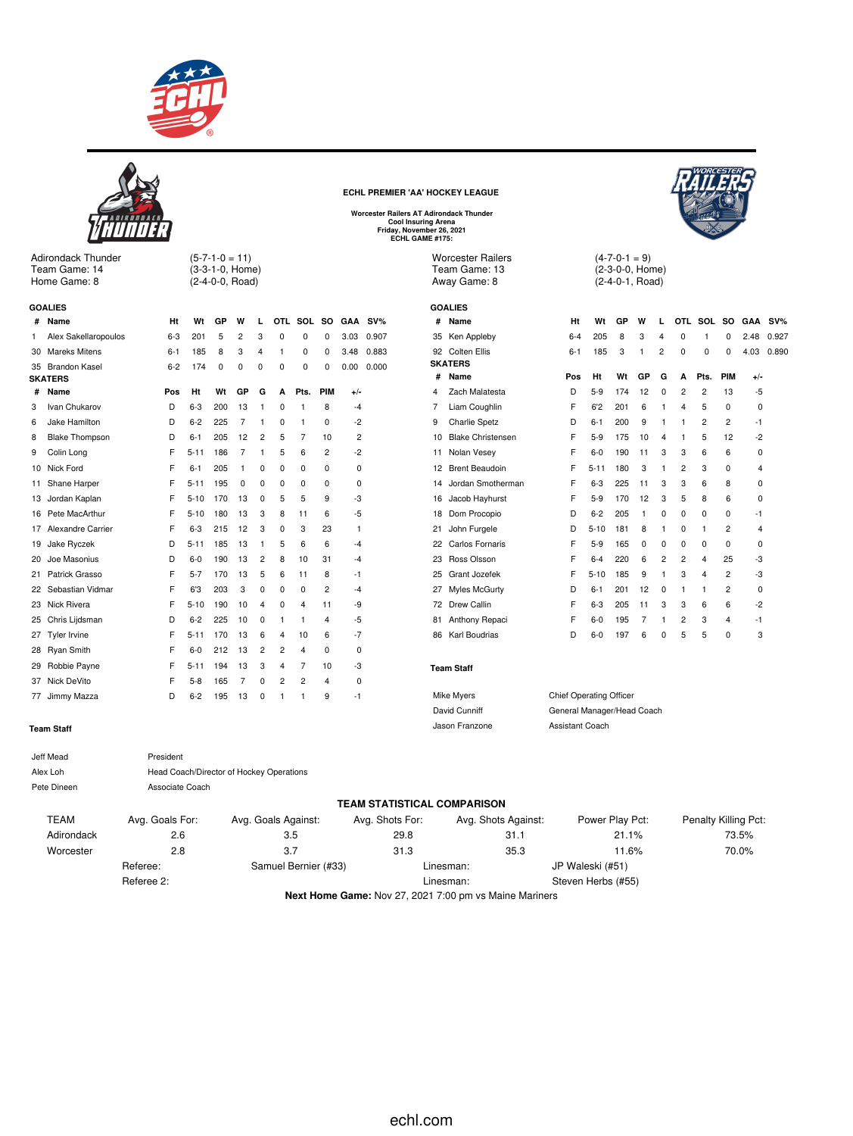



Adirondack Thunder Team Game: 14 Home Game: 8

(3-3-1-0, Home) (2-4-0-0, Road)

 $(5 - 7 - 1 - 0 = 11)$ 

|    | <b>GOALIES</b>           |         |          |     |                |   |   |                |                |             |        |
|----|--------------------------|---------|----------|-----|----------------|---|---|----------------|----------------|-------------|--------|
| #  | Name                     | Ht      | Wt       | GP  | w              | L |   | OTL SOL SO     |                | <b>GAA</b>  | $SV\%$ |
| 1  | Alex Sakellaropoulos     | $6 - 3$ | 201      | 5   | 2              | 3 | 0 | 0              | 0              | 3.03        | 0.907  |
| 30 | Mareks Mitens            | 6-1     | 185      | 8   | 3              | 4 | 1 | 0              | 0              | 3.48        | 0.883  |
| 35 | <b>Brandon Kasel</b>     | $6 - 2$ | 174      | 0   | 0              | 0 | 0 | 0              | 0              | 0.00        | 0.000  |
|    | <b>SKATERS</b>           |         |          |     |                |   |   |                |                |             |        |
| #  | Name                     | Pos     | Ht       | Wt  | GP             | G | A | Pts.           | PIM            | +/-         |        |
| 3  | Ivan Chukarov            | D       | $6-3$    | 200 | 13             | 1 | 0 | 1              | 8              | $-4$        |        |
| 6  | Jake Hamilton            | D       | $6 - 2$  | 225 | $\overline{7}$ | 1 | 0 | 1              | 0              | -2          |        |
| 8  | <b>Blake Thompson</b>    | D       | $6 - 1$  | 205 | 12             | 2 | 5 | 7              | 10             | 2           |        |
| 9  | Colin Long               | F       | $5 - 11$ | 186 | 7              | 1 | 5 | 6              | $\overline{2}$ | $-2$        |        |
| 10 | Nick Ford                | F       | $6 - 1$  | 205 | 1              | 0 | 0 | 0              | 0              | $\mathbf 0$ |        |
| 11 | Shane Harper             | F       | $5 - 11$ | 195 | 0              | 0 | 0 | 0              | 0              | 0           |        |
| 13 | Jordan Kaplan            | F       | $5 - 10$ | 170 | 13             | 0 | 5 | 5              | 9              | -3          |        |
| 16 | Pete MacArthur           | F       | $5 - 10$ | 180 | 13             | 3 | 8 | 11             | 6              | -5          |        |
| 17 | <b>Alexandre Carrier</b> | F       | $6 - 3$  | 215 | 12             | 3 | 0 | 3              | 23             | 1           |        |
| 19 | Jake Ryczek              | D       | $5 - 11$ | 185 | 13             | 1 | 5 | 6              | 6              | -4          |        |
| 20 | Joe Masonius             | D       | $6-0$    | 190 | 13             | 2 | 8 | 10             | 31             | $-4$        |        |
| 21 | Patrick Grasso           | F       | $5 - 7$  | 170 | 13             | 5 | 6 | 11             | 8              | -1          |        |
| 22 | Sebastian Vidmar         | F       | 6'3      | 203 | 3              | 0 | 0 | 0              | $\overline{2}$ | $-4$        |        |
| 23 | Nick Rivera              | F       | $5 - 10$ | 190 | 10             | 4 | 0 | 4              | 11             | -9          |        |
| 25 | Chris Lijdsman           | D       | $6 - 2$  | 225 | 10             | 0 | 1 | 1              | 4              | -5          |        |
| 27 | <b>Tyler Irvine</b>      | F       | $5 - 11$ | 170 | 13             | 6 | 4 | 10             | 6              | -7          |        |
| 28 | <b>Ryan Smith</b>        | F       | $6 - 0$  | 212 | 13             | 2 | 2 | 4              | 0              | 0           |        |
| 29 | Robbie Payne             | F       | $5 - 11$ | 194 | 13             | 3 | 4 | 7              | 10             | -3          |        |
| 37 | Nick DeVito              | F       | $5-8$    | 165 | 7              | 0 | 2 | $\overline{2}$ | 4              | 0           |        |
| 77 | Jimmy Mazza              | D       | $6 - 2$  | 195 | 13             | 0 | 1 | 1              | 9              | -1          |        |

|    |       | <b>Cool Insuring Arena</b><br>Friday, November 26, 2021<br>ECHL GAME #175: | Worcester Railers AT Adirondack Thunder                   |         |                             |
|----|-------|----------------------------------------------------------------------------|-----------------------------------------------------------|---------|-----------------------------|
|    |       |                                                                            | <b>Worcester Railers</b><br>Team Game: 13<br>Away Game: 8 |         | (4-7-<br>$(2-3-$<br>$(2-4-$ |
|    |       |                                                                            | <b>GOALIES</b>                                            |         |                             |
|    | A SV% | #                                                                          | Name                                                      | Ht      | Wt                          |
| )3 | 0.907 |                                                                            | 35 Ken Appleby                                            | $6 - 4$ | 205                         |
| 18 | 0.883 |                                                                            | 92 Colten Ellis                                           | $6 - 1$ | 185                         |
| 00 | 0.000 |                                                                            | <b>SKATERS</b>                                            |         |                             |
|    |       | #                                                                          | Name                                                      | Pos     | Ht                          |

**ECHL PREMIER 'AA' HOCKEY LEAGUE**



 $-0-1 = 9$ (2-3-0-0, Home) (2-4-0-1, Road)

|    | งบคมเง                   |         |          |     |    |                |                |         |                |             |        |
|----|--------------------------|---------|----------|-----|----|----------------|----------------|---------|----------------|-------------|--------|
| #  | Name                     | Ht      | Wt       | GP  | W  | L              |                | OTL SOL | <b>SO</b>      | <b>GAA</b>  | $SV\%$ |
| 35 | Ken Appleby              | $6 - 4$ | 205      | 8   | 3  | 4              | 0              | 1       | 0              | 2.48        | 0.927  |
| 92 | Colten Ellis             | $6 - 1$ | 185      | 3   | 1  | 2              | $\Omega$       | 0       | 0              | 4.03        | 0.890  |
|    | <b>SKATERS</b>           |         |          |     |    |                |                |         |                |             |        |
| #  | Name                     | Pos     | Ht       | Wt  | GP | G              | A              | Pts.    | <b>PIM</b>     | $+/-$       |        |
| 4  | Zach Malatesta           | D       | $5-9$    | 174 | 12 | 0              | 2              | 2       | 13             | -5          |        |
| 7  | Liam Coughlin            | F       | 6'2      | 201 | 6  | 1              | 4              | 5       | 0              | 0           |        |
| 9  | <b>Charlie Spetz</b>     | D       | $6 - 1$  | 200 | 9  | 1              | 1              | 2       | $\overline{2}$ | $-1$        |        |
| 10 | <b>Blake Christensen</b> | F       | $5-9$    | 175 | 10 | 4              | 1              | 5       | 12             | $-2$        |        |
| 11 | Nolan Vesey              | F       | $6-0$    | 190 | 11 | 3              | 3              | 6       | 6              | 0           |        |
| 12 | <b>Brent Beaudoin</b>    | F       | $5 - 11$ | 180 | 3  | 1              | $\overline{2}$ | 3       | 0              | 4           |        |
| 14 | Jordan Smotherman        | F       | $6 - 3$  | 225 | 11 | 3              | 3              | 6       | 8              | 0           |        |
| 16 | Jacob Hayhurst           | F       | $5-9$    | 170 | 12 | 3              | 5              | 8       | 6              | 0           |        |
| 18 | Dom Procopio             | D       | $6 - 2$  | 205 | 1  | 0              | 0              | 0       | 0              | -1          |        |
| 21 | John Furgele             | D       | $5 - 10$ | 181 | 8  | 1              | 0              | 1       | 2              | 4           |        |
| 22 | Carlos Fornaris          | F       | $5-9$    | 165 | 0  | 0              | 0              | 0       | 0              | 0           |        |
| 23 | Ross Olsson              | F       | $6 - 4$  | 220 | 6  | $\overline{c}$ | 2              | 4       | 25             | -3          |        |
| 25 | Grant Jozefek            | F       | $5 - 10$ | 185 | 9  | 1              | 3              | 4       | 2              | -3          |        |
| 27 | Myles McGurty            | D       | $6 - 1$  | 201 | 12 | 0              | 1              | 1       | 2              | $\mathbf 0$ |        |
| 72 | Drew Callin              | F       | $6 - 3$  | 205 | 11 | 3              | 3              | 6       | 6              | -2          |        |
| 81 | Anthony Repaci           | F       | $6-0$    | 195 | 7  | 1              | 2              | 3       | 4              | $-1$        |        |
| 86 | Karl Boudrias            | D       | $6-0$    | 197 | 6  | 0              | 5              | 5       | 0              | 3           |        |
|    |                          |         |          |     |    |                |                |         |                |             |        |

### **Team Staff**

| Mike Myers     | <b>Chief Operating Officer</b> |
|----------------|--------------------------------|
| David Cunniff  | General Manager/Head Coach     |
| Jason Franzone | Assistant Coach                |

#### **Team Staff**

| Jeff Mead   | President                                |
|-------------|------------------------------------------|
| Alex Loh    | Head Coach/Director of Hockey Operations |
| Pete Dineen | Associate Coach                          |
|             |                                          |

### **TEAM STATISTICAL COMPARISON** TEAM Avg. Goals For: Avg. Goals Against: Avg. Shots For: Avg. Shots Against: Power Play Pct: Penalty Killing Pct: Adirondack 2.6 3.5 29.8 31.1 21.1% 73.5% Worcester 2.8 3.7 31.3 35.3 11.6% 70.0% Referee: Samuel Bernier (#33) Linesman: JP Waleski (#51) Referee 2: Charles Contract Contract Contract Contract Contract Contract Contract Contract Contract Contract Contract Contract Contract Contract Contract Contract Contract Contract Contract Contract Contract Contract Contr

**Next Home Game:** Nov 27, 2021 7:00 pm vs Maine Mariners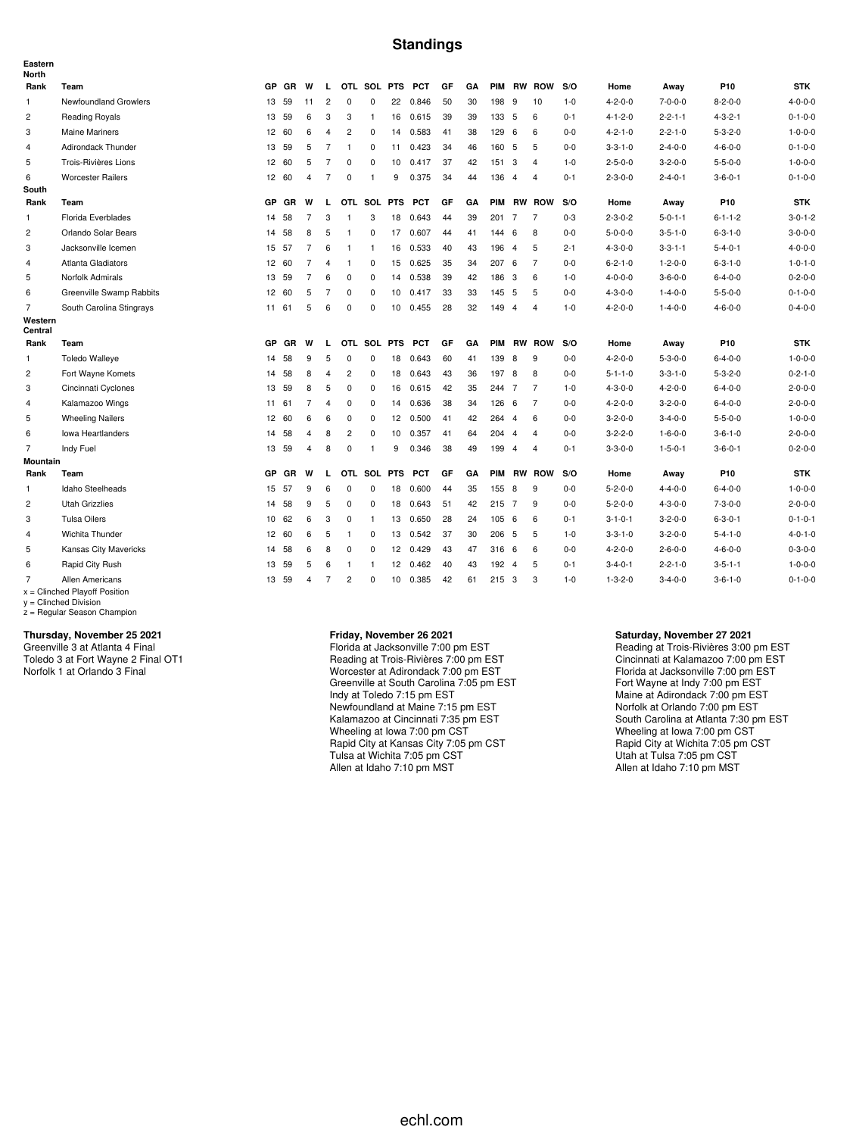### **Standings**

| Eastern<br><b>North</b> |                                                    |                 |           |                |                |                |                |                  |            |    |    |               |                |                |         |                 |                 |                 |                 |
|-------------------------|----------------------------------------------------|-----------------|-----------|----------------|----------------|----------------|----------------|------------------|------------|----|----|---------------|----------------|----------------|---------|-----------------|-----------------|-----------------|-----------------|
| Rank                    | Team                                               | GP              | <b>GR</b> | W              | L.             |                | OTL SOL PTS    |                  | <b>PCT</b> | GF | GA | PIM           |                | <b>RW ROW</b>  | S/O     | Home            | Away            | P <sub>10</sub> | <b>STK</b>      |
| 1                       | Newfoundland Growlers                              | 13              | 59        | 11             | $\overline{2}$ | $\pmb{0}$      | 0              | 22               | 0.846      | 50 | 30 | 198           | 9              | 10             | $1 - 0$ | $4 - 2 - 0 - 0$ | $7 - 0 - 0 - 0$ | $8 - 2 - 0 - 0$ | $4 - 0 - 0 - 0$ |
| 2                       | Reading Royals                                     | 13              | 59        | 6              | 3              | 3              | $\mathbf{1}$   | 16               | 0.615      | 39 | 39 | 133           | - 5            | 6              | $0 - 1$ | $4 - 1 - 2 - 0$ | $2 - 2 - 1 - 1$ | $4 - 3 - 2 - 1$ | $0 - 1 - 0 - 0$ |
| 3                       | <b>Maine Mariners</b>                              | 12 <sup>7</sup> | 60        | 6              | $\overline{4}$ | $\overline{2}$ | 0              | 14               | 0.583      | 41 | 38 | 129           | 6              | 6              | $0 - 0$ | $4 - 2 - 1 - 0$ | $2 - 2 - 1 - 0$ | $5 - 3 - 2 - 0$ | $1 - 0 - 0 - 0$ |
| 4                       | Adirondack Thunder                                 |                 | 13 59     | 5              | $\overline{7}$ | $\mathbf{1}$   | 0              | 11               | 0.423      | 34 | 46 | 160 5         |                | 5              | $0 - 0$ | $3 - 3 - 1 - 0$ | $2 - 4 - 0 - 0$ | $4 - 6 - 0 - 0$ | $0 - 1 - 0 - 0$ |
| 5                       | Trois-Rivières Lions                               | 12              | 60        | 5              | $\overline{7}$ | 0              | 0              | 10               | 0.417      | 37 | 42 | 151           | 3              | $\overline{4}$ | $1 - 0$ | $2 - 5 - 0 - 0$ | $3 - 2 - 0 - 0$ | $5 - 5 - 0 - 0$ | $1 - 0 - 0 - 0$ |
| 6                       | <b>Worcester Railers</b>                           |                 | 12 60     | $\overline{4}$ | $\overline{7}$ | $\mathbf 0$    | $\overline{1}$ | 9                | 0.375      | 34 | 44 | 136           | $\overline{4}$ | $\overline{4}$ | $0 - 1$ | $2 - 3 - 0 - 0$ | $2 - 4 - 0 - 1$ | $3 - 6 - 0 - 1$ | $0 - 1 - 0 - 0$ |
| South                   |                                                    |                 |           |                |                |                |                |                  |            |    |    |               |                |                |         |                 |                 |                 |                 |
| Rank                    | Team                                               | GP              | <b>GR</b> | W              | L              |                | OTL SOL PTS    |                  | <b>PCT</b> | GF | GA | <b>PIM</b>    |                | <b>RW ROW</b>  | S/O     | Home            | Away            | P10             | <b>STK</b>      |
| 1                       | Florida Everblades                                 | 14              | 58        | $\overline{7}$ | 3              | $\mathbf{1}$   | 3              | 18               | 0.643      | 44 | 39 | 201 7         |                | 7              | $0 - 3$ | $2 - 3 - 0 - 2$ | $5 - 0 - 1 - 1$ | $6 - 1 - 1 - 2$ | $3 - 0 - 1 - 2$ |
| $\overline{2}$          | Orlando Solar Bears                                | 14              | 58        | 8              | 5              | $\overline{1}$ | $\mathbf 0$    | 17               | 0.607      | 44 | 41 | 144           | 6              | 8              | $0-0$   | $5 - 0 - 0 - 0$ | $3 - 5 - 1 - 0$ | $6 - 3 - 1 - 0$ | $3 - 0 - 0 - 0$ |
| 3                       | Jacksonville Icemen                                |                 | 15 57     | $\overline{7}$ | 6              | $\mathbf{1}$   | $\mathbf{1}$   | 16               | 0.533      | 40 | 43 | 196           | $\overline{4}$ | 5              | $2 - 1$ | $4 - 3 - 0 - 0$ | $3 - 3 - 1 - 1$ | $5 - 4 - 0 - 1$ | $4 - 0 - 0 - 0$ |
| 4                       | Atlanta Gladiators                                 | 12 <sup>2</sup> | 60        | $\overline{7}$ | $\overline{4}$ | $\overline{1}$ | 0              | 15               | 0.625      | 35 | 34 | 207           | 6              | $\overline{7}$ | $0-0$   | $6 - 2 - 1 - 0$ | $1 - 2 - 0 - 0$ | $6 - 3 - 1 - 0$ | $1 - 0 - 1 - 0$ |
| 5                       | Norfolk Admirals                                   | 13              | 59        | $\overline{7}$ | 6              | 0              | $\mathbf 0$    | 14               | 0.538      | 39 | 42 | 186           | -3             | 6              | $1 - 0$ | $4 - 0 - 0 - 0$ | $3 - 6 - 0 - 0$ | $6 - 4 - 0 - 0$ | $0 - 2 - 0 - 0$ |
| 6                       | Greenville Swamp Rabbits                           | 12              | 60        | 5              | 7              | 0              | $\mathbf 0$    | 10               | 0.417      | 33 | 33 | 145           | 5              | 5              | $0-0$   | $4 - 3 - 0 - 0$ | $1 - 4 - 0 - 0$ | $5 - 5 - 0 - 0$ | $0 - 1 - 0 - 0$ |
| $\overline{7}$          | South Carolina Stingrays                           | 11              | 61        | 5              | 6              | $\mathbf 0$    | $\mathbf 0$    | 10               | 0.455      | 28 | 32 | 149           | $\overline{4}$ | $\overline{4}$ | $1 - 0$ | $4 - 2 - 0 - 0$ | $1 - 4 - 0 - 0$ | $4 - 6 - 0 - 0$ | $0 - 4 - 0 - 0$ |
| Western<br>Central      |                                                    |                 |           |                |                |                |                |                  |            |    |    |               |                |                |         |                 |                 |                 |                 |
| Rank                    | Team                                               | <b>GP</b>       | GR        | W              | L              |                | OTL SOL PTS    |                  | <b>PCT</b> | GF | GA | PIM           |                | <b>RW ROW</b>  | S/O     | Home            | Away            | P10             | <b>STK</b>      |
| $\mathbf{1}$            | <b>Toledo Walleye</b>                              | 14              | 58        | 9              | 5              | $\mathbf 0$    | $\mathbf 0$    | 18               | 0.643      | 60 | 41 | 139           | 8              | 9              | $0 - 0$ | $4 - 2 - 0 - 0$ | $5 - 3 - 0 - 0$ | $6 - 4 - 0 - 0$ | $1 - 0 - 0 - 0$ |
| $\overline{c}$          | Fort Wayne Komets                                  | 14              | 58        | 8              | $\overline{4}$ | $\overline{c}$ | $\mathbf 0$    | 18               | 0.643      | 43 | 36 | 197           | 8              | 8              | $0-0$   | $5 - 1 - 1 - 0$ | $3 - 3 - 1 - 0$ | $5 - 3 - 2 - 0$ | $0 - 2 - 1 - 0$ |
| 3                       | Cincinnati Cyclones                                | 13              | 59        | 8              | 5              | $\mathbf 0$    | $\mathbf 0$    | 16               | 0.615      | 42 | 35 | 244           | $\overline{7}$ | $\overline{7}$ | $1 - 0$ | $4 - 3 - 0 - 0$ | $4 - 2 - 0 - 0$ | $6 - 4 - 0 - 0$ | $2 - 0 - 0 - 0$ |
| 4                       | Kalamazoo Wings                                    | 11              | 61        | $\overline{7}$ | $\overline{4}$ | $\pmb{0}$      | $\mathbf 0$    | 14               | 0.636      | 38 | 34 | 126 6         |                | $\overline{7}$ | $0-0$   | $4 - 2 - 0 - 0$ | $3 - 2 - 0 - 0$ | $6 - 4 - 0 - 0$ | $2 - 0 - 0 - 0$ |
| 5                       | <b>Wheeling Nailers</b>                            | 12 <sup>2</sup> | 60        | 6              | 6              | $\mathbf 0$    | 0              | 12               | 0.500      | 41 | 42 | 264           | $\overline{4}$ | 6              | $0 - 0$ | $3 - 2 - 0 - 0$ | $3 - 4 - 0 - 0$ | $5 - 5 - 0 - 0$ | $1 - 0 - 0 - 0$ |
| 6                       | <b>Iowa Heartlanders</b>                           | 14              | 58        | 4              | 8              | $\overline{c}$ | 0              | 10 <sup>10</sup> | 0.357      | 41 | 64 | 204           | $\overline{4}$ | $\overline{4}$ | $0 - 0$ | $3 - 2 - 2 - 0$ | $1 - 6 - 0 - 0$ | $3 - 6 - 1 - 0$ | $2 - 0 - 0 - 0$ |
| $\overline{7}$          | Indy Fuel                                          |                 | 13 59     | 4              | 8              | $\mathbf 0$    | $\mathbf{1}$   | 9                | 0.346      | 38 | 49 | 199           | $\overline{4}$ | $\overline{4}$ | $0 - 1$ | $3 - 3 - 0 - 0$ | $1 - 5 - 0 - 1$ | $3 - 6 - 0 - 1$ | $0 - 2 - 0 - 0$ |
| <b>Mountain</b>         |                                                    |                 |           |                |                |                |                |                  |            |    |    |               |                |                |         |                 |                 |                 |                 |
| Rank                    | Team                                               | <b>GP</b>       | <b>GR</b> | W              | L              | OTL            | SOL            | <b>PTS</b>       | <b>PCT</b> | GF | GA | <b>PIM</b>    | <b>RW</b>      | <b>ROW</b>     | S/O     | Home            | Away            | P10             | <b>STK</b>      |
| $\mathbf{1}$            | Idaho Steelheads                                   | 15              | 57        | 9              | 6              | $\mathbf 0$    | $\mathbf 0$    | 18               | 0.600      | 44 | 35 | 155           | 8              | 9              | $0 - 0$ | $5 - 2 - 0 - 0$ | $4 - 4 - 0 - 0$ | $6 - 4 - 0 - 0$ | $1 - 0 - 0 - 0$ |
| $\overline{c}$          | <b>Utah Grizzlies</b>                              | 14              | 58        | 9              | 5              | $\mathbf 0$    | $\mathbf 0$    | 18               | 0.643      | 51 | 42 | 215 7         |                | 9              | $0-0$   | $5 - 2 - 0 - 0$ | $4 - 3 - 0 - 0$ | $7 - 3 - 0 - 0$ | $2 - 0 - 0 - 0$ |
| 3                       | <b>Tulsa Oilers</b>                                | 10              | 62        | 6              | 3              | 0              | $\mathbf{1}$   | 13               | 0.650      | 28 | 24 | 105           | - 6            | 6              | $0 - 1$ | $3 - 1 - 0 - 1$ | $3 - 2 - 0 - 0$ | $6 - 3 - 0 - 1$ | $0 - 1 - 0 - 1$ |
| $\overline{4}$          | Wichita Thunder                                    |                 | 12 60     | 6              | 5              | $\overline{1}$ | $\mathbf 0$    | 13               | 0.542      | 37 | 30 | 206 5         |                | 5              | $1 - 0$ | $3 - 3 - 1 - 0$ | $3 - 2 - 0 - 0$ | $5 - 4 - 1 - 0$ | $4 - 0 - 1 - 0$ |
| 5                       | Kansas City Mavericks                              | 14              | 58        | 6              | 8              | 0              | 0              | 12 <sup>2</sup>  | 0.429      | 43 | 47 | 316 6         |                | 6              | $0 - 0$ | $4 - 2 - 0 - 0$ | $2 - 6 - 0 - 0$ | $4 - 6 - 0 - 0$ | $0 - 3 - 0 - 0$ |
| 6                       | Rapid City Rush                                    | 13              | 59        | 5              | 6              | -1             | -1             | 12               | 0.462      | 40 | 43 | 192           | $\overline{4}$ | 5              | $0 - 1$ | $3 - 4 - 0 - 1$ | $2 - 2 - 1 - 0$ | $3 - 5 - 1 - 1$ | $1 - 0 - 0 - 0$ |
| $\overline{7}$          | Allen Americans<br>$x =$ Clinched Playoff Position |                 | 13 59     | 4              | $\overline{7}$ | $\overline{2}$ | $\Omega$       | 10 <sup>10</sup> | 0.385      | 42 | 61 | $215 \quad 3$ |                | 3              | $1 - 0$ | $1 - 3 - 2 - 0$ | $3 - 4 - 0 - 0$ | $3 - 6 - 1 - 0$ | $0 - 1 - 0 - 0$ |

# x = Clinched Playoff Position y = Clinched Division z = Regular Season Champion

#### **Thursday, November 25 2021**

Greenville 3 at Atlanta 4 Final Toledo 3 at Fort Wayne 2 Final OT1 Norfolk 1 at Orlando 3 Final

#### **Friday, November 26 2021**

Florida at Jacksonville 7:00 pm EST Reading at Trois-Rivières 7:00 pm EST Worcester at Adirondack 7:00 pm EST Greenville at South Carolina 7:05 pm EST Indy at Toledo 7:15 pm EST Newfoundland at Maine 7:15 pm EST Kalamazoo at Cincinnati 7:35 pm EST Wheeling at Iowa 7:00 pm CST Rapid City at Kansas City 7:05 pm CST Tulsa at Wichita 7:05 pm CST Allen at Idaho 7:10 pm MST

#### **Saturday, November 27 2021**

Reading at Trois-Rivières 3:00 pm EST Cincinnati at Kalamazoo 7:00 pm EST Florida at Jacksonville 7:00 pm EST Fort Wayne at Indy 7:00 pm EST Maine at Adirondack 7:00 pm EST Norfolk at Orlando 7:00 pm EST South Carolina at Atlanta 7:30 pm EST Wheeling at Iowa 7:00 pm CST Rapid City at Wichita 7:05 pm CST Utah at Tulsa 7:05 pm CST Allen at Idaho 7:10 pm MST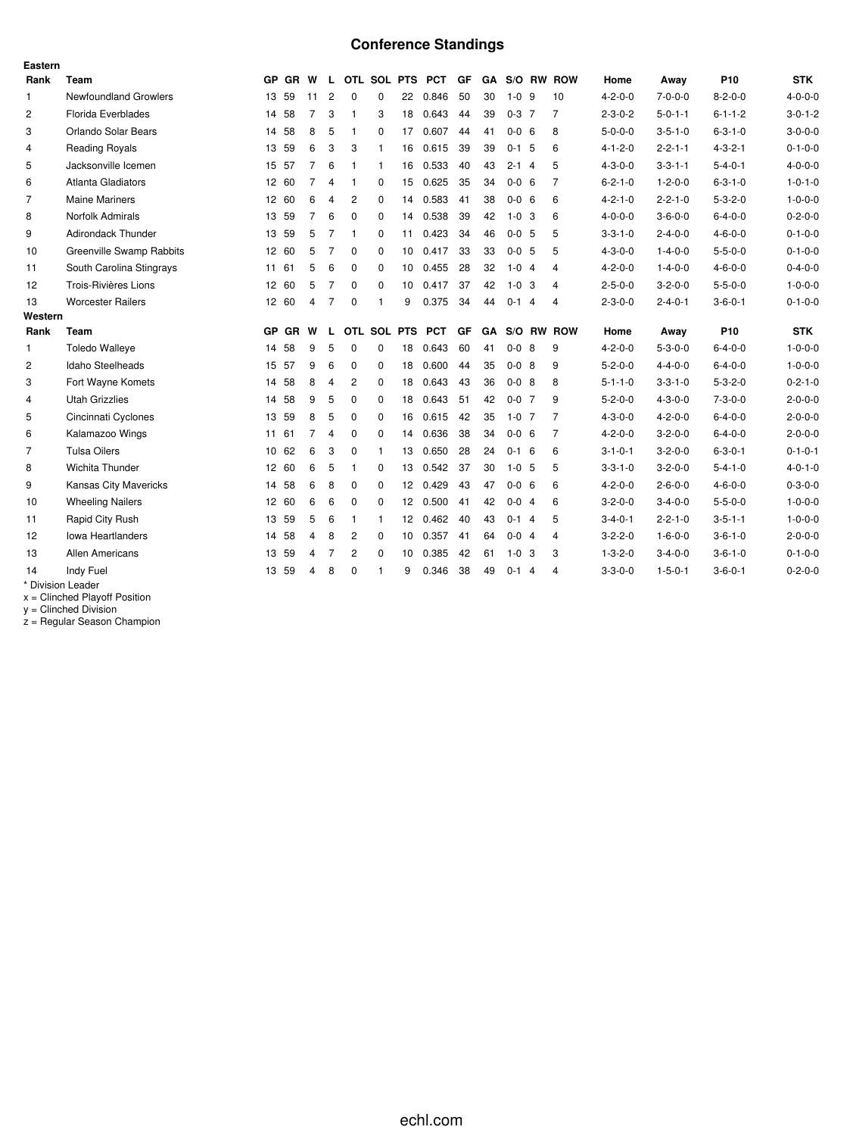# **Conference Standings**

| Eastern        |                                 |           |           |                |                |                |              |                 |            |    |           |             |                |                |                 |                 |                 |                 |
|----------------|---------------------------------|-----------|-----------|----------------|----------------|----------------|--------------|-----------------|------------|----|-----------|-------------|----------------|----------------|-----------------|-----------------|-----------------|-----------------|
| Rank           | <b>Team</b>                     | <b>GP</b> | <b>GR</b> | W              | L.             |                | OTL SOL PTS  |                 | <b>PCT</b> | GF | GA        | S/O RW      |                | <b>ROW</b>     | Home            | Away            | P <sub>10</sub> | <b>STK</b>      |
| $\mathbf{1}$   | <b>Newfoundland Growlers</b>    | 13        | 59        | 11             | $\overline{c}$ | 0              | $\mathbf 0$  | 22              | 0.846      | 50 | 30        | $1 - 0$ 9   |                | 10             | $4 - 2 - 0 - 0$ | $7 - 0 - 0 - 0$ | $8 - 2 - 0 - 0$ | $4 - 0 - 0 - 0$ |
| $\overline{2}$ | Florida Everblades              |           | 14 58     | $\overline{7}$ | 3              | 1              | 3            | 18              | 0.643      | 44 | 39        | $0 - 3$ 7   |                | $\overline{7}$ | $2 - 3 - 0 - 2$ | $5 - 0 - 1 - 1$ | $6 - 1 - 1 - 2$ | $3 - 0 - 1 - 2$ |
| 3              | Orlando Solar Bears             | 14        | 58        | 8              | 5              | 1              | $\Omega$     | 17              | 0.607      | 44 | 41        | $0 - 0 = 6$ |                | 8              | $5 - 0 - 0 - 0$ | $3 - 5 - 1 - 0$ | $6 - 3 - 1 - 0$ | $3 - 0 - 0 - 0$ |
| $\overline{4}$ | <b>Reading Royals</b>           |           | 13 59     | 6              | 3              | 3              | $\mathbf{1}$ | 16              | 0.615      | 39 | 39        | $0-1$ 5     |                | 6              | $4 - 1 - 2 - 0$ | $2 - 2 - 1 - 1$ | $4 - 3 - 2 - 1$ | $0 - 1 - 0 - 0$ |
| 5              | Jacksonville Icemen             |           | 15 57     | $\overline{7}$ | 6              | 1              | $\mathbf{1}$ | 16              | 0.533      | 40 | 43        | $2 - 1$     | $\overline{4}$ | 5              | $4 - 3 - 0 - 0$ | $3 - 3 - 1 - 1$ | $5 - 4 - 0 - 1$ | $4 - 0 - 0 - 0$ |
| 6              | Atlanta Gladiators              |           | 12 60     | $\overline{7}$ | $\overline{4}$ | 1              | 0            | 15              | 0.625      | 35 | 34        | $0 - 0 = 6$ |                | $\overline{7}$ | $6 - 2 - 1 - 0$ | $1 - 2 - 0 - 0$ | $6 - 3 - 1 - 0$ | $1 - 0 - 1 - 0$ |
| 7              | <b>Maine Mariners</b>           |           | 12 60     | 6              | $\overline{4}$ | 2              | $\mathbf 0$  | 14              | 0.583      | 41 | 38        | $0 - 0 = 6$ |                | 6              | $4 - 2 - 1 - 0$ | $2 - 2 - 1 - 0$ | $5 - 3 - 2 - 0$ | $1 - 0 - 0 - 0$ |
| 8              | Norfolk Admirals                |           | 13 59     | $\overline{7}$ | 6              | $\Omega$       | $\Omega$     | 14              | 0.538      | 39 | 42        | $1-0$ 3     |                | 6              | $4 - 0 - 0 - 0$ | $3 - 6 - 0 - 0$ | $6 - 4 - 0 - 0$ | $0 - 2 - 0 - 0$ |
| 9              | <b>Adirondack Thunder</b>       |           | 13 59     | 5              | $\overline{7}$ | 1              | $\Omega$     | 11              | 0.423      | 34 | 46        | $0 - 0 = 5$ |                | 5              | $3 - 3 - 1 - 0$ | $2 - 4 - 0 - 0$ | $4 - 6 - 0 - 0$ | $0 - 1 - 0 - 0$ |
| 10             | <b>Greenville Swamp Rabbits</b> |           | 12 60     | 5              | $\overline{7}$ | 0              | $\mathbf 0$  | 10              | 0.417      | 33 | 33        | $0 - 0 = 5$ |                | 5              | $4 - 3 - 0 - 0$ | $1 - 4 - 0 - 0$ | $5 - 5 - 0 - 0$ | $0 - 1 - 0 - 0$ |
| 11             | South Carolina Stingrays        | 11        | 61        | 5              | 6              | 0              | $\mathbf 0$  | 10              | 0.455      | 28 | 32        | $1 - 0$ 4   |                | 4              | $4 - 2 - 0 - 0$ | $1 - 4 - 0 - 0$ | $4 - 6 - 0 - 0$ | $0 - 4 - 0 - 0$ |
| 12             | Trois-Rivières Lions            |           | 12 60     | 5              | $\overline{7}$ | $\mathbf 0$    | $\Omega$     | 10              | 0.417      | 37 | 42        | $1 - 0$ 3   |                | 4              | $2 - 5 - 0 - 0$ | $3 - 2 - 0 - 0$ | $5 - 5 - 0 - 0$ | $1 - 0 - 0 - 0$ |
| 13             | <b>Worcester Railers</b>        |           | 12 60     | $\overline{4}$ | 7              | 0              | 1            | 9               | 0.375      | 34 | 44        | $0 - 1$     | $\overline{4}$ | 4              | $2 - 3 - 0 - 0$ | $2 - 4 - 0 - 1$ | $3 - 6 - 0 - 1$ | $0 - 1 - 0 - 0$ |
| Western        |                                 |           |           |                |                |                |              |                 |            |    |           |             |                |                |                 |                 |                 |                 |
| Rank           | Team                            | <b>GP</b> | GR        | w              | L              |                | OTL SOL      | <b>PTS</b>      | <b>PCT</b> | GF | <b>GA</b> | S/O RW      |                | <b>ROW</b>     | Home            | Away            | P <sub>10</sub> | <b>STK</b>      |
| $\mathbf{1}$   | <b>Toledo Walleye</b>           | 14        | 58        | 9              | 5              | $\mathbf 0$    | $\Omega$     | 18              | 0.643      | 60 | 41        | $0 - 0$ 8   |                | 9              | $4 - 2 - 0 - 0$ | $5 - 3 - 0 - 0$ | $6 - 4 - 0 - 0$ | $1 - 0 - 0 - 0$ |
| $\overline{2}$ | Idaho Steelheads                |           | 15 57     | 9              | 6              | 0              | 0            | 18              | 0.600      | 44 | 35        | $0 - 0$ 8   |                | 9              | $5 - 2 - 0 - 0$ | $4 - 4 - 0 - 0$ | $6 - 4 - 0 - 0$ | $1 - 0 - 0 - 0$ |
| 3              | Fort Wayne Komets               | 14        | 58        | 8              | $\overline{4}$ | 2              | $\mathbf 0$  | 18              | 0.643      | 43 | 36        | $0 - 0$ 8   |                | 8              | $5 - 1 - 1 - 0$ | $3 - 3 - 1 - 0$ | $5 - 3 - 2 - 0$ | $0 - 2 - 1 - 0$ |
| 4              | <b>Utah Grizzlies</b>           |           | 14 58     | 9              | 5              | 0              | $\Omega$     | 18              | 0.643      | 51 | 42        | $0 - 0$ 7   |                | 9              | $5 - 2 - 0 - 0$ | $4 - 3 - 0 - 0$ | $7 - 3 - 0 - 0$ | $2 - 0 - 0 - 0$ |
| 5              | Cincinnati Cyclones             |           | 13 59     | 8              | 5              | 0              | $\mathbf 0$  | 16              | 0.615      | 42 | 35        | $1-0$ 7     |                | 7              | $4 - 3 - 0 - 0$ | $4 - 2 - 0 - 0$ | $6 - 4 - 0 - 0$ | $2 - 0 - 0 - 0$ |
| 6              | Kalamazoo Wings                 | 11        | 61        | $\overline{7}$ | $\overline{4}$ | $\Omega$       | $\Omega$     | 14              | 0.636      | 38 | 34        | $0 - 0 = 6$ |                | $\overline{7}$ | $4 - 2 - 0 - 0$ | $3 - 2 - 0 - 0$ | $6 - 4 - 0 - 0$ | $2 - 0 - 0 - 0$ |
| 7              | <b>Tulsa Oilers</b>             |           | 10 62     | 6              | 3              | 0              | $\mathbf{1}$ | 13              | 0.650      | 28 | 24        | $0-1$ 6     |                | 6              | $3 - 1 - 0 - 1$ | $3 - 2 - 0 - 0$ | $6 - 3 - 0 - 1$ | $0 - 1 - 0 - 1$ |
| 8              | Wichita Thunder                 |           | 12 60     | 6              | 5              | 1              | $\mathbf 0$  | 13              | 0.542      | 37 | 30        | $1 - 0$ 5   |                | 5              | $3 - 3 - 1 - 0$ | $3 - 2 - 0 - 0$ | $5 - 4 - 1 - 0$ | $4 - 0 - 1 - 0$ |
| 9              | <b>Kansas City Mavericks</b>    |           | 14 58     | 6              | 8              | 0              | $\Omega$     | 12 <sup>°</sup> | 0.429      | 43 | 47        | $0 - 0 = 6$ |                | 6              | $4 - 2 - 0 - 0$ | $2 - 6 - 0 - 0$ | $4 - 6 - 0 - 0$ | $0 - 3 - 0 - 0$ |
|                |                                 |           |           |                | 6              | 0              | $\mathbf 0$  |                 | 12 0.500   | 41 | 42        | $0 - 0$ 4   |                | 6              | $3 - 2 - 0 - 0$ | $3 - 4 - 0 - 0$ | $5 - 5 - 0 - 0$ | $1 - 0 - 0 - 0$ |
| 10             | <b>Wheeling Nailers</b>         |           | 12 60     | 6              |                |                |              |                 |            |    |           |             |                |                |                 |                 |                 |                 |
| 11             | Rapid City Rush                 |           | 13 59     | 5              | 6              | 1              | $\mathbf{1}$ | 12 <sup>°</sup> | 0.462      | 40 | 43        | $0 - 1$     | $\overline{4}$ | 5              | $3 - 4 - 0 - 1$ | $2 - 2 - 1 - 0$ | $3 - 5 - 1 - 1$ | $1 - 0 - 0 - 0$ |
| 12             | <b>Iowa Heartlanders</b>        |           | 14 58     | $\overline{4}$ | 8              | $\overline{2}$ | $\Omega$     | 10 <sup>1</sup> | 0.357      | 41 | 64        | $0 - 0$ 4   |                | $\overline{4}$ | $3 - 2 - 2 - 0$ | $1 - 6 - 0 - 0$ | $3 - 6 - 1 - 0$ | $2 - 0 - 0 - 0$ |
| 13             | Allen Americans                 | 13        | 59        | 4              | 7              | $\overline{c}$ | $\mathbf 0$  | 10              | 0.385      | 42 | 61        | $1 - 0$ 3   |                | 3              | $1 - 3 - 2 - 0$ | $3 - 4 - 0 - 0$ | $3 - 6 - 1 - 0$ | $0 - 1 - 0 - 0$ |
| 14             | Indy Fuel                       | 13        | 59        | $\overline{4}$ | 8              | 0              | 1            | 9               | 0.346      | 38 | 49        | $0 - 1$     | $\overline{4}$ | $\overline{4}$ | $3 - 3 - 0 - 0$ | $1 - 5 - 0 - 1$ | $3 - 6 - 0 - 1$ | $0 - 2 - 0 - 0$ |

x = Clinched Playoff Position

y = Clinched Division

z = Regular Season Champion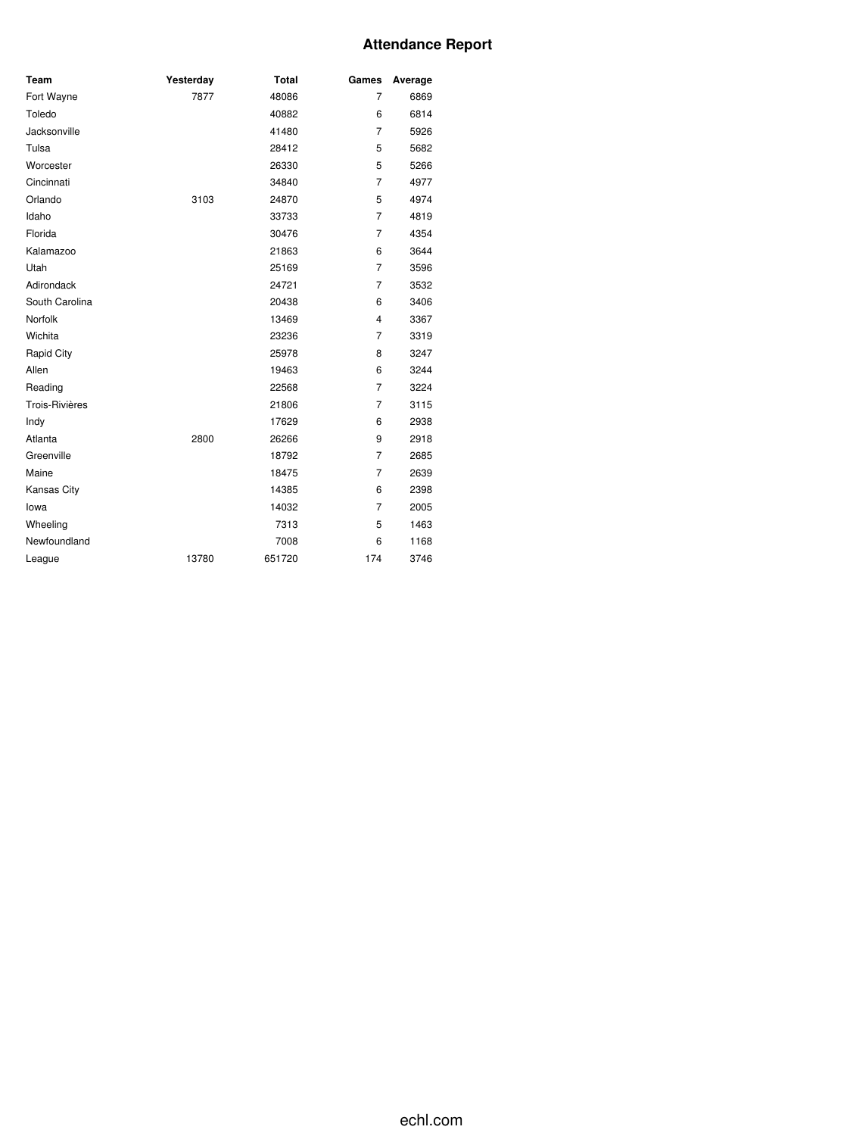### **Attendance Report**

| Team               | Yesterday | <b>Total</b> | Games          | Average |
|--------------------|-----------|--------------|----------------|---------|
| Fort Wayne         | 7877      | 48086        | $\overline{7}$ | 6869    |
| Toledo             |           | 40882        | 6              | 6814    |
| Jacksonville       |           | 41480        | $\overline{7}$ | 5926    |
| Tulsa              |           | 28412        | 5              | 5682    |
| Worcester          |           | 26330        | 5              | 5266    |
| Cincinnati         |           | 34840        | $\overline{7}$ | 4977    |
| Orlando            | 3103      | 24870        | 5              | 4974    |
| Idaho              |           | 33733        | $\overline{7}$ | 4819    |
| Florida            |           | 30476        | $\overline{7}$ | 4354    |
| Kalamazoo          |           | 21863        | 6              | 3644    |
| Utah               |           | 25169        | $\overline{7}$ | 3596    |
| Adirondack         |           | 24721        | $\overline{7}$ | 3532    |
| South Carolina     |           | 20438        | 6              | 3406    |
| Norfolk            |           | 13469        | 4              | 3367    |
| Wichita            |           | 23236        | $\overline{7}$ | 3319    |
| <b>Rapid City</b>  |           | 25978        | 8              | 3247    |
| Allen              |           | 19463        | 6              | 3244    |
| Reading            |           | 22568        | $\overline{7}$ | 3224    |
| Trois-Rivières     |           | 21806        | $\overline{7}$ | 3115    |
| Indy               |           | 17629        | 6              | 2938    |
| Atlanta            | 2800      | 26266        | 9              | 2918    |
| Greenville         |           | 18792        | $\overline{7}$ | 2685    |
| Maine              |           | 18475        | 7              | 2639    |
| <b>Kansas City</b> |           | 14385        | 6              | 2398    |
| lowa               |           | 14032        | $\overline{7}$ | 2005    |
| Wheeling           |           | 7313         | 5              | 1463    |
| Newfoundland       |           | 7008         | 6              | 1168    |
| League             | 13780     | 651720       | 174            | 3746    |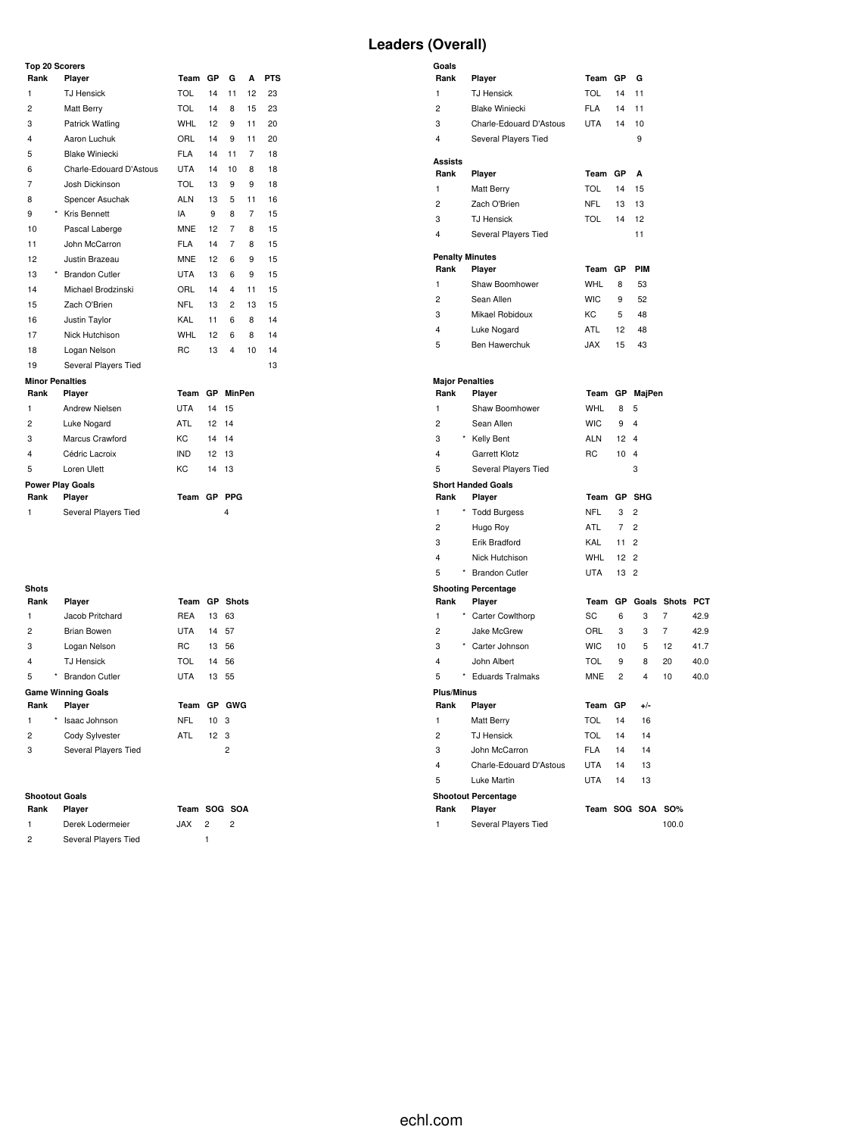# **Leaders (Overall)**

| Rank           | Player                  | Team       | GP              | G               | A  | <b>PTS</b> |
|----------------|-------------------------|------------|-----------------|-----------------|----|------------|
| 1              | <b>TJ Hensick</b>       | <b>TOL</b> | 14              | 11              | 12 | 23         |
| $\overline{c}$ | Matt Berry              | TOL        | 14              | 8               | 15 | 23         |
| 3              | Patrick Watling         | WHL        | 12              | 9               | 11 | 20         |
| 4              | Aaron Luchuk            | ORL        | 14              | 9               | 11 | 20         |
| 5              | <b>Blake Winiecki</b>   | FLA        | 14              | 11              | 7  | 18         |
| 6              | Charle-Edouard D'Astous | UTA        | 14              | 10 <sup>1</sup> | 8  | 18         |
| 7              | Josh Dickinson          | <b>TOL</b> | 13              | 9               | 9  | 18         |
| 8              | Spencer Asuchak         | <b>ALN</b> | 13              | 5               | 11 | 16         |
| 9              | * Kris Bennett          | IA         | 9               | 8               | 7  | 15         |
| 10             | Pascal Laberge          | <b>MNE</b> | 12              | 7               | 8  | 15         |
| 11             | John McCarron           | FLA        | 14              | 7               | 8  | 15         |
| 12             | Justin Brazeau          | <b>MNE</b> | 12 <sup>2</sup> | 6               | 9  | 15         |
| 13             | * Brandon Cutler        | UTA        | 13              | 6               | 9  | 15         |
| 14             | Michael Brodzinski      | ORL        | 14              | 4               | 11 | 15         |
| 15             | Zach O'Brien            | NFL        | 13              | 2               | 13 | 15         |
| 16             | Justin Taylor           | KAL        | 11              | 6               | 8  | 14         |
| 17             | Nick Hutchison          | WHL        | 12              | 6               | 8  | 14         |
| 18             | Logan Nelson            | RC.        | 13              | 4               | 10 | 14         |
| 19             | Several Players Tied    |            |                 |                 |    | 13         |
|                | <b>Minor Penalties</b>  |            |                 |                 |    |            |
| Rank           | Player                  | Team       | <b>GP</b>       | <b>MinPen</b>   |    |            |
| 1              | Andrew Nielsen          | UTA        | 14              | 15              |    |            |
| $\overline{c}$ | Luke Nogard             | ATL        | 12              | 14              |    |            |
| 3              | Marcus Crawford         | KC.        | 14              | 14              |    |            |
| 4              | Cédric Lacroix          | IND.       | 12              | 13              |    |            |
| 5              | Loren Ulett             | KC.        | 14              | 13              |    |            |
|                | <b>Power Play Goals</b> |            |                 |                 |    |            |
| Rank           | Player                  | Team       | GP              | <b>PPG</b>      |    |            |
| 1              | Several Players Tied    |            |                 | 4               |    |            |

| Shots |         |                           |             |                 |               |
|-------|---------|---------------------------|-------------|-----------------|---------------|
| Rank  |         | Player                    |             |                 | Team GP Shots |
| 1     |         | Jacob Pritchard           | <b>REA</b>  | 13 63           |               |
| 2     |         | Brian Bowen               | <b>UTA</b>  | 14 57           |               |
| 3     |         | Logan Nelson              | RC.         | 13 56           |               |
| 4     |         | <b>T.I Hensick</b>        | TOL         | 14 56           |               |
| 5     | $\star$ | <b>Brandon Cutler</b>     | <b>UTA</b>  | 13 55           |               |
|       |         | <b>Game Winning Goals</b> |             |                 |               |
| Rank  |         | Player                    | Team GP GWG |                 |               |
| 1     | *       | Isaac Johnson             | NFL         | 10 <sub>3</sub> |               |
| 2     |         | Cody Sylvester            | ATL         | 12 <sub>3</sub> |               |
| 3     |         | Several Players Tied      |             |                 | 2             |
|       |         |                           |             |                 |               |

# **Shootout Goals**

| Rank           | Plaver               | Team SOG SOA |   |
|----------------|----------------------|--------------|---|
| $\mathbf{1}$   | Derek Lodermeier     | $JAX$ 2      | 2 |
| $\overline{2}$ | Several Players Tied |              |   |

| Goals<br>Rank  | Player                     | Team GP    |                 | G                   |                 |      |
|----------------|----------------------------|------------|-----------------|---------------------|-----------------|------|
| 1              | <b>TJ Hensick</b>          | <b>TOL</b> | 14              | 11                  |                 |      |
| $\overline{c}$ | <b>Blake Winiecki</b>      | <b>FLA</b> | 14              | 11                  |                 |      |
| 3              | Charle-Edouard D'Astous    | <b>UTA</b> | 14              | 10                  |                 |      |
| 4              | Several Players Tied       |            |                 | 9                   |                 |      |
| Assists        |                            |            |                 |                     |                 |      |
| Rank           | Player                     | Team GP    |                 | A                   |                 |      |
| 1              | Matt Berry                 | <b>TOL</b> | 14              | 15                  |                 |      |
| $\overline{c}$ | Zach O'Brien               | <b>NFL</b> | 13              | 13                  |                 |      |
| 3              | <b>TJ Hensick</b>          | <b>TOL</b> | 14              | 12                  |                 |      |
| 4              | Several Players Tied       |            |                 | 11                  |                 |      |
|                | <b>Penalty Minutes</b>     |            |                 |                     |                 |      |
| Rank           | Player                     | Team GP    |                 | <b>PIM</b>          |                 |      |
| 1              | Shaw Boomhower             | <b>WHL</b> | 8               | 53                  |                 |      |
| $\overline{c}$ | Sean Allen                 | <b>WIC</b> | 9               | 52                  |                 |      |
| 3              | Mikael Robidoux            | KC         | 5               | 48                  |                 |      |
| 4              | Luke Nogard                | <b>ATL</b> | 12              | 48                  |                 |      |
| 5              | <b>Ben Hawerchuk</b>       | <b>JAX</b> | 15              | 43                  |                 |      |
|                |                            |            |                 |                     |                 |      |
|                | <b>Major Penalties</b>     | Team       |                 | GP MajPen           |                 |      |
| Rank<br>1      | Player<br>Shaw Boomhower   | <b>WHL</b> |                 |                     |                 |      |
| $\overline{c}$ | Sean Allen                 | <b>WIC</b> | 8<br>9          | 5<br>$\overline{4}$ |                 |      |
| 3              | * Kelly Bent               | <b>ALN</b> | 12              | $\overline{4}$      |                 |      |
| 4              | <b>Garrett Klotz</b>       | RC         | 10              | 4                   |                 |      |
| 5              | Several Players Tied       |            |                 | 3                   |                 |      |
|                | <b>Short Handed Goals</b>  |            |                 |                     |                 |      |
| Rank           | Player                     | Team       | GP              | <b>SHG</b>          |                 |      |
| 1              | <b>Todd Burgess</b>        | NFL        | 3               | 2                   |                 |      |
| 2              | Hugo Roy                   | <b>ATL</b> | 7               | $\overline{2}$      |                 |      |
| 3              | Erik Bradford              | KAL        | 11              | 2                   |                 |      |
| 4              | Nick Hutchison             | <b>WHL</b> | 12 <sup>°</sup> | 2                   |                 |      |
| 5              | * Brandon Cutler           | <b>UTA</b> | 13              | $\overline{c}$      |                 |      |
|                | <b>Shooting Percentage</b> |            |                 |                     |                 |      |
| Rank           | Player                     | Team       | GP              |                     | Goals Shots PCT |      |
| 1              | * Carter Cowlthorp         | SC         | 6               | 3                   | 7               | 42.9 |
| 2              | Jake McGrew                | ORL        | 3               | 3                   | $\overline{7}$  | 42.9 |
| 3              | * Carter Johnson           | <b>WIC</b> | 10              | 5                   | 12              | 41.7 |
| 4              | John Albert                | <b>TOL</b> | 9               | 8                   | 20              | 40.0 |
| 5              | <b>Eduards Tralmaks</b>    | <b>MNE</b> | $\overline{c}$  | 4                   | 10              | 40.0 |
| Plus/Minus     |                            |            |                 |                     |                 |      |
| Rank           | Player                     | Team       | GР              | +/-                 |                 |      |
| 1              | Matt Berry                 | <b>TOL</b> | 14              | 16                  |                 |      |
| 2              | <b>TJ Hensick</b>          | <b>TOL</b> | 14              | 14                  |                 |      |
| 3              | John McCarron              | <b>FLA</b> | 14              | 14                  |                 |      |
| 4              | Charle-Edouard D'Astous    | <b>UTA</b> | 14              | 13                  |                 |      |
| 5              | Luke Martin                | <b>UTA</b> | 14              | 13                  |                 |      |
|                | <b>Shootout Percentage</b> |            |                 |                     |                 |      |
| Rank<br>1      | Player                     |            |                 | Team SOG SOA        | <b>SO%</b>      |      |
|                | Several Players Tied       |            |                 |                     | 100.0           |      |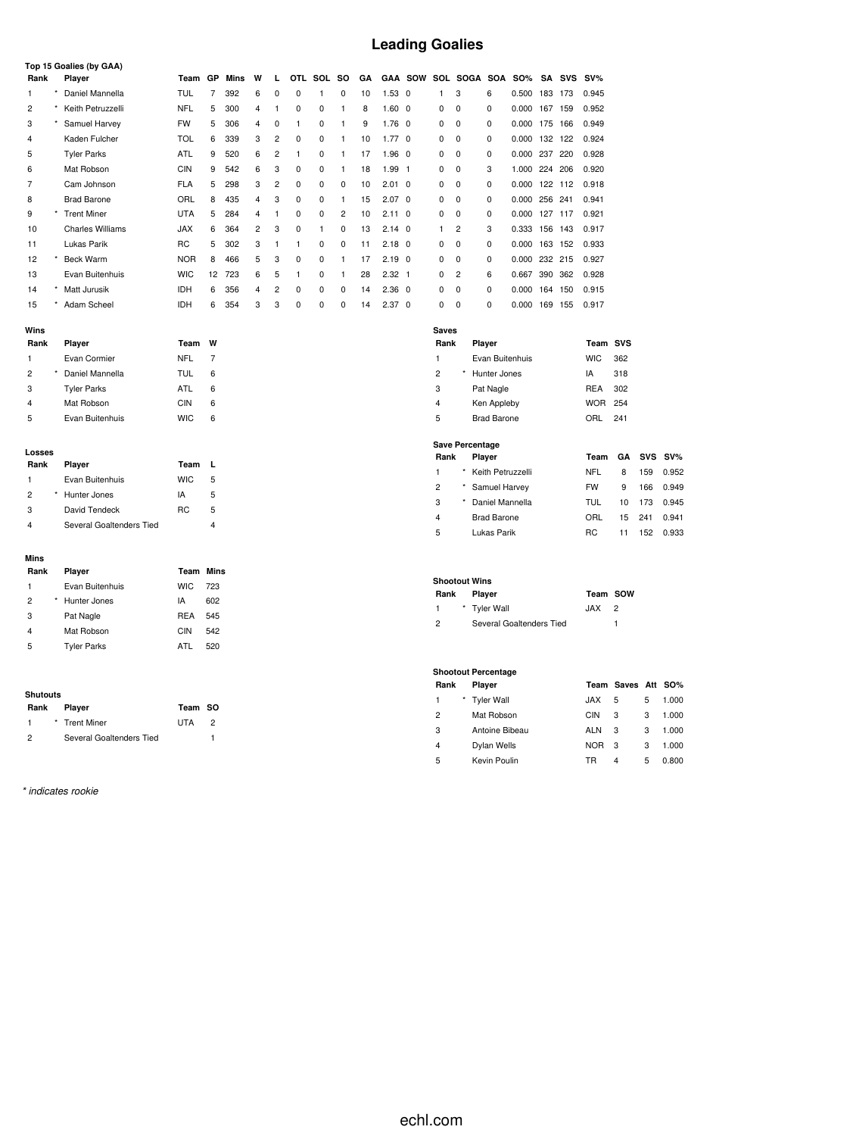# **Leading Goalies**

|      |         | Top 15 Goalies (by GAA) |            |    |      |   |                |          |          |                |    |                |                |   |                |            |            |     |            |        |
|------|---------|-------------------------|------------|----|------|---|----------------|----------|----------|----------------|----|----------------|----------------|---|----------------|------------|------------|-----|------------|--------|
| Rank |         | Player                  | Team       | GP | Mins | W | L              | OTL.     | SOL      | so             | GA |                | <b>GAA SOW</b> |   | SOL SOGA       | <b>SOA</b> | <b>SO%</b> | SA  | <b>SVS</b> | $SV\%$ |
|      | $\star$ | Daniel Mannella         | <b>TUL</b> |    | 392  | 6 | $\Omega$       | $\Omega$ |          | 0              | 10 | $1.53 \quad 0$ |                | 1 | 3              | 6          | 0.500      | 183 | 173        | 0.945  |
| 2    |         | Keith Petruzzelli       | <b>NFL</b> | 5  | 300  | 4 |                | 0        | 0        |                | 8  | $1.60$ 0       |                | 0 | $^{\circ}$     | 0          | 0.000      | 167 | 159        | 0.952  |
| 3    |         | Samuel Harvey           | <b>FW</b>  | 5  | 306  | 4 | 0              |          | 0        |                | 9  | $1.76 \quad 0$ |                | 0 | 0              | 0          | 0.000      | 175 | 166        | 0.949  |
| 4    |         | Kaden Fulcher           | <b>TOL</b> | 6  | 339  | 3 | 2              | 0        | 0        |                | 10 | 1.770          |                | 0 | $^{\circ}$     | 0          | 0.000      | 132 | 122        | 0.924  |
| 5    |         | <b>Tyler Parks</b>      | <b>ATL</b> | 9  | 520  | 6 | 2              |          | 0        |                | 17 | $1.96 \quad 0$ |                | 0 | 0              | 0          | 0.000      | 237 | 220        | 0.928  |
| 6    |         | Mat Robson              | <b>CIN</b> | 9  | 542  | 6 | 3              | $\Omega$ | $\Omega$ |                | 18 | 1.99           | $\mathbf{1}$   | 0 | 0              | 3          | 1.000      | 224 | 206        | 0.920  |
|      |         | Cam Johnson             | <b>FLA</b> | 5  | 298  | 3 | $\overline{2}$ | 0        | 0        | 0              | 10 | $2.01$ 0       |                | 0 | $^{\circ}$     | 0          | 0.000      | 122 | 112        | 0.918  |
| 8    |         | <b>Brad Barone</b>      | ORL        | 8  | 435  | 4 | 3              | 0        | 0        |                | 15 | $2.07 \quad 0$ |                | 0 | 0              | 0          | 0.000      | 256 | 241        | 0.941  |
| 9    | *       | <b>Trent Miner</b>      | <b>UTA</b> | 5  | 284  | 4 |                | $\Omega$ | $\Omega$ | $\overline{c}$ | 10 | $2.11 \quad 0$ |                | 0 | 0              | 0          | 0.000      | 127 | 117        | 0.921  |
| 10   |         | <b>Charles Williams</b> | <b>JAX</b> | 6  | 364  | 2 | 3              | $\Omega$ |          | 0              | 13 | $2.14 \quad 0$ |                | 1 | 2              | 3          | 0.333      | 156 | 143        | 0.917  |
| 11   |         | Lukas Parik             | RC         | 5  | 302  | 3 |                |          | 0        | $\Omega$       | 11 | $2.18$ 0       |                | 0 | $^{\circ}$     | 0          | 0.000      | 163 | 152        | 0.933  |
| 12   | $\star$ | Beck Warm               | <b>NOR</b> | 8  | 466  | 5 | 3              | $\Omega$ | 0        |                | 17 | $2.19$ 0       |                | 0 | $^{\circ}$     | 0          | 0.000      | 232 | 215        | 0.927  |
| 13   |         | Evan Buitenhuis         | <b>WIC</b> | 12 | 723  | 6 | 5              |          | $\Omega$ |                | 28 | $2.32 \quad 1$ |                | 0 | $\overline{2}$ | 6          | 0.667      | 390 | 362        | 0.928  |
| 14   | $\star$ | Matt Jurusik            | <b>IDH</b> | 6  | 356  | 4 | 2              | $\Omega$ | $\Omega$ | 0              | 14 | $2.36 \quad 0$ |                | 0 | 0              | 0          | 0.000      | 164 | 150        | 0.915  |
| 15   |         | Adam Scheel             | <b>IDH</b> | 6  | 354  | 3 | 3              | 0        | 0        | 0              | 14 | 2.37           | 0              | 0 | 0              | $\Omega$   | 0.000      | 169 | 155        | 0.917  |

| Rank | Player             | Team       | w |
|------|--------------------|------------|---|
| 1    | Evan Cormier       | NFL        |   |
| 2    | Daniel Mannella    | TUL        | 6 |
| 3    | <b>Tyler Parks</b> | ATL        | 6 |
| 4    | Mat Robson         | CIN        | 6 |
| 5    | Evan Buitenhuis    | <b>WIC</b> | 6 |

### **Losses**

| Rank          | Player                   | Team           | ш |
|---------------|--------------------------|----------------|---|
| $\mathbf{1}$  | Evan Buitenhuis          | <b>WIC</b>     | 5 |
| $\mathcal{P}$ | Hunter Jones             | IA             | 5 |
| 3             | David Tendeck            | R <sub>C</sub> | 5 |
|               | Several Goaltenders Tied |                | 4 |

#### **Mins**

| Rank           | Player             | Team       | Mins |
|----------------|--------------------|------------|------|
| 1              | Evan Buitenhuis    | <b>WIC</b> | 723  |
| $\overline{2}$ | Hunter Jones       | IA         | 602  |
| 3              | Pat Nagle          | <b>REA</b> | 545  |
| 4              | Mat Robson         | CIN        | 542  |
| 5              | <b>Tyler Parks</b> | ATI        | 520  |
|                |                    |            |      |

#### **Shutouts**

| Rank           | Player                   | Team SO    |  |
|----------------|--------------------------|------------|--|
|                | * Trent Miner            | <b>UTA</b> |  |
| $\overline{2}$ | Several Goaltenders Tied |            |  |

*\* indicates rookie*

| Saves<br>Rank |   | Player             | Team SVS   |     |
|---------------|---|--------------------|------------|-----|
| 1             |   | Evan Buitenhuis    | WIC.       | 362 |
| 2             | * | Hunter Jones       | IA         | 318 |
| 3             |   | Pat Nagle          | REA        | 302 |
| 4             |   | Ken Appleby        | <b>WOR</b> | 254 |
| 5             |   | <b>Brad Barone</b> |            | 241 |

### **Save Percentage**

| Rank |            | Player             | Team      |    |     | GA SVS SV% |
|------|------------|--------------------|-----------|----|-----|------------|
| 1    | $^{\star}$ | Keith Petruzzelli  | NFL       | 8  | 159 | 0.952      |
| 2    |            | * Samuel Harvey    | <b>FW</b> | 9  | 166 | 0.949      |
| 3    |            | Daniel Mannella    | TUL       | 10 | 173 | 0.945      |
| 4    |            | <b>Brad Barone</b> | ORL       | 15 | 241 | 0.941      |
| 5    |            | Lukas Parik        | RC.       | 11 | 152 | 0.933      |

#### **Shootout Wins**

| Snootout wins  |  |                          |          |  |  |  |  |  |
|----------------|--|--------------------------|----------|--|--|--|--|--|
| Rank           |  | <b>Plaver</b>            | Team SOW |  |  |  |  |  |
| $\mathbf{1}$   |  | * Tvler Wall             | $JAX$ 2  |  |  |  |  |  |
| $\mathfrak{p}$ |  | Several Goaltenders Tied |          |  |  |  |  |  |

#### **Shootout Percentage**

| Rank           | Player         |            | Team Saves Att SO% |   |       |
|----------------|----------------|------------|--------------------|---|-------|
| 1              | * Tyler Wall   | <b>JAX</b> | 5                  | 5 | 1.000 |
| $\overline{2}$ | Mat Robson     | CIN        | 3                  | 3 | 1.000 |
| 3              | Antoine Bibeau | <b>ALN</b> | 3                  | 3 | 1.000 |
| $\overline{4}$ | Dylan Wells    | <b>NOR</b> | 3                  | 3 | 1.000 |
| 5              | Kevin Poulin   | TR         | 4                  | 5 | 0.800 |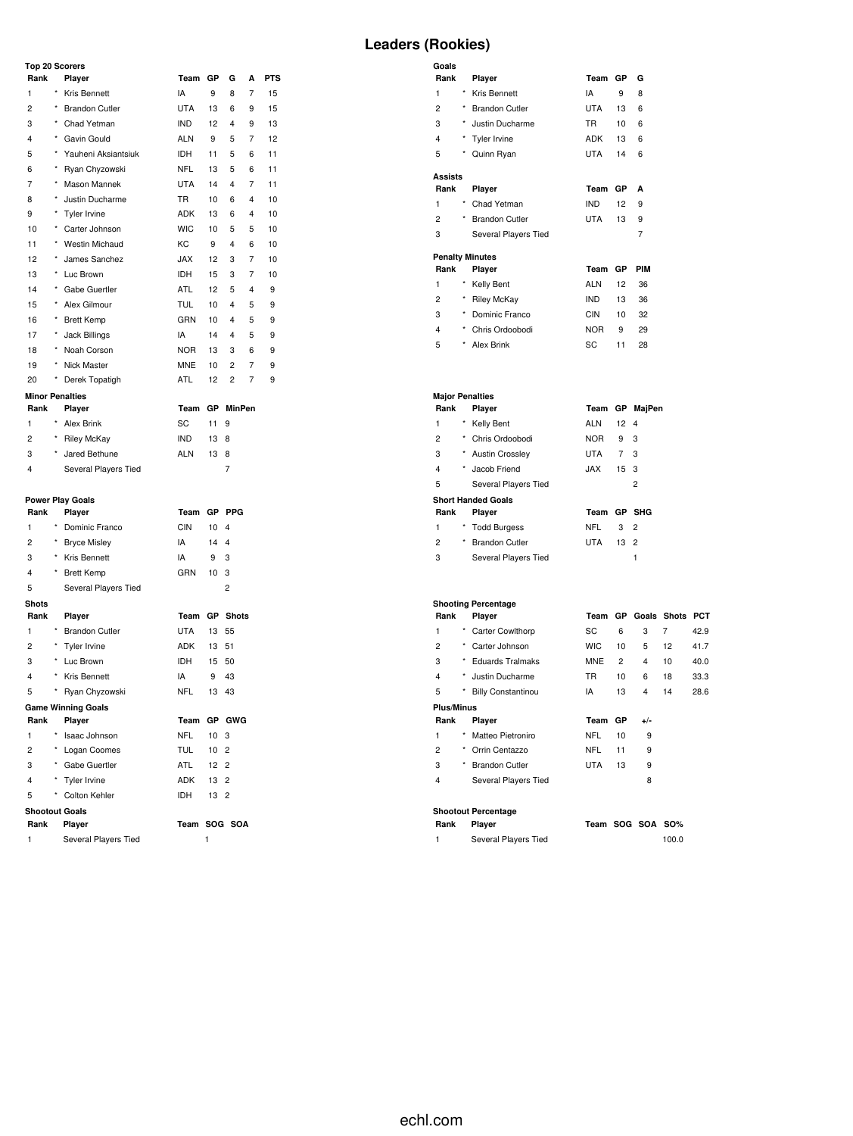### **Top 20 Scorers**

| Rank                         | Player                                    | Team GP        |                 | G                       | A              | <b>PTS</b> | Rank                    |          | Player                               | Team GP     |                 | G                |                 |      |
|------------------------------|-------------------------------------------|----------------|-----------------|-------------------------|----------------|------------|-------------------------|----------|--------------------------------------|-------------|-----------------|------------------|-----------------|------|
| 1                            | Kris Bennett                              | IA             | 9               | 8                       | 7              | 15         | 1                       |          | * Kris Bennett                       | IA          | 9               | 8                |                 |      |
| $\overline{c}$               | <b>Brandon Cutler</b>                     | <b>UTA</b>     | 13              | 6                       | 9              | 15         | $\overline{c}$          |          | <b>Brandon Cutler</b>                | <b>UTA</b>  | 13              | 6                |                 |      |
| 3                            | * Chad Yetman                             | IND            | 12              | 4                       | 9              | 13         | 3                       | $^\star$ | Justin Ducharme                      | <b>TR</b>   | 10              | 6                |                 |      |
| 4                            | * Gavin Gould                             | <b>ALN</b>     | 9               | 5                       | 7              | 12         | 4                       |          | * Tyler Irvine                       | ADK         | 13              | 6                |                 |      |
| 5                            | * Yauheni Aksiantsiuk                     | IDH            | 11              | 5                       | 6              | 11         | 5                       |          | * Quinn Ryan                         | UTA         | 14              | - 6              |                 |      |
| 6                            | Ryan Chyzowski                            | <b>NFL</b>     | 13              | 5                       | 6              | 11         |                         |          |                                      |             |                 |                  |                 |      |
| $\overline{7}$               | * Mason Mannek                            | <b>UTA</b>     | 14              | 4                       | 7              | 11         | <b>Assists</b><br>Rank  |          | Player                               | Team GP     |                 | A                |                 |      |
| 8                            | * Justin Ducharme                         | TR             | 10              | 6                       | 4              | 10         | $\mathbf{1}$            |          | Chad Yetman                          | <b>IND</b>  | 12              | 9                |                 |      |
| 9                            | * Tyler Irvine                            | ADK            | 13              | 6                       | 4              | 10         | $\overline{\mathbf{c}}$ |          | <b>Brandon Cutler</b>                | <b>UTA</b>  | 13              | 9                |                 |      |
| 10                           | * Carter Johnson                          | <b>WIC</b>     | 10              | 5                       | 5              | 10         | 3                       |          |                                      |             |                 | $\overline{7}$   |                 |      |
| 11                           | * Westin Michaud                          | КC             | 9               | 4                       | 6              | 10         |                         |          | Several Players Tied                 |             |                 |                  |                 |      |
| 12                           | * James Sanchez                           | <b>JAX</b>     | 12              | 3                       | 7              | 10         | <b>Penalty Minutes</b>  |          |                                      |             |                 |                  |                 |      |
| 13                           | * Luc Brown                               | <b>IDH</b>     | 15              | 3                       | 7              | 10         | Rank                    |          | Player                               | Team GP     |                 | <b>PIM</b>       |                 |      |
| 14                           | * Gabe Guertler                           | ATL            | 12              | 5                       | 4              | 9          | 1                       |          | * Kelly Bent                         | <b>ALN</b>  | 12              | 36               |                 |      |
| 15                           | * Alex Gilmour                            | <b>TUL</b>     | 10              | 4                       | 5              | 9          | $\overline{c}$          |          | * Riley McKay                        | <b>IND</b>  | 13              | 36               |                 |      |
| 16                           | * Brett Kemp                              | GRN            | 10              | 4                       | 5              | 9          | 3                       |          | * Dominic Franco                     | <b>CIN</b>  | 10              | 32               |                 |      |
| 17                           | Jack Billings                             | IA             | 14              | 4                       | 5              | 9          | 4                       |          | * Chris Ordoobodi                    | <b>NOR</b>  | 9               | 29               |                 |      |
| 18                           | * Noah Corson                             | <b>NOR</b>     | 13              | 3                       | 6              | 9          | 5                       |          | * Alex Brink                         | SC          | 11              | 28               |                 |      |
| 19                           | * Nick Master                             | <b>MNE</b>     | 10              | 2                       | $\overline{7}$ | 9          |                         |          |                                      |             |                 |                  |                 |      |
| 20                           | * Derek Topatigh                          | ATL            | 12              | $\overline{\mathbf{c}}$ | 7              | 9          |                         |          |                                      |             |                 |                  |                 |      |
| <b>Minor Penalties</b>       |                                           |                |                 |                         |                |            | <b>Major Penalties</b>  |          |                                      |             |                 |                  |                 |      |
| Rank                         | Player                                    | Team GP MinPen |                 |                         |                |            | Rank                    |          | Player                               |             |                 | Team GP MajPen   |                 |      |
| 1                            | * Alex Brink                              | SC             | 11 9            |                         |                |            | 1                       |          | * Kelly Bent                         | <b>ALN</b>  | $12 \quad 4$    |                  |                 |      |
| 2                            | <b>Riley McKay</b>                        | <b>IND</b>     | 13 8            |                         |                |            | $\overline{\mathbf{c}}$ |          | * Chris Ordoobodi                    | <b>NOR</b>  | 9               | 3                |                 |      |
| 3                            | * Jared Bethune                           | <b>ALN</b>     | 13 8            |                         |                |            | 3                       |          | * Austin Crossley                    | <b>UTA</b>  | $7^{\circ}$     | 3                |                 |      |
| 4                            | Several Players Tied                      |                |                 | $\overline{7}$          |                |            | 4                       |          | Jacob Friend                         | JAX         | 15 <sub>3</sub> |                  |                 |      |
|                              |                                           |                |                 |                         |                |            | 5                       |          | Several Players Tied                 |             |                 | $\overline{c}$   |                 |      |
|                              |                                           |                |                 |                         |                |            |                         |          |                                      |             |                 |                  |                 |      |
| Rank                         | <b>Power Play Goals</b><br>Player         | Team GP PPG    |                 |                         |                |            | Rank                    |          | <b>Short Handed Goals</b><br>Player  | Team GP SHG |                 |                  |                 |      |
| $\mathbf{1}$                 | Dominic Franco                            | <b>CIN</b>     | 10 <sub>4</sub> |                         |                |            | $\mathbf{1}$            |          | <b>Todd Burgess</b>                  | <b>NFL</b>  | 3 <sup>1</sup>  | $\overline{c}$   |                 |      |
| $\overline{c}$               | <b>Bryce Misley</b>                       | IA             | 144             |                         |                |            | $\overline{\mathbf{c}}$ |          | <b>Brandon Cutler</b>                | <b>UTA</b>  | 13 2            |                  |                 |      |
| 3                            | Kris Bennett                              | IA             | 9               | - 3                     |                |            | 3                       |          | Several Players Tied                 |             |                 | $\mathbf{1}$     |                 |      |
|                              |                                           |                |                 |                         |                |            |                         |          |                                      |             |                 |                  |                 |      |
| $\overline{4}$<br>$\sqrt{5}$ | <b>Brett Kemp</b><br>Several Players Tied | GRN            | 10 <sub>3</sub> | $\overline{\mathbf{c}}$ |                |            |                         |          |                                      |             |                 |                  |                 |      |
|                              |                                           |                |                 |                         |                |            |                         |          |                                      |             |                 |                  |                 |      |
| <b>Shots</b><br>Rank         | Player                                    | Team GP Shots  |                 |                         |                |            | Rank                    |          | <b>Shooting Percentage</b><br>Player | Team GP     |                 |                  | Goals Shots PCT |      |
| $\mathbf{1}$                 | <b>Brandon Cutler</b>                     | UTA            | 13 55           |                         |                |            | 1                       |          | <b>Carter Cowlthorp</b>              | SC          | 6               | 3                | $\overline{7}$  | 42.9 |
| 2                            | * Tyler Irvine                            | ADK            | 13 51           |                         |                |            | 2                       |          | * Carter Johnson                     | <b>WIC</b>  | 10              | 5                | 12              | 41.7 |
| 3                            | * Luc Brown                               | <b>IDH</b>     | 15 50           |                         |                |            | 3                       |          | <b>Eduards Tralmaks</b>              | <b>MNE</b>  | $\overline{c}$  | 4                |                 | 40.0 |
|                              | * Kris Bennett                            |                |                 |                         |                |            | 4                       |          | * Justin Ducharme                    | <b>TR</b>   |                 |                  | 10              |      |
| 4                            |                                           | IA             | 9               | 43                      |                |            | 5                       |          |                                      |             | 10              | 6                | 18              | 33.3 |
| 5                            | * Ryan Chyzowski                          | <b>NFL</b>     | 13 43           |                         |                |            |                         |          | <b>Billy Constantinou</b>            | IA          | 13              | $\overline{4}$   | 14              | 28.6 |
|                              | <b>Game Winning Goals</b>                 | Team GP GWG    |                 |                         |                |            | <b>Plus/Minus</b>       |          |                                      |             |                 |                  |                 |      |
| Rank                         | Player                                    |                |                 |                         |                |            | Rank<br>1               | $\star$  | Player<br>Matteo Pietroniro          | Team        | GP              | $+/-$            |                 |      |
| $\mathbf{1}$                 | Isaac Johnson                             | <b>NFL</b>     | 10 <sub>3</sub> |                         |                |            |                         |          |                                      | NFL         | 10              | 9                |                 |      |
| $\overline{c}$               | * Logan Coomes                            | <b>TUL</b>     | 10 <sub>2</sub> |                         |                |            | $\overline{\mathbf{c}}$ |          | * Orrin Centazzo                     | NFL         | 11              | 9                |                 |      |
| 3                            | * Gabe Guertler                           | ATL            | 12 <sub>2</sub> |                         |                |            | 3                       |          | * Brandon Cutler                     | UTA         | 13              | 9                |                 |      |
| 4                            | * Tyler Irvine                            | ADK            | 13 2            |                         |                |            | 4                       |          | Several Players Tied                 |             |                 | 8                |                 |      |
| $\sqrt{5}$                   | Colton Kehler                             | IDH            | 13 2            |                         |                |            |                         |          |                                      |             |                 |                  |                 |      |
| <b>Shootout Goals</b>        |                                           |                |                 |                         |                |            |                         |          | <b>Shootout Percentage</b>           |             |                 |                  |                 |      |
| Rank                         | Player                                    | Team SOG SOA   |                 |                         |                |            | Rank                    |          | Player                               |             |                 | Team SOG SOA SO% |                 |      |
| 1                            | Several Players Tied                      |                | 1               |                         |                |            | $\mathbf{1}$            |          | Several Players Tied                 |             |                 |                  | 100.0           |      |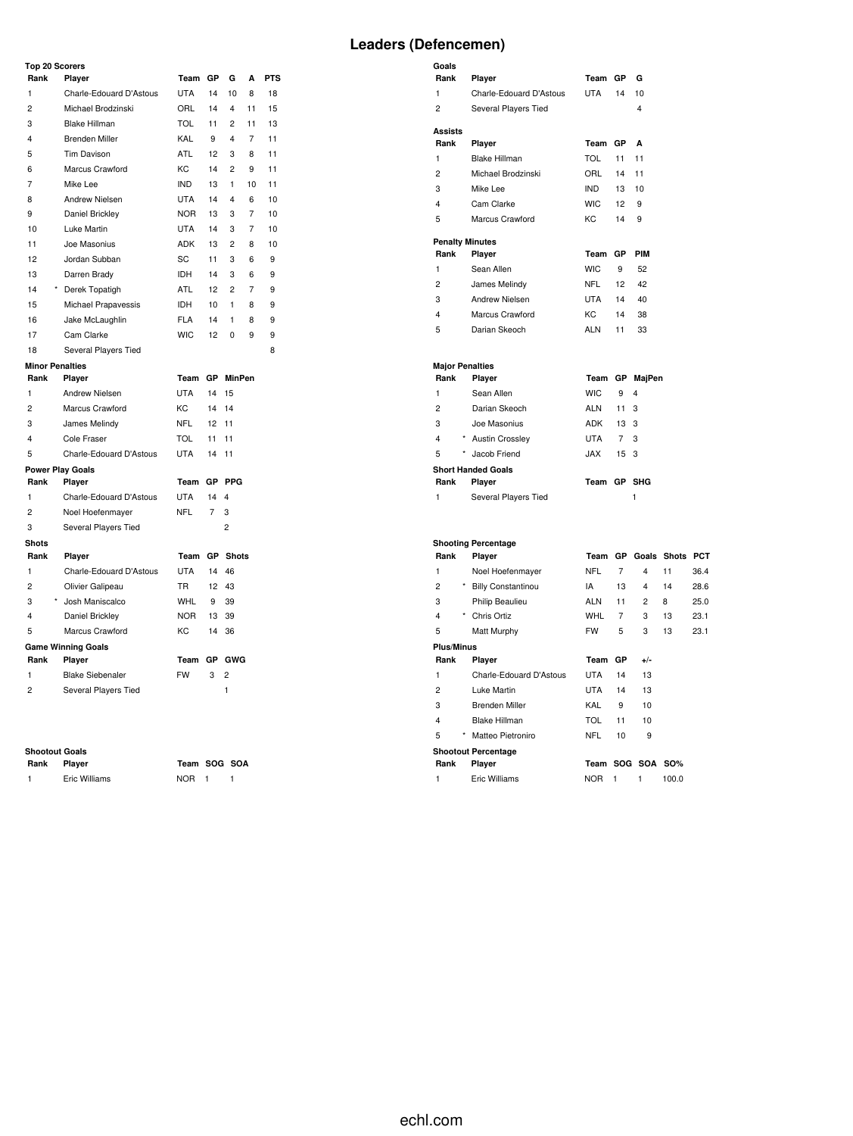### **Top 20 Scorers**

| י קטו                   | , ocorer a                 |            |    |                         |    |            |
|-------------------------|----------------------------|------------|----|-------------------------|----|------------|
| Rank                    | Player                     | Team       | GP | G                       | Α  | <b>PTS</b> |
| 1                       | Charle-Edouard D'Astous    | <b>UTA</b> | 14 | 10                      | 8  | 18         |
| $\overline{c}$          | Michael Brodzinski         | ORL        | 14 | 4                       | 11 | 15         |
| 3                       | <b>Blake Hillman</b>       | <b>TOL</b> | 11 | $\overline{c}$          | 11 | 13         |
| $\overline{\mathbf{4}}$ | <b>Brenden Miller</b>      | KAL        | 9  | $\overline{4}$          | 7  | 11         |
| 5                       | Tim Davison                | <b>ATL</b> | 12 | 3                       | 8  | 11         |
| 6                       | Marcus Crawford            | KC         | 14 | $\overline{2}$          | 9  | 11         |
| $\overline{7}$          | Mike Lee                   | <b>IND</b> | 13 | $\mathbf{1}$            | 10 | 11         |
| 8                       | <b>Andrew Nielsen</b>      | <b>UTA</b> | 14 | $\overline{\mathbf{4}}$ | 6  | 10         |
| 9                       | Daniel Brickley            | <b>NOR</b> | 13 | 3                       | 7  | 10         |
| 10                      | Luke Martin                | <b>UTA</b> | 14 | 3                       | 7  | 10         |
| 11                      | Joe Masonius               | <b>ADK</b> | 13 | $\overline{c}$          | 8  | 10         |
| 12                      | Jordan Subban              | SC         | 11 | 3                       | 6  | 9          |
| 13                      | Darren Brady               | <b>IDH</b> | 14 | 3                       | 6  | 9          |
| 14                      | $^\star$<br>Derek Topatigh | <b>ATL</b> | 12 | $\overline{2}$          | 7  | 9          |
| 15                      | Michael Prapavessis        | <b>IDH</b> | 10 | $\mathbf{1}$            | 8  | 9          |
| 16                      | Jake McLaughlin            | <b>FLA</b> | 14 | 1                       | 8  | 9          |
| 17                      | Cam Clarke                 | <b>WIC</b> | 12 | 0                       | 9  | 9          |
| 18                      | Several Players Tied       |            |    |                         |    | 8          |
| <b>Minor Penalties</b>  |                            |            |    |                         |    |            |
| Rank                    | Player                     | Team       |    | GP MinPen               |    |            |
| $\mathbf{1}$            | Andrew Nielsen             | <b>UTA</b> | 14 | 15                      |    |            |
| $\overline{2}$          | Marcus Crawford            | KC         | 14 | 14                      |    |            |
| 3                       | James Melindy              | <b>NFL</b> | 12 | 11                      |    |            |
| 4                       | Cole Fraser                | <b>TOL</b> | 11 | 11                      |    |            |
| 5                       | Charle-Edouard D'Astous    | <b>UTA</b> | 14 | 11                      |    |            |
|                         | <b>Power Play Goals</b>    |            |    |                         |    |            |
| Rank                    | Player                     | Team       | GP | <b>PPG</b>              |    |            |
| 1                       | Charle-Edouard D'Astous    | <b>UTA</b> | 14 | $\overline{\mathbf{4}}$ |    |            |
| 2                       | Noel Hoefenmayer           | <b>NFL</b> | 7  | 3                       |    |            |
| 3                       | Several Players Tied       |            |    | $\overline{c}$          |    |            |
| <b>Shots</b>            |                            |            |    |                         |    |            |
| Rank                    | Player                     | Team       |    | <b>GP</b> Shots         |    |            |
| $\mathbf{1}$            | Charle-Edouard D'Astous    | <b>UTA</b> | 14 | 46                      |    |            |
| $\overline{c}$          | Olivier Galipeau           | <b>TR</b>  | 12 | 43                      |    |            |
| 3                       | $\star$<br>Josh Maniscalco | <b>WHL</b> | 9  | 39                      |    |            |
| 4                       | Daniel Brickley            | <b>NOR</b> | 13 | 39                      |    |            |
| 5                       | Marcus Crawford            | KC         | 14 | 36                      |    |            |
|                         | <b>Game Winning Goals</b>  |            |    |                         |    |            |
| Rank                    | Player                     | Team       | GP | <b>GWG</b>              |    |            |
| $\mathbf{1}$            | <b>Blake Siebenaler</b>    | <b>FW</b>  | 3  | $\overline{c}$          |    |            |
| 2                       | Several Players Tied       |            |    | 1                       |    |            |

#### **Shootout Goals**

| Rank | Player        |
|------|---------------|
| -1   | Eric Williams |

**Rank Player Team SOG SOA** NOR 1 1

| Goals                   |                            |            |                |                         |    |      |
|-------------------------|----------------------------|------------|----------------|-------------------------|----|------|
| Rank                    | Player                     | Team       | GP             | G                       |    |      |
| $\mathbf{1}$            | Charle-Edouard D'Astous    | <b>UTA</b> | 14             | 10                      |    |      |
| $\overline{c}$          | Several Players Tied       |            |                | 4                       |    |      |
| <b>Assists</b>          |                            |            |                |                         |    |      |
| Rank                    | Player                     | Team       | GP             | A                       |    |      |
| $\mathbf{1}$            | <b>Blake Hillman</b>       | TOL        | 11             | 11                      |    |      |
| $\overline{2}$          | Michael Brodzinski         | ORL        | 14             | 11                      |    |      |
| 3                       | Mike Lee                   | <b>IND</b> | 13             | 10                      |    |      |
| $\overline{\mathbf{4}}$ | Cam Clarke                 | <b>WIC</b> | 12             | 9                       |    |      |
| 5                       | Marcus Crawford            | <b>KC</b>  | 14             | 9                       |    |      |
|                         | <b>Penalty Minutes</b>     |            |                |                         |    |      |
| Rank                    | Player                     | Team       | GP             | PIM                     |    |      |
| 1                       | Sean Allen                 | <b>WIC</b> | 9              | 52                      |    |      |
| $\overline{c}$          | James Melindy              | NFL        | 12             | 42                      |    |      |
| 3                       | Andrew Nielsen             | <b>UTA</b> | 14             | 40                      |    |      |
| 4                       | Marcus Crawford            | KC         | 14             | 38                      |    |      |
| 5                       | Darian Skeoch              | <b>ALN</b> | 11             | 33                      |    |      |
|                         | <b>Major Penalties</b>     |            |                |                         |    |      |
| Rank                    | Player                     |            |                | Team GP MajPen          |    |      |
| 1                       | Sean Allen                 | <b>WIC</b> | 9              | 4                       |    |      |
| $\overline{2}$          | Darian Skeoch              | <b>ALN</b> | 11             | 3                       |    |      |
| 3                       | Joe Masonius               | <b>ADK</b> | 13             | -3                      |    |      |
| 4                       | * Austin Crossley          | <b>UTA</b> | $\overline{7}$ | 3                       |    |      |
| 5                       | Jacob Friend               | <b>JAX</b> | 15             | 3                       |    |      |
|                         | <b>Short Handed Goals</b>  |            |                |                         |    |      |
| Rank                    | Player                     | Team GP    |                | <b>SHG</b>              |    |      |
| 1                       | Several Players Tied       |            |                | $\mathbf{1}$            |    |      |
|                         | <b>Shooting Percentage</b> |            |                |                         |    |      |
| Rank                    | Player                     |            |                | Team GP Goals Shots PCT |    |      |
| $\mathbf{1}$            | Noel Hoefenmayer           | <b>NFL</b> | $\overline{7}$ | $\overline{\mathbf{4}}$ | 11 | 36.4 |
| $\overline{2}$          | * Billy Constantinou       | IA         | 13             | $\overline{\mathbf{4}}$ | 14 | 28.6 |
| 3                       | Philip Beaulieu            | <b>ALN</b> | 11             | 2                       | 8  | 25.0 |
| 4                       | * Chris Ortiz              | <b>WHL</b> | 7              | 3                       | 13 | 23.1 |
| 5                       | Matt Murphy                | <b>FW</b>  | 5              | 3                       | 13 | 23.1 |
| <b>Plus/Minus</b>       |                            |            |                |                         |    |      |
| Rank                    | Player                     | Team GP    |                | $+/-$                   |    |      |
| 1                       | Charle-Edouard D'Astous    | <b>UTA</b> | 14             | 13                      |    |      |
| $\overline{c}$          | Luke Martin                | <b>UTA</b> | 14             | 13                      |    |      |
| 3                       | <b>Brenden Miller</b>      | KAL        | 9              | 10                      |    |      |
| $\overline{\mathbf{4}}$ | <b>Blake Hillman</b>       | <b>TOL</b> | 11             | 10                      |    |      |
| 5                       | Matteo Pietroniro          | <b>NFL</b> | 10             | 9                       |    |      |
|                         |                            |            |                |                         |    |      |

**Shootout Percentage**

| Rank | <b>Plaver</b> | Team SOG SOA SO% |  |       |
|------|---------------|------------------|--|-------|
|      | Eric Williams | NOR.             |  | 100.0 |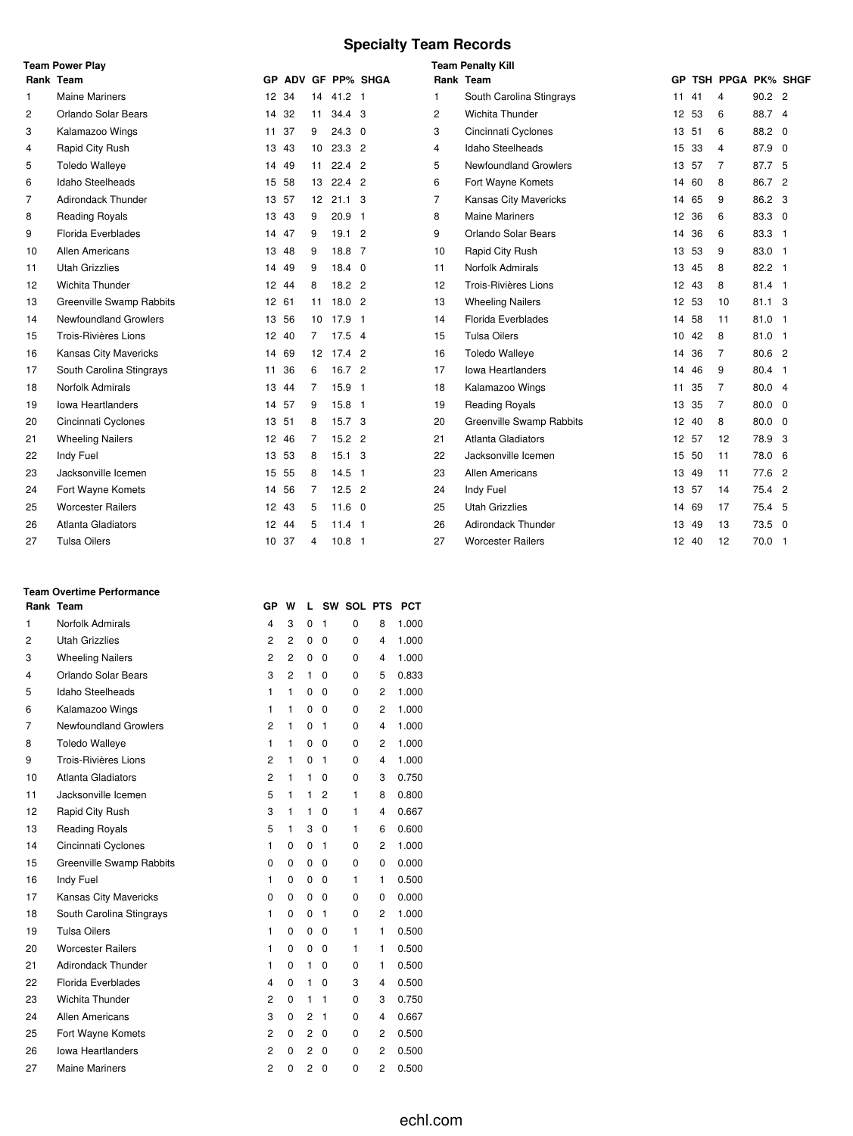# **Specialty Team Records**

| <b>Team Power Play</b> |                           |       |    |                |                   |                    | <b>Team Penalty Kill</b> |                              |       |    |                   |                |  |  |  |  |  |
|------------------------|---------------------------|-------|----|----------------|-------------------|--------------------|--------------------------|------------------------------|-------|----|-------------------|----------------|--|--|--|--|--|
|                        | Rank Team                 |       |    |                |                   | GP ADV GF PP% SHGA | Rank Team                |                              | GP.   |    | TSH PPGA PK% SHGF |                |  |  |  |  |  |
| 1                      | <b>Maine Mariners</b>     | 12 34 |    | 14             | $41.2$ 1          |                    | 1                        | South Carolina Stingrays     | 11    | 41 | 4                 | 90.2 2         |  |  |  |  |  |
| 2                      | Orlando Solar Bears       | 14 32 |    | 11             | 34.4 <sup>3</sup> |                    | 2                        | Wichita Thunder              | 12 53 |    | 6                 | 88.7 4         |  |  |  |  |  |
| 3                      | Kalamazoo Wings           | 11    | 37 | 9              | $24.3$ 0          |                    | 3                        | Cincinnati Cyclones          | 13 51 |    | 6                 | 88.2 0         |  |  |  |  |  |
| 4                      | Rapid City Rush           | 13    | 43 | 10             | $23.3$ 2          |                    | 4                        | Idaho Steelheads             | 15    | 33 | 4                 | 87.9 0         |  |  |  |  |  |
| 5                      | <b>Toledo Walleye</b>     | 14 49 |    | 11             | $22.4$ 2          |                    | 5                        | <b>Newfoundland Growlers</b> | 13 57 |    | 7                 | 87.7 5         |  |  |  |  |  |
| 6                      | Idaho Steelheads          | 15 58 |    | 13             | $22.4$ 2          |                    | 6                        | Fort Wayne Komets            | 14 60 |    | 8                 | 86.7 2         |  |  |  |  |  |
| $\overline{7}$         | <b>Adirondack Thunder</b> | 13 57 |    |                | 12 21.1 3         |                    | $\overline{7}$           | Kansas City Mavericks        | 14    | 65 | 9                 | 86.2 3         |  |  |  |  |  |
| 8                      | <b>Reading Royals</b>     | 13    | 43 | 9              | $20.9$ 1          |                    | 8                        | <b>Maine Mariners</b>        | 12 36 |    | 6                 | 83.3 0         |  |  |  |  |  |
| 9                      | Florida Everblades        | 14 47 |    | 9              | 19.12             |                    | 9                        | Orlando Solar Bears          | 14    | 36 | 6                 | 83.3 1         |  |  |  |  |  |
| 10                     | Allen Americans           | 13    | 48 | 9              | 18.8 7            |                    | 10                       | Rapid City Rush              | 13 53 |    | 9                 | 83.0 1         |  |  |  |  |  |
| 11                     | <b>Utah Grizzlies</b>     | 14    | 49 | 9              | $18.4 \quad 0$    |                    | 11                       | Norfolk Admirals             | 13 45 |    | 8                 | 82.2 1         |  |  |  |  |  |
| 12                     | Wichita Thunder           | 12 44 |    | 8              | $18.2$ 2          |                    | 12                       | Trois-Rivières Lions         | 12 43 |    | 8                 | $81.4$ 1       |  |  |  |  |  |
| 13                     | Greenville Swamp Rabbits  | 12 61 |    | 11             | 18.02             |                    | 13                       | <b>Wheeling Nailers</b>      | 12 53 |    | 10                | $81.1 \quad 3$ |  |  |  |  |  |
| 14                     | Newfoundland Growlers     | 13 56 |    | 10             | $17.9$ 1          |                    | 14                       | Florida Everblades           | 14    | 58 | 11                | $81.0$ 1       |  |  |  |  |  |
| 15                     | Trois-Rivières Lions      | 12 40 |    | $\overline{7}$ | $17.5$ 4          |                    | 15                       | <b>Tulsa Oilers</b>          | 10 42 |    | 8                 | 81.0 1         |  |  |  |  |  |
| 16                     | Kansas City Mavericks     | 14 69 |    |                | 12 17.4 2         |                    | 16                       | <b>Toledo Walleye</b>        | 14    | 36 | 7                 | 80.6 2         |  |  |  |  |  |
| 17                     | South Carolina Stingrays  | 11    | 36 | 6              | 16.7 2            |                    | 17                       | <b>Iowa Heartlanders</b>     | 14    | 46 | 9                 | 80.4 1         |  |  |  |  |  |
| 18                     | <b>Norfolk Admirals</b>   | 13 44 |    | 7              | 15.9 1            |                    | 18                       | Kalamazoo Wings              | 11 35 |    | 7                 | 80.0 4         |  |  |  |  |  |
| 19                     | <b>Iowa Heartlanders</b>  | 14    | 57 | 9              | $15.8$ 1          |                    | 19                       | <b>Reading Royals</b>        | 13    | 35 | 7                 | $80.0 \quad 0$ |  |  |  |  |  |
| 20                     | Cincinnati Cyclones       | 13 51 |    | 8              | 15.7 <sup>3</sup> |                    | 20                       | Greenville Swamp Rabbits     | 12 40 |    | 8                 | $80.0 \quad 0$ |  |  |  |  |  |
| 21                     | <b>Wheeling Nailers</b>   | 12 46 |    | 7              | $15.2$ 2          |                    | 21                       | Atlanta Gladiators           | 12 57 |    | 12                | 78.9 3         |  |  |  |  |  |
| 22                     | Indy Fuel                 | 13 53 |    | 8              | $15.1 \quad 3$    |                    | 22                       | Jacksonville Icemen          | 15 50 |    | 11                | 78.0 6         |  |  |  |  |  |
| 23                     | Jacksonville Icemen       | 15 55 |    | 8              | $14.5$ 1          |                    | 23                       | Allen Americans              | 13 49 |    | 11                | 77.6 2         |  |  |  |  |  |
| 24                     | Fort Wayne Komets         | 14    | 56 | 7              | $12.5$ 2          |                    | 24                       | Indy Fuel                    | 13 57 |    | 14                | 75.4 2         |  |  |  |  |  |
| 25                     | <b>Worcester Railers</b>  | 12 43 |    | 5              | $11.6 \quad 0$    |                    | 25                       | <b>Utah Grizzlies</b>        | 14 69 |    | 17                | 75.4 5         |  |  |  |  |  |
| 26                     | <b>Atlanta Gladiators</b> | 12 44 |    | 5              | $11.4$ 1          |                    | 26                       | <b>Adirondack Thunder</b>    | 13 49 |    | 13                | 73.5 0         |  |  |  |  |  |
| 27                     | <b>Tulsa Oilers</b>       | 10 37 |    | 4              | 10.8 <sub>1</sub> |                    | 27                       | <b>Worcester Railers</b>     | 12 40 |    | 12                | 70.0 1         |  |  |  |  |  |

### **Team Overtime Performance**

|    | Rank Team                    | GP             | w              | L              |              | SW SOL PTS |                         | <b>PCT</b> |
|----|------------------------------|----------------|----------------|----------------|--------------|------------|-------------------------|------------|
| 1  | Norfolk Admirals             | 4              | 3              | 0              | 1            | 0          | 8                       | 1.000      |
| 2  | <b>Utah Grizzlies</b>        | $\overline{c}$ | $\overline{2}$ | $\mathbf 0$    | 0            | 0          | $\overline{4}$          | 1.000      |
| 3  | <b>Wheeling Nailers</b>      | $\overline{c}$ | $\overline{2}$ | 0              | 0            | 0          | 4                       | 1.000      |
| 4  | Orlando Solar Bears          | 3              | $\overline{2}$ | 1              | 0            | 0          | 5                       | 0.833      |
| 5  | <b>Idaho Steelheads</b>      | 1              | 1              | 0              | 0            | 0          | 2                       | 1.000      |
| 6  | Kalamazoo Wings              | 1              | 1              | 0              | 0            | 0          | 2                       | 1.000      |
| 7  | Newfoundland Growlers        | $\overline{c}$ | 1              | 0              | 1            | 0          | 4                       | 1.000      |
| 8  | <b>Toledo Walleye</b>        | 1              | 1              | 0              | 0            | 0          | 2                       | 1.000      |
| 9  | Trois-Rivières Lions         | $\overline{2}$ | 1              | 0              | 1            | $\Omega$   | $\overline{\mathbf{4}}$ | 1.000      |
| 10 | <b>Atlanta Gladiators</b>    | $\overline{c}$ | 1              | 1              | 0            | 0          | 3                       | 0.750      |
| 11 | Jacksonville Icemen          | 5              | 1              | 1              | 2            | 1          | 8                       | 0.800      |
| 12 | Rapid City Rush              | 3              | $\mathbf{1}$   | 1              | 0            | 1          | $\overline{\mathbf{4}}$ | 0.667      |
| 13 | <b>Reading Royals</b>        | 5              | 1              | 3              | 0            | 1          | 6                       | 0.600      |
| 14 | Cincinnati Cyclones          | 1              | 0              | 0              | 1            | 0          | 2                       | 1.000      |
| 15 | Greenville Swamp Rabbits     | $\Omega$       | 0              | 0              | 0            | 0          | 0                       | 0.000      |
| 16 | Indy Fuel                    | 1              | 0              | 0              | 0            | 1          | 1                       | 0.500      |
| 17 | <b>Kansas City Mavericks</b> | 0              | 0              | $\mathbf 0$    | 0            | 0          | 0                       | 0.000      |
| 18 | South Carolina Stingrays     | 1              | 0              | 0              | 1            | 0          | 2                       | 1.000      |
| 19 | <b>Tulsa Oilers</b>          | 1              | 0              | 0              | 0            | 1          | 1                       | 0.500      |
| 20 | <b>Worcester Railers</b>     | 1              | 0              | 0              | 0            | 1          | 1                       | 0.500      |
| 21 | Adirondack Thunder           | 1              | 0              | 1              | $\mathbf 0$  | 0          | 1                       | 0.500      |
| 22 | Florida Everblades           | 4              | 0              | 1              | 0            | 3          | 4                       | 0.500      |
| 23 | Wichita Thunder              | $\overline{2}$ | 0              | 1              | $\mathbf{1}$ | 0          | 3                       | 0.750      |
| 24 | <b>Allen Americans</b>       | 3              | 0              | $\overline{2}$ | 1            | 0          | 4                       | 0.667      |
| 25 | Fort Wayne Komets            | 2              | 0              | 2              | 0            | 0          | 2                       | 0.500      |
| 26 | lowa Heartlanders            | $\overline{2}$ | 0              | $\overline{2}$ | $\Omega$     | 0          | $\overline{2}$          | 0.500      |
| 27 | <b>Maine Mariners</b>        | 2              | 0              | $\overline{2}$ | 0            | 0          | 2                       | 0.500      |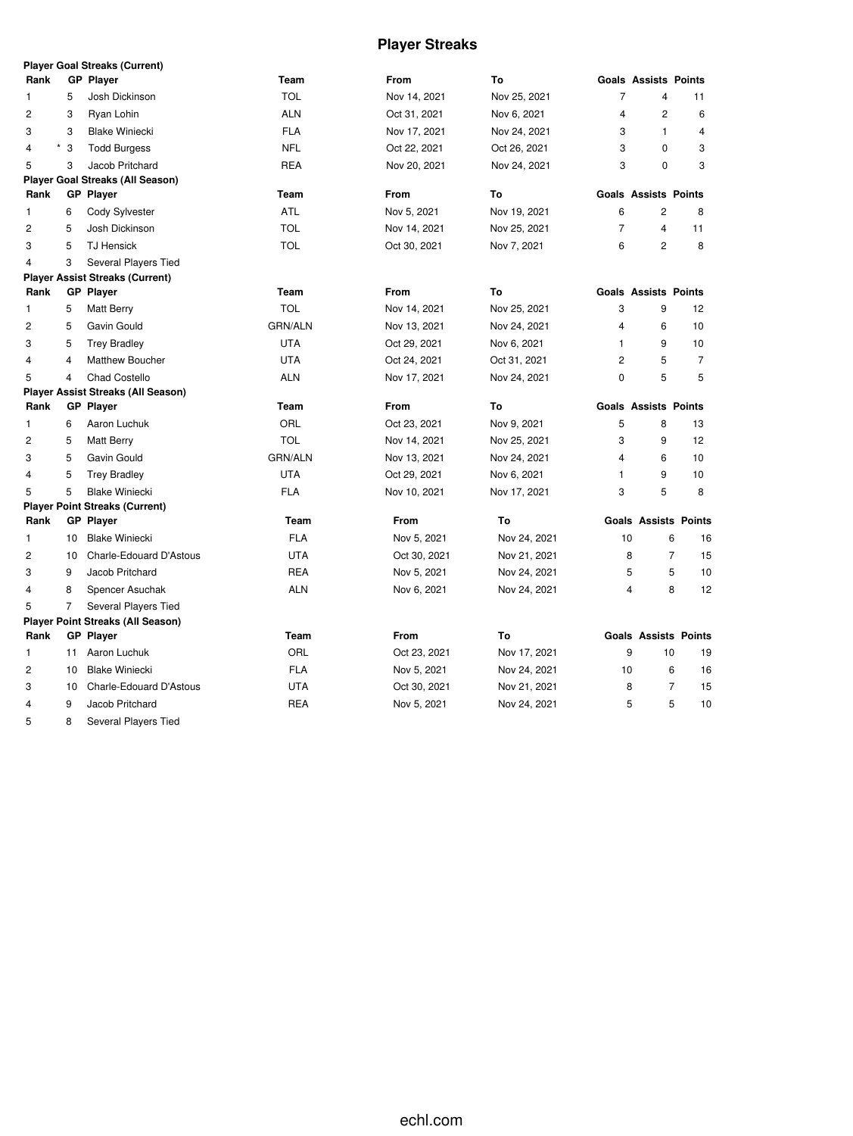# **Player Streaks**

|                |                | <b>Player Goal Streaks (Current)</b>      |                |              |              |                         |                             |                |
|----------------|----------------|-------------------------------------------|----------------|--------------|--------------|-------------------------|-----------------------------|----------------|
| Rank           |                | <b>GP Player</b>                          | Team           | From         | To           |                         | <b>Goals Assists Points</b> |                |
| 1              | 5              | Josh Dickinson                            | <b>TOL</b>     | Nov 14, 2021 | Nov 25, 2021 | $\overline{7}$          | $\overline{4}$              | 11             |
| $\overline{c}$ | 3              | Ryan Lohin                                | <b>ALN</b>     | Oct 31, 2021 | Nov 6, 2021  | 4                       | $\overline{2}$              | 6              |
| 3              | 3              | <b>Blake Winiecki</b>                     | <b>FLA</b>     | Nov 17, 2021 | Nov 24, 2021 | 3                       | $\mathbf{1}$                | 4              |
| 4              | $^\star$<br>3  | <b>Todd Burgess</b>                       | <b>NFL</b>     | Oct 22, 2021 | Oct 26, 2021 | 3                       | $\Omega$                    | 3              |
| 5              | 3              | Jacob Pritchard                           | <b>REA</b>     | Nov 20, 2021 | Nov 24, 2021 | 3                       | 0                           | 3              |
|                |                | <b>Player Goal Streaks (All Season)</b>   |                |              |              |                         |                             |                |
| Rank           |                | <b>GP Player</b>                          | Team           | From         | To           |                         | <b>Goals Assists Points</b> |                |
| 1              | 6              | Cody Sylvester                            | <b>ATL</b>     | Nov 5, 2021  | Nov 19, 2021 | 6                       | $\overline{\mathbf{c}}$     | 8              |
| 2              | 5              | Josh Dickinson                            | <b>TOL</b>     | Nov 14, 2021 | Nov 25, 2021 | $\overline{7}$          | 4                           | 11             |
| 3              | 5              | <b>TJ Hensick</b>                         | <b>TOL</b>     | Oct 30, 2021 | Nov 7, 2021  | 6                       | $\overline{c}$              | 8              |
| 4              | 3              | Several Players Tied                      |                |              |              |                         |                             |                |
|                |                | <b>Player Assist Streaks (Current)</b>    |                |              |              |                         |                             |                |
| Rank           |                | <b>GP Player</b>                          | Team           | <b>From</b>  | To           |                         | <b>Goals Assists Points</b> |                |
| 1              | 5              | Matt Berry                                | <b>TOL</b>     | Nov 14, 2021 | Nov 25, 2021 | 3                       | 9                           | 12             |
| 2              | 5              | Gavin Gould                               | <b>GRN/ALN</b> | Nov 13, 2021 | Nov 24, 2021 | 4                       | 6                           | 10             |
| 3              | 5              | <b>Trey Bradley</b>                       | <b>UTA</b>     | Oct 29, 2021 | Nov 6, 2021  | $\mathbf{1}$            | 9                           | 10             |
| 4              | $\overline{4}$ | Matthew Boucher                           | <b>UTA</b>     | Oct 24, 2021 | Oct 31, 2021 | $\overline{c}$          | 5                           | $\overline{7}$ |
| 5              | $\overline{4}$ | <b>Chad Costello</b>                      | <b>ALN</b>     | Nov 17, 2021 | Nov 24, 2021 | 0                       | 5                           | 5              |
|                |                | <b>Player Assist Streaks (All Season)</b> |                |              |              |                         |                             |                |
| Rank           |                | <b>GP</b> Player                          | Team           | <b>From</b>  | To           |                         | <b>Goals Assists Points</b> |                |
| 1              | 6              | Aaron Luchuk                              | ORL            | Oct 23, 2021 | Nov 9, 2021  | 5                       | 8                           | 13             |
| 2              | 5              | <b>Matt Berry</b>                         | <b>TOL</b>     | Nov 14, 2021 | Nov 25, 2021 | 3                       | 9                           | 12             |
| 3              | 5              | Gavin Gould                               | <b>GRN/ALN</b> | Nov 13, 2021 | Nov 24, 2021 | 4                       | 6                           | 10             |
| 4              |                |                                           |                |              |              |                         |                             |                |
|                | 5              | <b>Trey Bradley</b>                       | <b>UTA</b>     | Oct 29, 2021 | Nov 6, 2021  | 1                       | 9                           | 10             |
| 5              | 5              | <b>Blake Winiecki</b>                     | <b>FLA</b>     | Nov 10, 2021 | Nov 17, 2021 | 3                       | 5                           | 8              |
|                |                | <b>Player Point Streaks (Current)</b>     |                |              |              |                         |                             |                |
| Rank           |                | <b>GP</b> Player                          | Team           | From         | To           |                         | <b>Goals Assists Points</b> |                |
| 1              | 10             | <b>Blake Winiecki</b>                     | <b>FLA</b>     | Nov 5, 2021  | Nov 24, 2021 | 10                      | 6                           | 16             |
| 2              | 10             | Charle-Edouard D'Astous                   | <b>UTA</b>     | Oct 30, 2021 | Nov 21, 2021 | 8                       | $\overline{7}$              | 15             |
| 3              | 9              | Jacob Pritchard                           | <b>REA</b>     | Nov 5, 2021  | Nov 24, 2021 | 5                       | 5                           | 10             |
| 4              | 8              | Spencer Asuchak                           | <b>ALN</b>     | Nov 6, 2021  | Nov 24, 2021 | $\overline{\mathbf{4}}$ | 8                           | 12             |
| 5              | $\overline{7}$ | Several Players Tied                      |                |              |              |                         |                             |                |
|                |                | <b>Player Point Streaks (All Season)</b>  |                |              |              |                         |                             |                |
| Rank           |                | <b>GP</b> Player                          | Team           | <b>From</b>  | To           |                         | <b>Goals Assists Points</b> |                |
| 1              | 11             | Aaron Luchuk                              | ORL            | Oct 23, 2021 | Nov 17, 2021 | 9                       | 10                          | 19             |
| 2              | 10             | <b>Blake Winiecki</b>                     | <b>FLA</b>     | Nov 5, 2021  | Nov 24, 2021 | 10                      | 6                           | 16             |
| 3              | 10             | Charle-Edouard D'Astous                   | <b>UTA</b>     | Oct 30, 2021 | Nov 21, 2021 | 8                       | $\overline{7}$              | 15             |
| 4              | 9              | Jacob Pritchard                           | <b>REA</b>     | Nov 5, 2021  | Nov 24, 2021 | 5                       | 5                           | 10             |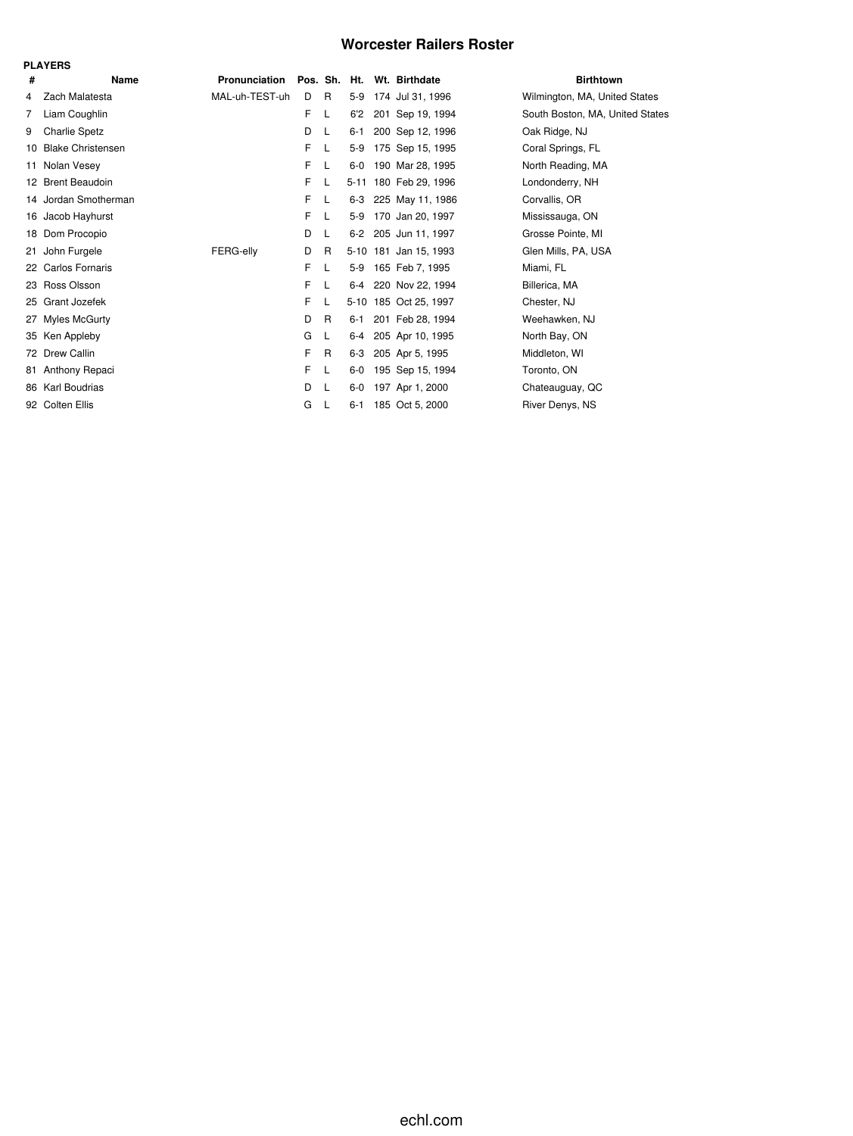### **Worcester Railers Roster**

| <b>PLAYERS</b> |                          |                |    |              |          |  |                            |                                 |  |  |  |  |
|----------------|--------------------------|----------------|----|--------------|----------|--|----------------------------|---------------------------------|--|--|--|--|
| #              | Name                     | Pronunciation  |    |              |          |  | Pos. Sh. Ht. Wt. Birthdate | <b>Birthtown</b>                |  |  |  |  |
| 4              | Zach Malatesta           | MAL-uh-TEST-uh | D  | R            | $5-9$    |  | 174 Jul 31, 1996           | Wilmington, MA, United States   |  |  |  |  |
| 7              | Liam Coughlin            |                | F  | L            | 6'2      |  | 201 Sep 19, 1994           | South Boston, MA, United States |  |  |  |  |
| 9              | <b>Charlie Spetz</b>     |                | D  | L            | $6 - 1$  |  | 200 Sep 12, 1996           | Oak Ridge, NJ                   |  |  |  |  |
| 10             | <b>Blake Christensen</b> |                | F. | L            | $5-9$    |  | 175 Sep 15, 1995           | Coral Springs, FL               |  |  |  |  |
| 11             | Nolan Vesey              |                | F  | L            | $6-0$    |  | 190 Mar 28, 1995           | North Reading, MA               |  |  |  |  |
|                | 12 Brent Beaudoin        |                | F. | L            | $5 - 11$ |  | 180 Feb 29, 1996           | Londonderry, NH                 |  |  |  |  |
|                | 14 Jordan Smotherman     |                | F. | L            | 6-3      |  | 225 May 11, 1986           | Corvallis, OR                   |  |  |  |  |
|                | 16 Jacob Hayhurst        |                | F  | L            | 5-9      |  | 170 Jan 20, 1997           | Mississauga, ON                 |  |  |  |  |
|                | 18 Dom Procopio          |                | D  | L            |          |  | 6-2 205 Jun 11, 1997       | Grosse Pointe, MI               |  |  |  |  |
| 21             | John Furgele             | FERG-elly      | D  | R            |          |  | 5-10 181 Jan 15, 1993      | Glen Mills, PA, USA             |  |  |  |  |
|                | 22 Carlos Fornaris       |                | F  | L            | 5-9      |  | 165 Feb 7, 1995            | Miami, FL                       |  |  |  |  |
|                | 23 Ross Olsson           |                | F  | L            | 6-4      |  | 220 Nov 22, 1994           | Billerica, MA                   |  |  |  |  |
|                | 25 Grant Jozefek         |                | F  | L            |          |  | 5-10 185 Oct 25, 1997      | Chester, NJ                     |  |  |  |  |
| 27             | Myles McGurty            |                | D  | R            | 6-1      |  | 201 Feb 28, 1994           | Weehawken, NJ                   |  |  |  |  |
| 35             | Ken Appleby              |                | G  | L            | 6-4      |  | 205 Apr 10, 1995           | North Bay, ON                   |  |  |  |  |
|                | 72 Drew Callin           |                | F  | R            | 6-3      |  | 205 Apr 5, 1995            | Middleton, WI                   |  |  |  |  |
| 81             | Anthony Repaci           |                | F  | L            | $6-0$    |  | 195 Sep 15, 1994           | Toronto, ON                     |  |  |  |  |
|                | 86 Karl Boudrias         |                | D  | - L          | $6-0$    |  | 197 Apr 1, 2000            | Chateauguay, QC                 |  |  |  |  |
|                | 92 Colten Ellis          |                | G  | $\mathsf{L}$ | $6 - 1$  |  | 185 Oct 5, 2000            | River Denys, NS                 |  |  |  |  |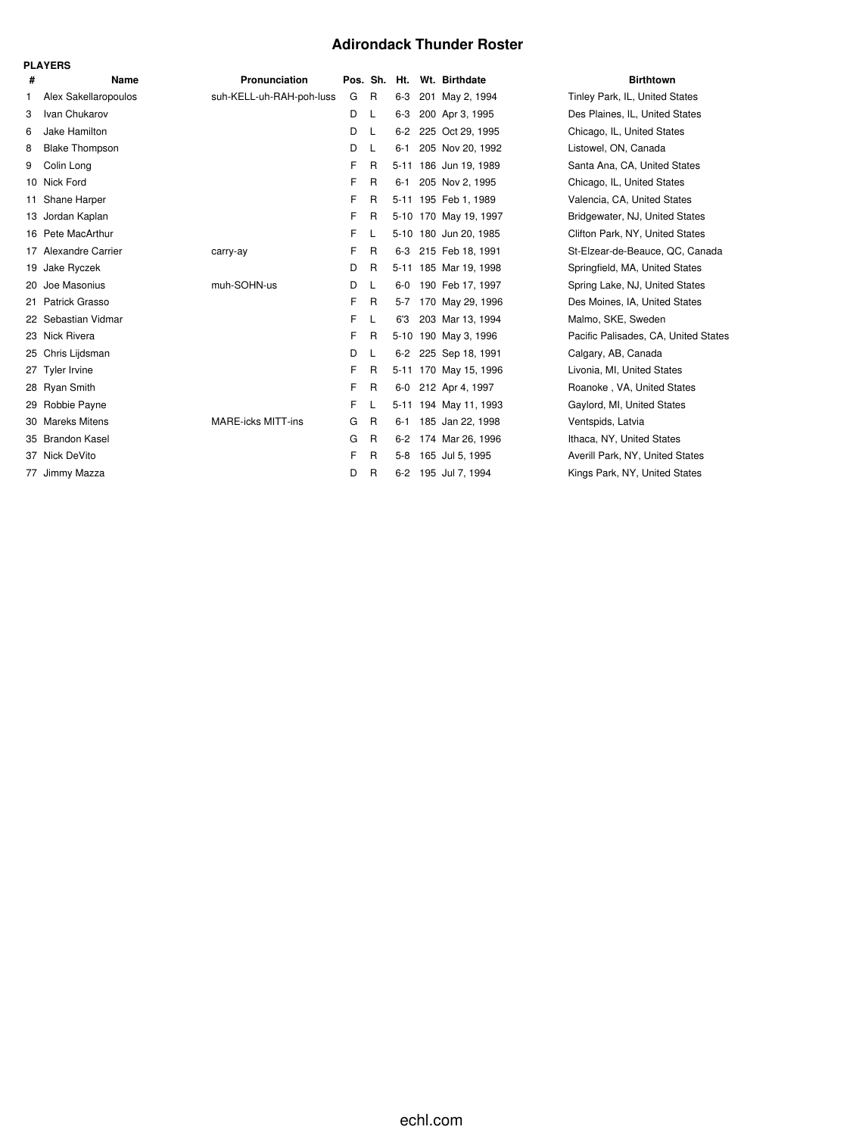### **Adirondack Thunder Roster**

|    | <b>PLAYERS</b>        |                           |          |   |         |                       |                                 |
|----|-----------------------|---------------------------|----------|---|---------|-----------------------|---------------------------------|
| #  | Name                  | Pronunciation             | Pos. Sh. |   | Ht.     | Wt. Birthdate         | <b>Birthtown</b>                |
| 1. | Alex Sakellaropoulos  | suh-KELL-uh-RAH-poh-luss  | G        | R | 6-3     | 201 May 2, 1994       | Tinley Park, IL, United States  |
| 3  | Ivan Chukarov         |                           | D        | L | $6 - 3$ | 200 Apr 3, 1995       | Des Plaines, IL, United States  |
| 6  | Jake Hamilton         |                           | D        | L | $6-2$   | 225 Oct 29, 1995      | Chicago, IL, United States      |
| 8  | <b>Blake Thompson</b> |                           | D        | L | $6 - 1$ | 205 Nov 20, 1992      | Listowel, ON, Canada            |
| 9  | Colin Long            |                           | F        | R |         | 5-11 186 Jun 19, 1989 | Santa Ana, CA, United States    |
| 10 | Nick Ford             |                           | F        | R | $6 - 1$ | 205 Nov 2, 1995       | Chicago, IL, United States      |
| 11 | Shane Harper          |                           | F        | R |         | 5-11 195 Feb 1, 1989  | Valencia, CA, United States     |
| 13 | Jordan Kaplan         |                           | F        | R |         | 5-10 170 May 19, 1997 | Bridgewater, NJ, United State   |
|    | 16 Pete MacArthur     |                           | F        | L |         | 5-10 180 Jun 20, 1985 | Clifton Park, NY, United State  |
|    | 17 Alexandre Carrier  | carry-ay                  | F        | R |         | 6-3 215 Feb 18, 1991  | St-Elzear-de-Beauce, QC, Ca     |
|    | 19 Jake Ryczek        |                           | D        | R |         | 5-11 185 Mar 19, 1998 | Springfield, MA, United States  |
| 20 | Joe Masonius          | muh-SOHN-us               | D        | L |         | 6-0 190 Feb 17, 1997  | Spring Lake, NJ, United State   |
|    | 21 Patrick Grasso     |                           | F        | R | $5-7$   | 170 May 29, 1996      | Des Moines, IA, United States   |
|    | 22 Sebastian Vidmar   |                           | F        | L | 6'3     | 203 Mar 13, 1994      | Malmo, SKE, Sweden              |
|    | 23 Nick Rivera        |                           | F        | R |         | 5-10 190 May 3, 1996  | Pacific Palisades, CA, United   |
| 25 | Chris Lijdsman        |                           | D        | L |         | 6-2 225 Sep 18, 1991  | Calgary, AB, Canada             |
|    | 27 Tyler Irvine       |                           | F        | R |         | 5-11 170 May 15, 1996 | Livonia, MI, United States      |
|    | 28 Ryan Smith         |                           | F        | R |         | 6-0 212 Apr 4, 1997   | Roanoke, VA, United States      |
|    | 29 Robbie Payne       |                           | F        | L |         | 5-11 194 May 11, 1993 | Gaylord, MI, United States      |
| 30 | <b>Mareks Mitens</b>  | <b>MARE-icks MITT-ins</b> | G        | R | $6 - 1$ | 185 Jan 22, 1998      | Ventspids, Latvia               |
|    | 35 Brandon Kasel      |                           | G        | R | $6 - 2$ | 174 Mar 26, 1996      | Ithaca, NY, United States       |
| 37 | Nick DeVito           |                           | F        | R | $5-8$   | 165 Jul 5, 1995       | Averill Park, NY, United State: |
|    | 77 Jimmy Mazza        |                           | D        | R |         | 6-2 195 Jul 7, 1994   | Kings Park, NY, United States   |

., United States A, United States VJ, United States **IY, United States** 3eauce, QC, Canada A, United States VJ, United States A, United States des, CA, United States IY, United States Y, United States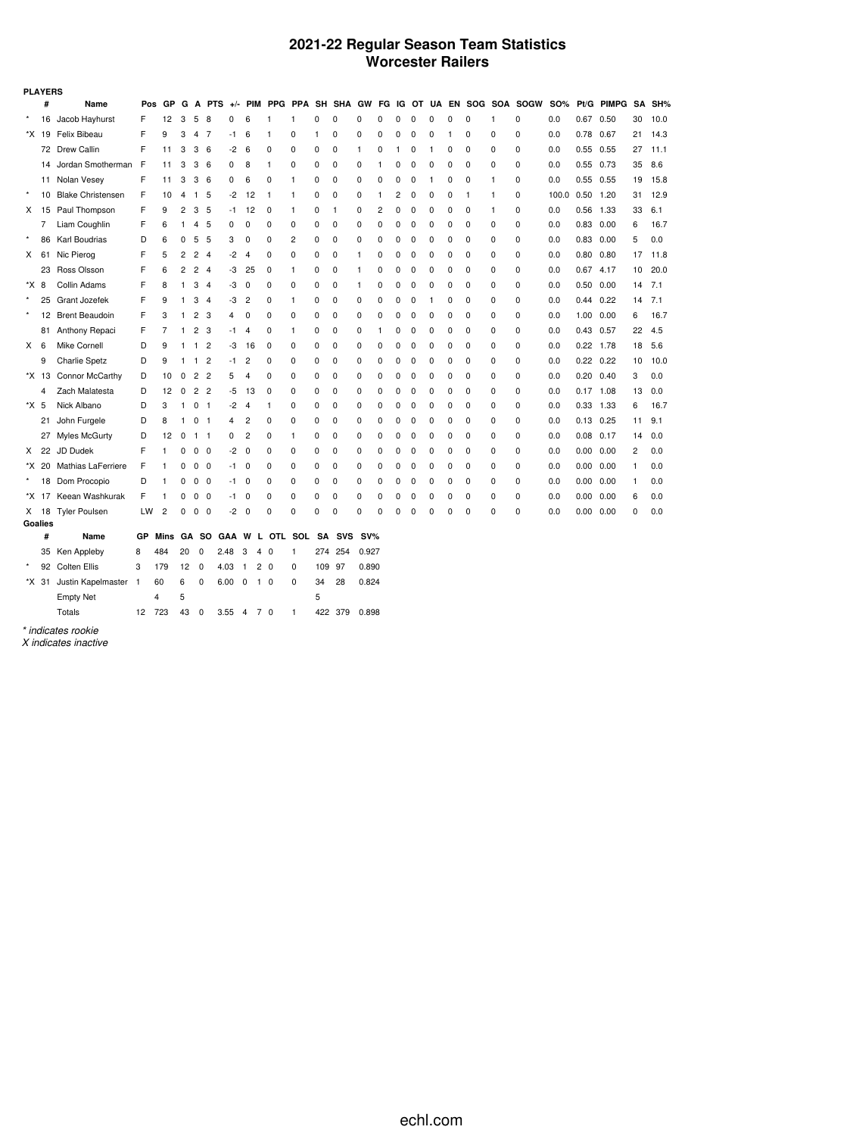### **2021-22 Regular Season Team Statistics Worcester Railers**

|         | <b>PLAYERS</b> |                          |     |      |    |                |                |       |                |                |                |           |              |          |          |                |          |          |          |              |   |              |            |                   |              |    |      |
|---------|----------------|--------------------------|-----|------|----|----------------|----------------|-------|----------------|----------------|----------------|-----------|--------------|----------|----------|----------------|----------|----------|----------|--------------|---|--------------|------------|-------------------|--------------|----|------|
|         | #              | Name                     | Pos | GP   | G  | A              | <b>PTS</b>     | $+/-$ | <b>PIM</b>     |                | PPG PPA        | SH        | SHA          | GW       | FG       | ΙG             | ΟТ       | UA       | EN       |              |   | SOG SOA SOGW | <b>SO%</b> | Pt/G              | <b>PIMPG</b> | SA | SH%  |
|         | 16             | Jacob Hayhurst           | F   | 12   | 3  | 5              | 8              | 0     | 6              | 1              | 1              | 0         | $\Omega$     | 0        | 0        | 0              | 0        | 0        | O        | 0            | 1 | 0            | 0.0        | 0.67              | 0.50         | 30 | 10.0 |
|         |                | *X 19 Felix Bibeau       | F   | 9    | 3  | 4              | -7             | -1    | 6              | 1              | 0              | 1         | 0            | 0        | 0        | 0              | 0        | 0        | 1        | 0            | 0 | 0            | 0.0        | 0.78              | 0.67         | 21 | 14.3 |
|         |                | 72 Drew Callin           | F   | 11   | 3  | 3              | 6              | $-2$  | 6              | 0              | 0              | 0         | 0            | 1        | 0        |                | 0        | 1        | 0        | 0            | 0 | $\mathbf 0$  | 0.0        | 0.55              | 0.55         | 27 | 11.1 |
|         | 14             | Jordan Smotherman        | F   | 11   | 3  | 3              | 6              | 0     | 8              | $\mathbf{1}$   | 0              | 0         | 0            | 0        | 1        | 0              | 0        | 0        | 0        | 0            | 0 | 0            | 0.0        | $0.55$ 0.73       |              | 35 | 8.6  |
|         |                | 11 Nolan Vesey           | F   | 11   | 3  | 3              | 6              | 0     | 6              | 0              | 1              | 0         | 0            | 0        | 0        | 0              | 0        | 1        | 0        | 0            | 1 | 0            | 0.0        | $0.55$ 0.55       |              | 19 | 15.8 |
| $\star$ | 10             | <b>Blake Christensen</b> | F   | 10   | 4  | 1              | 5              | $-2$  | 12             | -1             | 1              | 0         | 0            | 0        | 1        | $\overline{c}$ | 0        | 0        | 0        | $\mathbf{1}$ | 1 | 0            | 100.0      | 0.50              | 1.20         | 31 | 12.9 |
|         |                | X 15 Paul Thompson       | F   | 9    | 2  | 3              | 5              | -1    | 12             | 0              | 1              | 0         | $\mathbf{1}$ | 0        | 2        | 0              | 0        | 0        | 0        | $\mathbf 0$  | 1 | $\mathbf 0$  | 0.0        | 0.56              | 1.33         | 33 | 6.1  |
|         | 7              | Liam Coughlin            | F   | 6    | 1  | 4              | 5              | 0     | 0              | 0              | 0              | 0         | 0            | 0        | 0        | 0              | 0        | 0        | 0        | 0            | 0 | 0            | 0.0        | 0.83              | 0.00         | 6  | 16.7 |
|         | 86             | Karl Boudrias            | D   | 6    | 0  | 5              | 5              | 3     | 0              | 0              | $\overline{c}$ | 0         | 0            | 0        | 0        | 0              | 0        | 0        | 0        | 0            | 0 | $\mathbf 0$  | 0.0        | 0.83              | 0.00         | 5  | 0.0  |
| x       | 61             | Nic Pierog               | F   | 5    | 2  | 2              | $\overline{4}$ | -2    | $\overline{4}$ | 0              | 0              | 0         | 0            | 1        | 0        | $\Omega$       | 0        | 0        | 0        | $\mathbf 0$  | 0 | $\mathbf 0$  | 0.0        | 0.80              | 0.80         | 17 | 11.8 |
|         | 23             | Ross Olsson              | F   | 6    | 2  | 2              | $\overline{4}$ | -3    | 25             | 0              | 1              | 0         | 0            | 1        | 0        | $\Omega$       | 0        | 0        | 0        | 0            | 0 | 0            | 0.0        | $0.67$ 4.17       |              | 10 | 20.0 |
| *X 8    |                | Collin Adams             | F   | 8    | 1  | 3              | 4              | -3    | $\mathbf 0$    | $\Omega$       | 0              | 0         | $\Omega$     | 1        | $\Omega$ | 0              | 0        | 0        | $\Omega$ | 0            | 0 | $\Omega$     | 0.0        | 0.50              | 0.00         | 14 | 7.1  |
| $\star$ | 25             | Grant Jozefek            | F   | 9    | 1  | 3              | $\overline{4}$ | -3    | $\overline{c}$ | 0              | 1              | 0         | 0            | 0        | 0        | 0              | 0        | -1       | 0        | 0            | 0 | $\mathbf 0$  | 0.0        | $0.44$ 0.22       |              | 14 | 7.1  |
| $\star$ |                | 12 Brent Beaudoin        | F   | 3    | 1  | 2              | 3              | 4     | 0              | 0              | 0              | 0         | 0            | 0        | 0        | 0              | 0        | 0        | 0        | 0            | 0 | 0            | 0.0        | 1.00              | 0.00         | 6  | 16.7 |
|         |                | 81 Anthony Repaci        | F   | 7    | 1  | $\overline{c}$ | 3              | -1    | 4              | 0              | 1              | 0         | 0            | $\Omega$ | 1        | 0              | $\Omega$ | $\Omega$ | $\Omega$ | 0            | 0 | $\Omega$     | 0.0        | 0.43              | 0.57         | 22 | 4.5  |
| X       | 6              | Mike Cornell             | D   | 9    | 1  | 1              | $\overline{2}$ | -3    | 16             | 0              | 0              | 0         | 0            | 0        | 0        | 0              | 0        | 0        | 0        | $\mathbf 0$  | 0 | $\mathbf 0$  | 0.0        | $0.22$ 1.78       |              | 18 | 5.6  |
|         | 9              | <b>Charlie Spetz</b>     | D   | 9    | 1  | 1              | $\overline{c}$ | -1    | 2              | 0              | 0              | 0         | 0            | 0        | 0        | 0              | 0        | 0        | 0        | 0            | 0 | 0            | 0.0        | 0.22              | 0.22         | 10 | 10.0 |
|         | *X 13          | Connor McCarthy          | D   | 10   | 0  | $\overline{c}$ | $\overline{2}$ | 5     | 4              | 0              | 0              | $\Omega$  | $\Omega$     | $\Omega$ | $\Omega$ | $\Omega$       | $\Omega$ | 0        | $\Omega$ | 0            | 0 | $\Omega$     | 0.0        | $0.20 \quad 0.40$ |              | 3  | 0.0  |
|         | 4              | Zach Malatesta           | D   | 12   | 0  | $\overline{c}$ | $\overline{2}$ | -5    | 13             | 0              | 0              | 0         | 0            | 0        | 0        | 0              | 0        | 0        | 0        | 0            | 0 | $\mathbf 0$  | 0.0        | $0.17$ 1.08       |              | 13 | 0.0  |
| *X 5    |                | Nick Albano              | D   | 3    | 1  | 0              | $\overline{1}$ | -2    | 4              | 1              | 0              | 0         | 0            | 0        | 0        | 0              | 0        | 0        | 0        | 0            | 0 | 0            | 0.0        | 0.33              | 1.33         | 6  | 16.7 |
|         | 21             | John Furgele             | D   | 8    | 1  | 0              | $\overline{1}$ | 4     | 2              | 0              | 0              | $\Omega$  | $\Omega$     | $\Omega$ | $\Omega$ | $\Omega$       | $\Omega$ | $\Omega$ | $\Omega$ | 0            | 0 | $\Omega$     | 0.0        | $0.13$ 0.25       |              | 11 | 9.1  |
|         | 27             | Myles McGurty            | D   | 12   | 0  | 1              | $\mathbf{1}$   | 0     | $\overline{2}$ | 0              | 1              | 0         | 0            | 0        | 0        | $\Omega$       | 0        | 0        | 0        | $\mathbf 0$  | 0 | $\mathbf 0$  | 0.0        | 0.08              | 0.17         | 14 | 0.0  |
| X.      | 22             | JD Dudek                 | F   | 1    | 0  | 0              | 0              | -2    | 0              | 0              | 0              | 0         | 0            | 0        | 0        | 0              | 0        | 0        | 0        | 0            | 0 | 0            | 0.0        | 0.00              | 0.00         | 2  | 0.0  |
|         |                | *X 20 Mathias LaFerriere | F   | 1    | 0  | 0              | 0              | -1    | 0              | 0              | 0              | 0         | 0            | $\Omega$ | $\Omega$ | 0              | 0        | 0        | 0        | 0            | 0 | $\Omega$     | 0.0        | 0.00 0.00         |              | 1  | 0.0  |
|         |                | 18 Dom Procopio          | D   | 1    | 0  | $\mathbf 0$    | 0              | -1    | 0              | 0              | 0              | 0         | 0            | 0        | 0        | 0              | 0        | 0        | 0        | $\mathbf 0$  | 0 | $\mathbf 0$  | 0.0        | 0.00              | 0.00         | -1 | 0.0  |
|         | *X 17          | Keean Washkurak          | F   | 1    | 0  | 0              | 0              | -1    | 0              | 0              | 0              | 0         | 0            | 0        | 0        | 0              | 0        | 0        | 0        | 0            | 0 | 0            | 0.0        | 0.00              | 0.00         | 6  | 0.0  |
|         | X 18           | <b>Tyler Poulsen</b>     | LW  | 2    | 0  | 0              | 0              | -2    | 0              | 0              | 0              | 0         | $\Omega$     | $\Omega$ | $\Omega$ | n              | $\Omega$ | C        |          | 0            | O | $\Omega$     | 0.0        | 0.00              | 0.00         | 0  | 0.0  |
| Goalies |                |                          |     |      |    |                |                |       |                |                |                |           |              |          |          |                |          |          |          |              |   |              |            |                   |              |    |      |
|         | #              | Name                     | GР  | Mins |    | GA SO          |                | GAA   | W              | L OTL          | SOL            | <b>SA</b> | SVS          | $SV\%$   |          |                |          |          |          |              |   |              |            |                   |              |    |      |
|         |                | 35 Ken Appleby           | 8   | 484  | 20 | 0              |                | 2.48  | 3<br>4         | - 0            | 1              | 274       | 254          | 0.927    |          |                |          |          |          |              |   |              |            |                   |              |    |      |
|         |                | 92 Colten Ellis          | 3   | 179  | 12 | 0              |                | 4.03  | $\mathbf{1}$   | 2 <sub>0</sub> | 0              | 109       | 97           | 0.890    |          |                |          |          |          |              |   |              |            |                   |              |    |      |
|         | *X 31          | Justin Kapelmaster       | -1  | 60   | 6  | 0              |                | 6.00  | 0              | $1\quad0$      | 0              | 34        | 28           | 0.824    |          |                |          |          |          |              |   |              |            |                   |              |    |      |
|         |                | <b>Empty Net</b>         | 4   |      | 5  |                |                |       |                |                |                | 5         |              |          |          |                |          |          |          |              |   |              |            |                   |              |    |      |

*\* indicates rookie*

*X indicates inactive*

Totals 12 723 43 0 3.55 4 7 0 1 422 379 0.898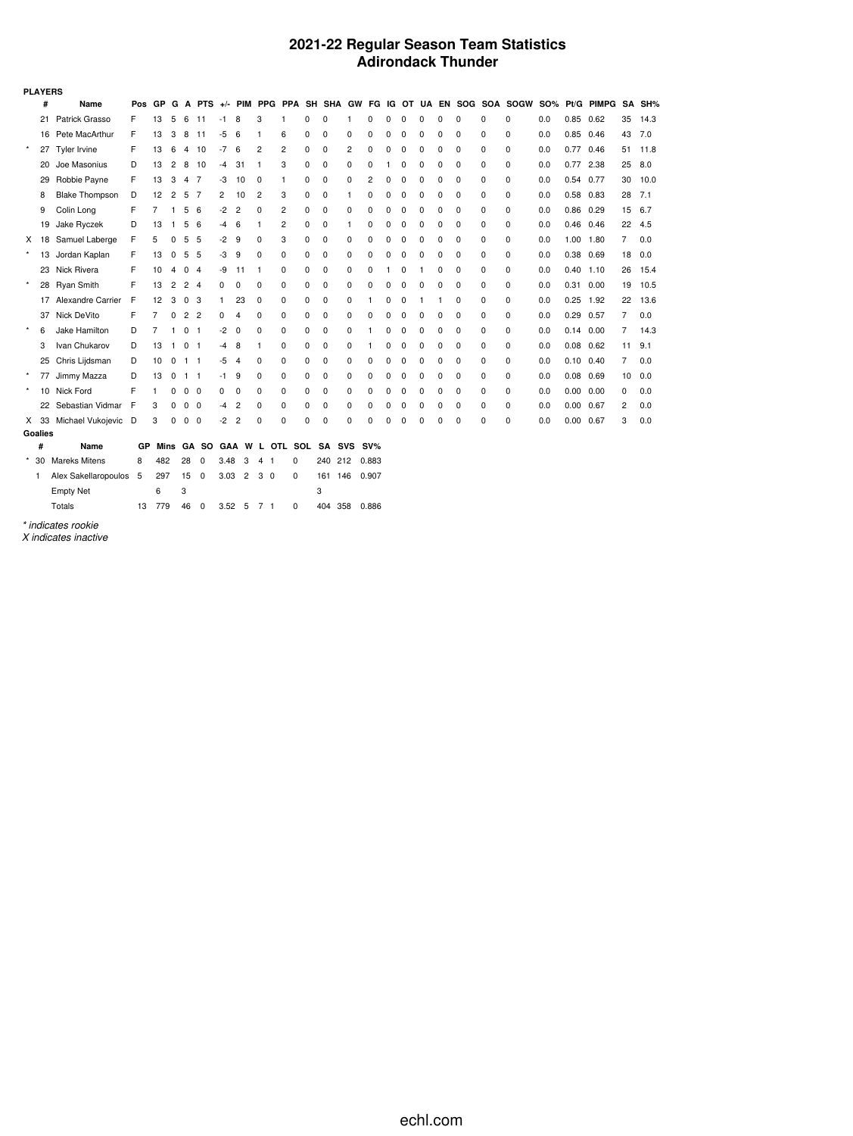### **2021-22 Regular Season Team Statistics Adirondack Thunder**

|         | <b>PLAYERS</b> |                          |     |      |                |                |                |      |                |                |                       |   |     |                |           |   |          |          |   |             |   |                                                           |            |             |            |    |        |
|---------|----------------|--------------------------|-----|------|----------------|----------------|----------------|------|----------------|----------------|-----------------------|---|-----|----------------|-----------|---|----------|----------|---|-------------|---|-----------------------------------------------------------|------------|-------------|------------|----|--------|
|         | #              | Name                     | Pos | GP   | G              | А              |                |      |                |                |                       |   |     |                |           |   |          |          |   |             |   | PTS +/- PIM PPG PPA SH SHA GW FG IG OT UA EN SOG SOA SOGW | <b>SO%</b> |             | Pt/G PIMPG |    | SA SH% |
|         | 21             | Patrick Grasso           | F   | 13   | 5              | 6              | 11             | -1   | 8              | 3              | 1                     | 0 | 0   | 1              | 0         | 0 | 0        | 0        | 0 | 0           | 0 | 0                                                         | 0.0        | 0.85        | 0.62       | 35 | 14.3   |
|         | 16             | Pete MacArthur           | F   | 13   | 3              | 8              | 11             | $-5$ | 6              | -1             | 6                     | 0 | 0   | 0              | 0         | 0 | 0        | 0        | 0 | 0           | 0 | 0                                                         | 0.0        | $0.85$ 0.46 |            | 43 | 7.0    |
| $\star$ | 27             | Tyler Irvine             | F   | 13   | 6              | 4              | 10             | $-7$ | 6              | $\overline{c}$ | 2                     | 0 | 0   | $\overline{2}$ | 0         | 0 | 0        | O        | 0 | 0           | 0 | 0                                                         | 0.0        | 0.77        | 0.46       | 51 | 11.8   |
|         | 20             | Joe Masonius             | D   | 13   | $\overline{c}$ | 8              | 10             | $-4$ | 31             | $\mathbf{1}$   | 3                     | 0 | 0   | 0              | 0         |   | 0        | 0        | 0 | 0           | 0 | 0                                                         | 0.0        | 0.77        | 2.38       | 25 | 8.0    |
|         | 29             | Robbie Payne             | F   | 13   | 3              | 4              | - 7            | -3   | 10             | 0              | 1                     | 0 | 0   | 0              | 2         | 0 | 0        | 0        | 0 | $\mathbf 0$ | 0 | 0                                                         | 0.0        | 0.54        | 0.77       | 30 | 10.0   |
|         | 8              | <b>Blake Thompson</b>    | D   | 12   | $\overline{2}$ | 5              | - 7            | 2    | 10             | $\overline{2}$ | 3                     | 0 | 0   | 1              | 0         | 0 | 0        | 0        | 0 | 0           | 0 | 0                                                         | 0.0        | 0.58 0.83   |            | 28 | 7.1    |
|         | 9              | Colin Long               | F   | 7    | 1              | 5              | 6              | $-2$ | $\overline{2}$ | 0              | 2                     | 0 | 0   | 0              | 0         | 0 | 0        | 0        | 0 | 0           | 0 | 0                                                         | 0.0        | 0.86        | 0.29       | 15 | 6.7    |
|         | 19             | Jake Ryczek              | D   | 13   | -1             | 5              | -6             | -4   | 6              | -1             | 2                     | 0 | 0   | 1              | $\Omega$  | 0 | 0        | $\Omega$ | 0 | 0           | 0 | 0                                                         | 0.0        | 0.46        | 0.46       | 22 | 4.5    |
| X.      | 18             | Samuel Laberge           | F   | 5    | 0              | 5              | 5              | -2   | 9              | 0              | 3                     | 0 | 0   | 0              | 0         | 0 | 0        | 0        | 0 | $\mathbf 0$ | 0 | 0                                                         | 0.0        | 1.00        | 1.80       | 7  | 0.0    |
| $\star$ | 13             | Jordan Kaplan            | F   | 13   | 0              | 5              | - 5            | -3   | 9              | 0              | 0                     | 0 | 0   | 0              | 0         | 0 | 0        | 0        | 0 | 0           | 0 | 0                                                         | 0.0        | 0.38 0.69   |            | 18 | 0.0    |
|         | 23             | Nick Rivera              | F   | 10   | 4              | 0              | $\overline{4}$ | -9   | 11             | -1             | $\Omega$              | 0 | 0   | 0              | $\Omega$  |   | 0        |          | 0 | 0           | 0 | 0                                                         | 0.0        | 0.40        | 1.10       | 26 | 15.4   |
| $\star$ |                | 28 Ryan Smith            | F   | 13   | 2              | $\overline{c}$ | $\overline{4}$ | 0    | 0              | $\Omega$       | 0                     | 0 | 0   | 0              | $\Omega$  | 0 | 0        | $\Omega$ | 0 | 0           | 0 | 0                                                         | 0.0        | 0.31        | 0.00       | 19 | 10.5   |
|         |                | 17 Alexandre Carrier     | E   | 12   | 3              | $\mathbf 0$    | -3             | 1    | 23             | 0              | 0                     | 0 | 0   | 0              |           | 0 | 0        |          | 1 | $\Omega$    | 0 | 0                                                         | 0.0        | 0.25        | 1.92       | 22 | 13.6   |
|         | 37             | Nick DeVito              | F   | 7    | 0              | 2              | $\overline{2}$ | 0    | 4              | 0              | 0                     | 0 | 0   | 0              | 0         | 0 | 0        | O        | 0 | 0           | 0 | 0                                                         | 0.0        | $0.29$ 0.57 |            | 7  | 0.0    |
| $\star$ | 6              | Jake Hamilton            | D   | 7    | 1              | 0              | $\overline{1}$ | $-2$ | 0              | 0              | 0                     | 0 | 0   | 0              |           | 0 | 0        | 0        | 0 | 0           | 0 | 0                                                         | 0.0        | 0.14        | 0.00       | 7  | 14.3   |
|         | 3              | Ivan Chukarov            | D   | 13   | $\mathbf{1}$   | 0              | - 1            | -4   | 8              | -1             | 0                     | 0 | 0   | $\mathbf 0$    |           | 0 | 0        | $\Omega$ | 0 | 0           | 0 | 0                                                         | 0.0        | $0.08$ 0.62 |            | 11 | 9.1    |
|         | 25             | Chris Lijdsman           | D   | 10   | 0              | 1              | $\overline{1}$ | -5   | 4              | 0              | 0                     | 0 | 0   | 0              | 0         | 0 | 0        | 0        | 0 | 0           | 0 | 0                                                         | 0.0        | 0.10        | 0.40       | 7  | 0.0    |
| $\star$ |                | 77 Jimmy Mazza           | D   | 13   | 0              | $1 \quad 1$    |                | -1   | 9              | 0              | 0                     | 0 | 0   | 0              | ŋ         | 0 | 0        | U        | 0 | 0           | 0 | 0                                                         | 0.0        | $0.08$ 0.69 |            | 10 | 0.0    |
| $\star$ |                | 10 Nick Ford             | F   | 1    | 0              | 0              | - 0            | 0    | 0              | 0              | 0                     | 0 | 0   | 0              | $\Omega$  | 0 | 0        | 0        | 0 | 0           | 0 | 0                                                         | 0.0        | 0.00        | 0.00       | 0  | 0.0    |
|         |                | 22 Sebastian Vidmar      | F   | 3    | 0              | 0              | $\overline{0}$ | -4   | 2              | 0              | 0                     | 0 | 0   | $\mathbf 0$    | $\Omega$  | 0 | 0        | 0        | 0 | 0           | 0 | 0                                                         | 0.0        | 0.00        | 0.67       | 2  | 0.0    |
|         |                | X 33 Michael Vukojevic D |     | 3    | 0              | 0              | 0              | $-2$ | 2              | 0              | $\Omega$              | 0 | 0   | $\Omega$       | $\Omega$  | 0 | $\Omega$ | 0        | 0 | $\Omega$    | 0 | 0                                                         | 0.0        | 0.00        | 0.67       | 3  | 0.0    |
|         | Goalies        |                          |     |      |                |                |                |      |                |                |                       |   |     |                |           |   |          |          |   |             |   |                                                           |            |             |            |    |        |
|         | #              | Name                     | GP  | Mins |                |                |                |      |                |                | GA SO GAA W L OTL SOL |   | SA  |                | SVS SV%   |   |          |          |   |             |   |                                                           |            |             |            |    |        |
| *       | 30             | <b>Mareks Mitens</b>     | 8   | 482  |                | 28             | 0              | 3.48 | 3              | 4<br>-1        | 0                     |   | 240 |                | 212 0.883 |   |          |          |   |             |   |                                                           |            |             |            |    |        |
|         | -1             | Alex Sakellaropoulos     | - 5 | 297  |                | 15             | $\mathbf 0$    | 3.03 | $\overline{2}$ | 3<br>0         | 0                     |   | 161 | 146            | 0.907     |   |          |          |   |             |   |                                                           |            |             |            |    |        |
|         |                | <b>Empty Net</b>         |     | 6    |                | 3              |                |      |                |                |                       | 3 |     |                |           |   |          |          |   |             |   |                                                           |            |             |            |    |        |

*\* indicates rookie*

*X indicates inactive*

Totals 13 779 46 0 3.52 5 7 1 0 404 358 0.886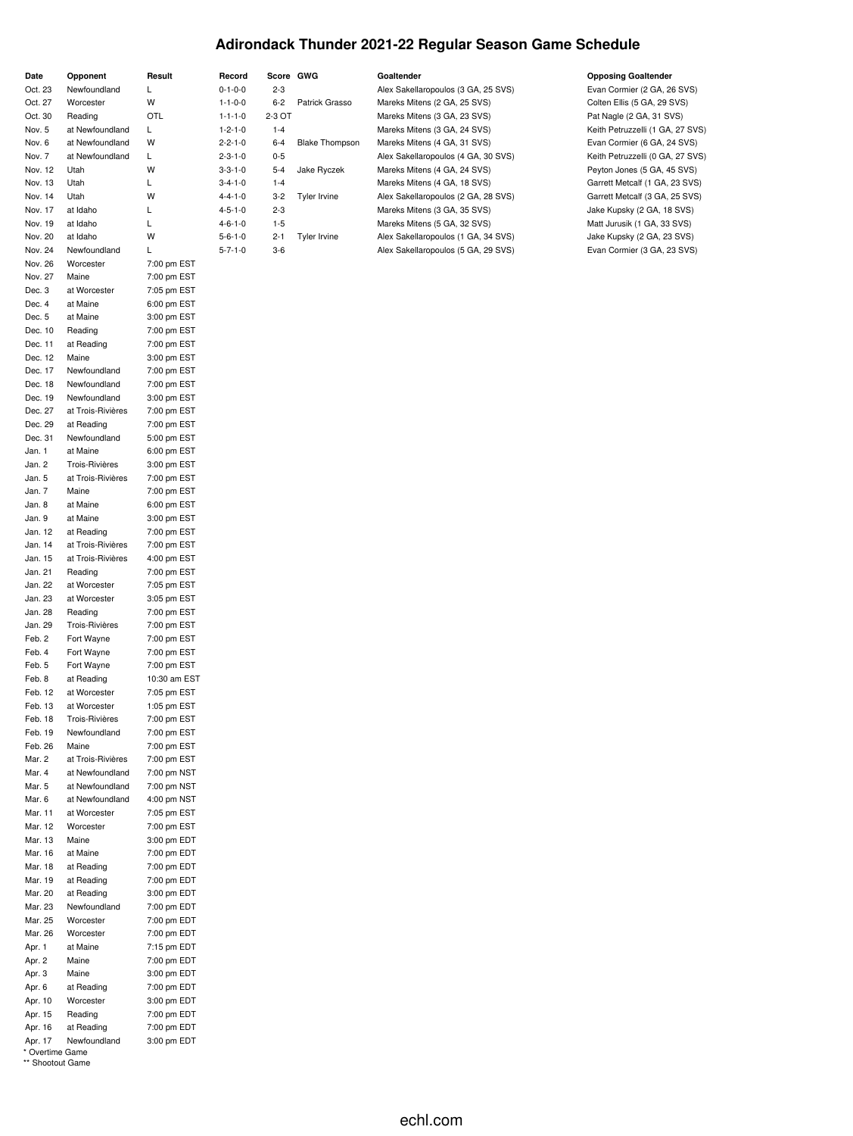# **Adirondack Thunder 2021-22 Regular Season Game Schedule**

| Date    | Opponent          | Result       | Record          | Score GWG |                       | Goaltender                          | <b>Opposing Goaltender</b>       |
|---------|-------------------|--------------|-----------------|-----------|-----------------------|-------------------------------------|----------------------------------|
| Oct. 23 | Newfoundland      | L            | $0 - 1 - 0 - 0$ | $2 - 3$   |                       | Alex Sakellaropoulos (3 GA, 25 SVS) | Evan Cormier (2 GA, 26 SVS)      |
| Oct. 27 | Worcester         | W            | $1 - 1 - 0 - 0$ | $6 - 2$   | Patrick Grasso        | Mareks Mitens (2 GA, 25 SVS)        | Colten Ellis (5 GA, 29 SVS)      |
| Oct. 30 | Reading           | OTL          | $1 - 1 - 1 - 0$ | 2-3 OT    |                       | Mareks Mitens (3 GA, 23 SVS)        | Pat Nagle (2 GA, 31 SVS)         |
|         |                   |              |                 |           |                       |                                     |                                  |
| Nov. 5  | at Newfoundland   | L            | $1 - 2 - 1 - 0$ | $1 - 4$   |                       | Mareks Mitens (3 GA, 24 SVS)        | Keith Petruzzelli (1 GA, 27 SVS) |
| Nov. 6  | at Newfoundland   | W            | $2 - 2 - 1 - 0$ | $6 - 4$   | <b>Blake Thompson</b> | Mareks Mitens (4 GA, 31 SVS)        | Evan Cormier (6 GA, 24 SVS)      |
| Nov. 7  | at Newfoundland   | L            | $2 - 3 - 1 - 0$ | $0 - 5$   |                       | Alex Sakellaropoulos (4 GA, 30 SVS) | Keith Petruzzelli (0 GA, 27 SVS) |
| Nov. 12 | Utah              | W            | $3 - 3 - 1 - 0$ | $5 - 4$   | Jake Ryczek           | Mareks Mitens (4 GA, 24 SVS)        | Peyton Jones (5 GA, 45 SVS)      |
| Nov. 13 | Utah              | L            | $3 - 4 - 1 - 0$ | $1 - 4$   |                       | Mareks Mitens (4 GA, 18 SVS)        | Garrett Metcalf (1 GA, 23 SVS)   |
| Nov. 14 | Utah              | W            | $4 - 4 - 1 - 0$ | $3 - 2$   | <b>Tyler Irvine</b>   | Alex Sakellaropoulos (2 GA, 28 SVS) | Garrett Metcalf (3 GA, 25 SVS)   |
| Nov. 17 | at Idaho          | L            | $4 - 5 - 1 - 0$ | $2 - 3$   |                       | Mareks Mitens (3 GA, 35 SVS)        | Jake Kupsky (2 GA, 18 SVS)       |
| Nov. 19 | at Idaho          | L            | $4 - 6 - 1 - 0$ | $1 - 5$   |                       | Mareks Mitens (5 GA, 32 SVS)        | Matt Jurusik (1 GA, 33 SVS)      |
| Nov. 20 | at Idaho          | W            | $5 - 6 - 1 - 0$ | $2 - 1$   | Tyler Irvine          | Alex Sakellaropoulos (1 GA, 34 SVS) | Jake Kupsky (2 GA, 23 SVS)       |
| Nov. 24 | Newfoundland      | L            | $5 - 7 - 1 - 0$ | $3-6$     |                       | Alex Sakellaropoulos (5 GA, 29 SVS) | Evan Cormier (3 GA, 23 SVS)      |
| Nov. 26 | Worcester         | 7:00 pm EST  |                 |           |                       |                                     |                                  |
| Nov. 27 | Maine             | 7:00 pm EST  |                 |           |                       |                                     |                                  |
| Dec. 3  | at Worcester      | 7:05 pm EST  |                 |           |                       |                                     |                                  |
| Dec. 4  | at Maine          | 6:00 pm EST  |                 |           |                       |                                     |                                  |
| Dec. 5  | at Maine          | 3:00 pm EST  |                 |           |                       |                                     |                                  |
| Dec. 10 | Reading           | 7:00 pm EST  |                 |           |                       |                                     |                                  |
| Dec. 11 | at Reading        | 7:00 pm EST  |                 |           |                       |                                     |                                  |
| Dec. 12 | Maine             | 3:00 pm EST  |                 |           |                       |                                     |                                  |
| Dec. 17 | Newfoundland      | 7:00 pm EST  |                 |           |                       |                                     |                                  |
| Dec. 18 | Newfoundland      | 7:00 pm EST  |                 |           |                       |                                     |                                  |
| Dec. 19 | Newfoundland      | 3:00 pm EST  |                 |           |                       |                                     |                                  |
| Dec. 27 | at Trois-Rivières | 7:00 pm EST  |                 |           |                       |                                     |                                  |
| Dec. 29 | at Reading        | 7:00 pm EST  |                 |           |                       |                                     |                                  |
| Dec. 31 | Newfoundland      | 5:00 pm EST  |                 |           |                       |                                     |                                  |
| Jan. 1  | at Maine          | 6:00 pm EST  |                 |           |                       |                                     |                                  |
| Jan. 2  | Trois-Rivières    | 3:00 pm EST  |                 |           |                       |                                     |                                  |
| Jan. 5  | at Trois-Rivières | 7:00 pm EST  |                 |           |                       |                                     |                                  |
| Jan. 7  | Maine             | 7:00 pm EST  |                 |           |                       |                                     |                                  |
| Jan. 8  | at Maine          | 6:00 pm EST  |                 |           |                       |                                     |                                  |
| Jan. 9  | at Maine          | 3:00 pm EST  |                 |           |                       |                                     |                                  |
|         |                   | 7:00 pm EST  |                 |           |                       |                                     |                                  |
| Jan. 12 | at Reading        |              |                 |           |                       |                                     |                                  |
| Jan. 14 | at Trois-Rivières | 7:00 pm EST  |                 |           |                       |                                     |                                  |
| Jan. 15 | at Trois-Rivières | 4:00 pm EST  |                 |           |                       |                                     |                                  |
| Jan. 21 | Reading           | 7:00 pm EST  |                 |           |                       |                                     |                                  |
| Jan. 22 | at Worcester      | 7:05 pm EST  |                 |           |                       |                                     |                                  |
| Jan. 23 | at Worcester      | 3:05 pm EST  |                 |           |                       |                                     |                                  |
| Jan. 28 | Reading           | 7:00 pm EST  |                 |           |                       |                                     |                                  |
| Jan. 29 | Trois-Rivières    | 7:00 pm EST  |                 |           |                       |                                     |                                  |
| Feb. 2  | Fort Wayne        | 7:00 pm EST  |                 |           |                       |                                     |                                  |
| Feb. 4  | Fort Wayne        | 7:00 pm EST  |                 |           |                       |                                     |                                  |
| Feb. 5  | Fort Wayne        | 7:00 pm EST  |                 |           |                       |                                     |                                  |
| Feb. 8  | at Reading        | 10:30 am EST |                 |           |                       |                                     |                                  |
| Feb. 12 | at Worcester      | 7:05 pm EST  |                 |           |                       |                                     |                                  |
| Feb. 13 | at Worcester      | 1:05 pm EST  |                 |           |                       |                                     |                                  |
| Feb. 18 | Trois-Rivières    | 7:00 pm EST  |                 |           |                       |                                     |                                  |
| Feb. 19 | Newfoundland      | 7:00 pm EST  |                 |           |                       |                                     |                                  |
| Feb. 26 | Maine             | 7:00 pm EST  |                 |           |                       |                                     |                                  |
| Mar. 2  | at Trois-Rivières | 7:00 pm EST  |                 |           |                       |                                     |                                  |
| Mar. 4  | at Newfoundland   | 7:00 pm NST  |                 |           |                       |                                     |                                  |
| Mar. 5  | at Newfoundland   | 7:00 pm NST  |                 |           |                       |                                     |                                  |
| Mar. 6  | at Newfoundland   | 4:00 pm NST  |                 |           |                       |                                     |                                  |
| Mar. 11 | at Worcester      | 7:05 pm EST  |                 |           |                       |                                     |                                  |
| Mar. 12 | Worcester         | 7:00 pm EST  |                 |           |                       |                                     |                                  |
| Mar. 13 | Maine             | 3:00 pm EDT  |                 |           |                       |                                     |                                  |
| Mar. 16 | at Maine          | 7:00 pm EDT  |                 |           |                       |                                     |                                  |
| Mar. 18 | at Reading        | 7:00 pm EDT  |                 |           |                       |                                     |                                  |
| Mar. 19 | at Reading        | 7:00 pm EDT  |                 |           |                       |                                     |                                  |
| Mar. 20 | at Reading        | 3:00 pm EDT  |                 |           |                       |                                     |                                  |
| Mar. 23 | Newfoundland      | 7:00 pm EDT  |                 |           |                       |                                     |                                  |
| Mar. 25 | Worcester         | 7:00 pm EDT  |                 |           |                       |                                     |                                  |
|         |                   | 7:00 pm EDT  |                 |           |                       |                                     |                                  |
| Mar. 26 | Worcester         |              |                 |           |                       |                                     |                                  |
| Apr. 1  | at Maine          | 7:15 pm EDT  |                 |           |                       |                                     |                                  |
| Apr. 2  | Maine             | 7:00 pm EDT  |                 |           |                       |                                     |                                  |
| Apr. 3  | Maine             | 3:00 pm EDT  |                 |           |                       |                                     |                                  |
| Apr. 6  | at Reading        | 7:00 pm EDT  |                 |           |                       |                                     |                                  |
| Apr. 10 | Worcester         | 3:00 pm EDT  |                 |           |                       |                                     |                                  |
| Apr. 15 | Reading           | 7:00 pm EDT  |                 |           |                       |                                     |                                  |
| Apr. 16 | at Reading        | 7:00 pm EDT  |                 |           |                       |                                     |                                  |
| Apr. 17 | Newfoundland      | 3:00 pm EDT  |                 |           |                       |                                     |                                  |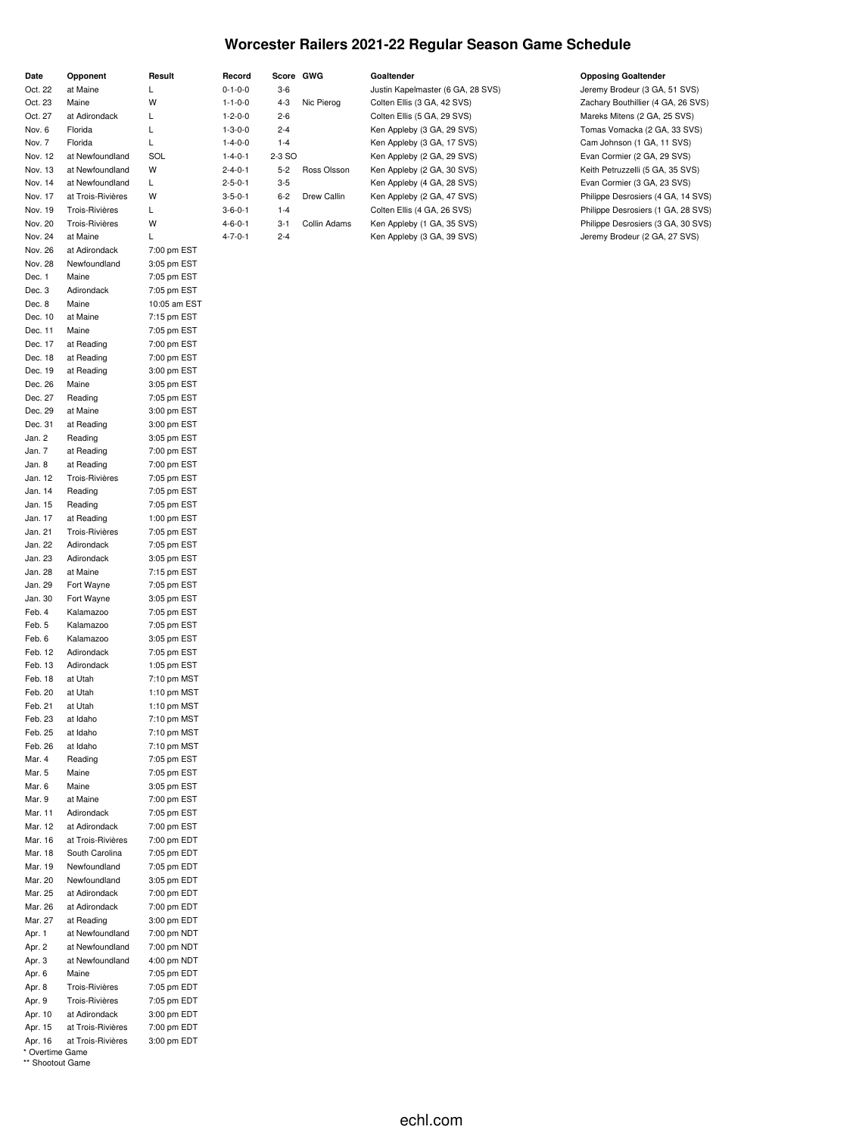### **Worcester Railers 2021-22 Regular Season Game Schedule**

| Date    | Opponent          | Result       | Record          | Score GWG |              | Goaltender                        | <b>Opposing Goaltender</b>         |
|---------|-------------------|--------------|-----------------|-----------|--------------|-----------------------------------|------------------------------------|
| Oct. 22 | at Maine          |              | $0 - 1 - 0 - 0$ | $3-6$     |              | Justin Kapelmaster (6 GA, 28 SVS) | Jeremy Brodeur (3 GA, 51 SVS)      |
| Oct. 23 | Maine             | W            | $1 - 1 - 0 - 0$ | $4 - 3$   | Nic Pierog   | Colten Ellis (3 GA, 42 SVS)       | Zachary Bouthillier (4 GA, 26 SVS) |
| Oct. 27 | at Adirondack     | L            | $1 - 2 - 0 - 0$ | $2 - 6$   |              | Colten Ellis (5 GA, 29 SVS)       | Mareks Mitens (2 GA, 25 SVS)       |
| Nov. 6  | Florida           | L            | $1 - 3 - 0 - 0$ | $2 - 4$   |              | Ken Appleby (3 GA, 29 SVS)        | Tomas Vomacka (2 GA, 33 SVS)       |
| Nov. 7  | Florida           |              | $1 - 4 - 0 - 0$ | $1 - 4$   |              | Ken Appleby (3 GA, 17 SVS)        | Cam Johnson (1 GA, 11 SVS)         |
| Nov. 12 | at Newfoundland   | SOL          | $1 - 4 - 0 - 1$ | 2-3 SO    |              | Ken Appleby (2 GA, 29 SVS)        | Evan Cormier (2 GA, 29 SVS)        |
| Nov. 13 | at Newfoundland   | W            | $2 - 4 - 0 - 1$ | $5 - 2$   | Ross Olsson  | Ken Appleby (2 GA, 30 SVS)        | Keith Petruzzelli (5 GA, 35 SVS)   |
| Nov. 14 | at Newfoundland   | L            | $2 - 5 - 0 - 1$ | $3 - 5$   |              | Ken Appleby (4 GA, 28 SVS)        | Evan Cormier (3 GA, 23 SVS)        |
| Nov. 17 | at Trois-Rivières | W            | $3 - 5 - 0 - 1$ | $6 - 2$   | Drew Callin  | Ken Appleby (2 GA, 47 SVS)        | Philippe Desrosiers (4 GA, 14 SVS) |
| Nov. 19 | Trois-Rivières    | L            | $3 - 6 - 0 - 1$ | $1 - 4$   |              | Colten Ellis (4 GA, 26 SVS)       | Philippe Desrosiers (1 GA, 28 SVS) |
| Nov. 20 | Trois-Rivières    | W            | $4 - 6 - 0 - 1$ | $3 - 1$   | Collin Adams | Ken Appleby (1 GA, 35 SVS)        | Philippe Desrosiers (3 GA, 30 SVS) |
| Nov. 24 | at Maine          | L            | $4 - 7 - 0 - 1$ | $2 - 4$   |              | Ken Appleby (3 GA, 39 SVS)        | Jeremy Brodeur (2 GA, 27 SVS)      |
| Nov. 26 | at Adirondack     | 7:00 pm EST  |                 |           |              |                                   |                                    |
| Nov. 28 | Newfoundland      | 3:05 pm EST  |                 |           |              |                                   |                                    |
| Dec. 1  | Maine             | 7:05 pm EST  |                 |           |              |                                   |                                    |
| Dec. 3  | Adirondack        | 7:05 pm EST  |                 |           |              |                                   |                                    |
| Dec. 8  | Maine             | 10:05 am EST |                 |           |              |                                   |                                    |
| Dec. 10 | at Maine          | 7:15 pm EST  |                 |           |              |                                   |                                    |
| Dec. 11 | Maine             | 7:05 pm EST  |                 |           |              |                                   |                                    |
| Dec. 17 | at Reading        | 7:00 pm EST  |                 |           |              |                                   |                                    |
| Dec. 18 | at Reading        | 7:00 pm EST  |                 |           |              |                                   |                                    |
| Dec. 19 | at Reading        | 3:00 pm EST  |                 |           |              |                                   |                                    |
| Dec. 26 | Maine             | 3:05 pm EST  |                 |           |              |                                   |                                    |
| Dec. 27 | Reading           | 7:05 pm EST  |                 |           |              |                                   |                                    |
| Dec. 29 | at Maine          | 3:00 pm EST  |                 |           |              |                                   |                                    |
| Dec. 31 | at Reading        | 3:00 pm EST  |                 |           |              |                                   |                                    |
| Jan. 2  | Reading           | 3:05 pm EST  |                 |           |              |                                   |                                    |
| Jan. 7  | at Reading        | 7:00 pm EST  |                 |           |              |                                   |                                    |
| Jan. 8  | at Reading        | 7:00 pm EST  |                 |           |              |                                   |                                    |

Jan. 12 Trois-Rivières 7:05 pm EST Jan. 14 Reading 7:05 pm EST Jan. 15 Reading 7:05 pm EST Jan. 17 at Reading 1:00 pm EST Jan. 21 Trois-Rivières 7:05 pm EST Jan. 22 Adirondack 7:05 pm EST Jan. 23 Adirondack 3:05 pm EST Jan. 28 at Maine 7:15 pm EST Jan. 29 Fort Wayne 7:05 pm EST Jan. 30 Fort Wayne 3:05 pm EST Feb. 4 Kalamazoo 7:05 pm EST Feb. 5 Kalamazoo 7:05 pm EST Feb. 6 Kalamazoo 3:05 pm EST Feb. 12 Adirondack 7:05 pm EST Feb. 13 Adirondack 1:05 pm EST<br>Feb. 18 at Utah 7:10 pm MST

Feb. 20 at Utah 1:10 pm MST Feb. 21 at Utah 1:10 pm MST Feb. 23 at Idaho 7:10 pm MST Feb. 25 at Idaho 7:10 pm MST Feb. 26 at Idaho 7:10 pm MST<br>Mar. 4 Reading 7:05 pm EST

Mar. 5 Maine 7:05 pm EST Mar. 6 Maine 3:05 pm EST Mar. 9 at Maine 7:00 pm EST Mar. 11 Adirondack 7:05 pm EST Mar. 12 at Adirondack 7:00 pm EST Mar. 16 at Trois-Rivières 7:00 pm EDT Mar. 18 South Carolina 7:05 pm EDT Mar. 19 Newfoundland 7:05 pm EDT Mar. 20 Newfoundland 3:05 pm EDT Mar. 25 at Adirondack 7:00 pm EDT Mar. 26 at Adirondack 7:00 pm EDT Mar. 27 at Reading 3:00 pm EDT Apr. 1 at Newfoundland 7:00 pm NDT Apr. 2 at Newfoundland 7:00 pm NDT Apr. 3 at Newfoundland 4:00 pm NDT Apr. 6 Maine 7:05 pm EDT Apr. 8 Trois-Rivières 7:05 pm EDT Apr. 9 Trois-Rivières 7:05 pm EDT Apr. 10 at Adirondack 3:00 pm EDT Apr. 15 at Trois-Rivières 7:00 pm EDT Apr. 16 at Trois-Rivières 3:00 pm EDT

Feb. 18 at Utah

Mar. 4 Reading

\* Overtime Game \*\* Shootout Game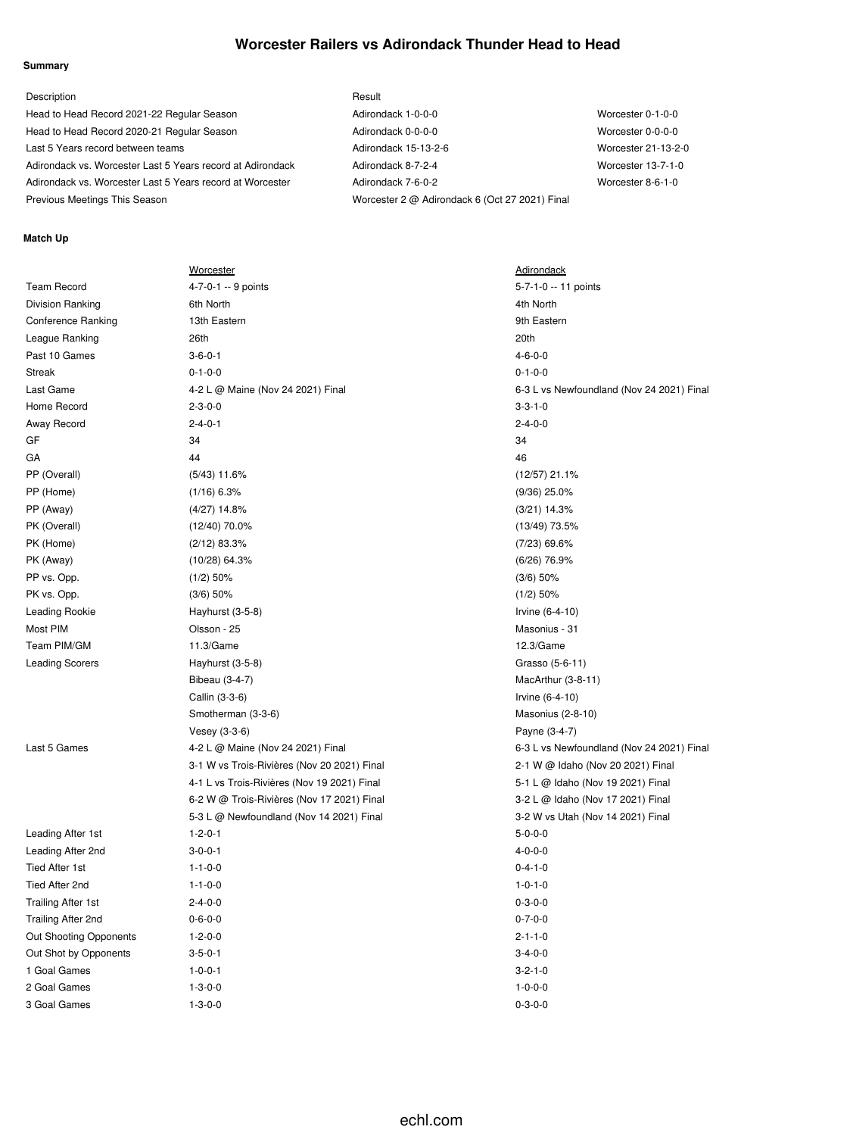### **Worcester Railers vs Adirondack Thunder Head to Head**

#### **Summary**

| Description                                                | Result                                         |                     |
|------------------------------------------------------------|------------------------------------------------|---------------------|
| Head to Head Record 2021-22 Regular Season                 | Adirondack 1-0-0-0                             | Worcester 0-1-0-0   |
| Head to Head Record 2020-21 Regular Season                 | Adirondack 0-0-0-0                             | Worcester 0-0-0-0   |
| Last 5 Years record between teams                          | Adirondack 15-13-2-6                           | Worcester 21-13-2-0 |
| Adirondack vs. Worcester Last 5 Years record at Adirondack | Adirondack 8-7-2-4                             | Worcester 13-7-1-0  |
| Adirondack vs. Worcester Last 5 Years record at Worcester  | Adirondack 7-6-0-2                             | Worcester 8-6-1-0   |
| Previous Meetings This Season                              | Worcester 2 @ Adirondack 6 (Oct 27 2021) Final |                     |

#### **Match Up**

|                           | <b>Worcester</b>                            | <b>Adirondack</b>                         |
|---------------------------|---------------------------------------------|-------------------------------------------|
| <b>Team Record</b>        | 4-7-0-1 -- 9 points                         | 5-7-1-0 -- 11 points                      |
| <b>Division Ranking</b>   | 6th North                                   | 4th North                                 |
| <b>Conference Ranking</b> | 13th Eastern                                | 9th Eastern                               |
| League Ranking            | 26th                                        | 20th                                      |
| Past 10 Games             | $3 - 6 - 0 - 1$                             | $4 - 6 - 0 - 0$                           |
| Streak                    | $0 - 1 - 0 - 0$                             | $0 - 1 - 0 - 0$                           |
| Last Game                 | 4-2 L @ Maine (Nov 24 2021) Final           | 6-3 L vs Newfoundland (Nov 24 2021) Final |
| Home Record               | $2 - 3 - 0 - 0$                             | $3 - 3 - 1 - 0$                           |
| Away Record               | $2 - 4 - 0 - 1$                             | $2 - 4 - 0 - 0$                           |
| GF                        | 34                                          | 34                                        |
| GА                        | 44                                          | 46                                        |
| PP (Overall)              | $(5/43)$ 11.6%                              | $(12/57)$ 21.1%                           |
| PP (Home)                 | $(1/16)$ 6.3%                               | $(9/36)$ 25.0%                            |
| PP (Away)                 | $(4/27)$ 14.8%                              | $(3/21)$ 14.3%                            |
| PK (Overall)              | $(12/40)$ 70.0%                             | $(13/49)$ 73.5%                           |
| PK (Home)                 | $(2/12)$ 83.3%                              | $(7/23)$ 69.6%                            |
| PK (Away)                 | $(10/28)$ 64.3%                             | $(6/26)$ 76.9%                            |
| PP vs. Opp.               | $(1/2)$ 50%                                 | $(3/6)$ 50%                               |
| PK vs. Opp.               | $(3/6)$ 50%                                 | $(1/2)$ 50%                               |
| Leading Rookie            | Hayhurst (3-5-8)                            | Irvine (6-4-10)                           |
| Most PIM                  | Olsson - 25                                 | Masonius - 31                             |
| Team PIM/GM               | 11.3/Game                                   | 12.3/Game                                 |
| <b>Leading Scorers</b>    | Hayhurst (3-5-8)                            | Grasso (5-6-11)                           |
|                           | Bibeau (3-4-7)                              | MacArthur (3-8-11)                        |
|                           | Callin (3-3-6)                              | Irvine (6-4-10)                           |
|                           | Smotherman (3-3-6)                          | Masonius (2-8-10)                         |
|                           | Vesey (3-3-6)                               | Payne (3-4-7)                             |
| Last 5 Games              | 4-2 L @ Maine (Nov 24 2021) Final           | 6-3 L vs Newfoundland (Nov 24 2021) Final |
|                           | 3-1 W vs Trois-Rivières (Nov 20 2021) Final | 2-1 W @ Idaho (Nov 20 2021) Final         |
|                           | 4-1 L vs Trois-Rivières (Nov 19 2021) Final | 5-1 L @ Idaho (Nov 19 2021) Final         |
|                           | 6-2 W @ Trois-Rivières (Nov 17 2021) Final  | 3-2 L @ Idaho (Nov 17 2021) Final         |
|                           | 5-3 L @ Newfoundland (Nov 14 2021) Final    | 3-2 W vs Utah (Nov 14 2021) Final         |
| Leading After 1st         | $1 - 2 - 0 - 1$                             | $5 - 0 - 0 - 0$                           |
| Leading After 2nd         | $3 - 0 - 0 - 1$                             | $4 - 0 - 0 - 0$                           |
| <b>Tied After 1st</b>     | $1 - 1 - 0 - 0$                             | $0 - 4 - 1 - 0$                           |
| Tied After 2nd            | $1 - 1 - 0 - 0$                             | $1 - 0 - 1 - 0$                           |
| <b>Trailing After 1st</b> | $2 - 4 - 0 - 0$                             | $0 - 3 - 0 - 0$                           |
| Trailing After 2nd        | $0 - 6 - 0 - 0$                             | $0 - 7 - 0 - 0$                           |
| Out Shooting Opponents    | $1 - 2 - 0 - 0$                             | $2 - 1 - 1 - 0$                           |
| Out Shot by Opponents     | $3 - 5 - 0 - 1$                             | $3 - 4 - 0 - 0$                           |
| 1 Goal Games              | $1 - 0 - 0 - 1$                             | $3 - 2 - 1 - 0$                           |
| 2 Goal Games              | $1 - 3 - 0 - 0$                             | $1 - 0 - 0 - 0$                           |
| 3 Goal Games              | $1 - 3 - 0 - 0$                             | $0 - 3 - 0 - 0$                           |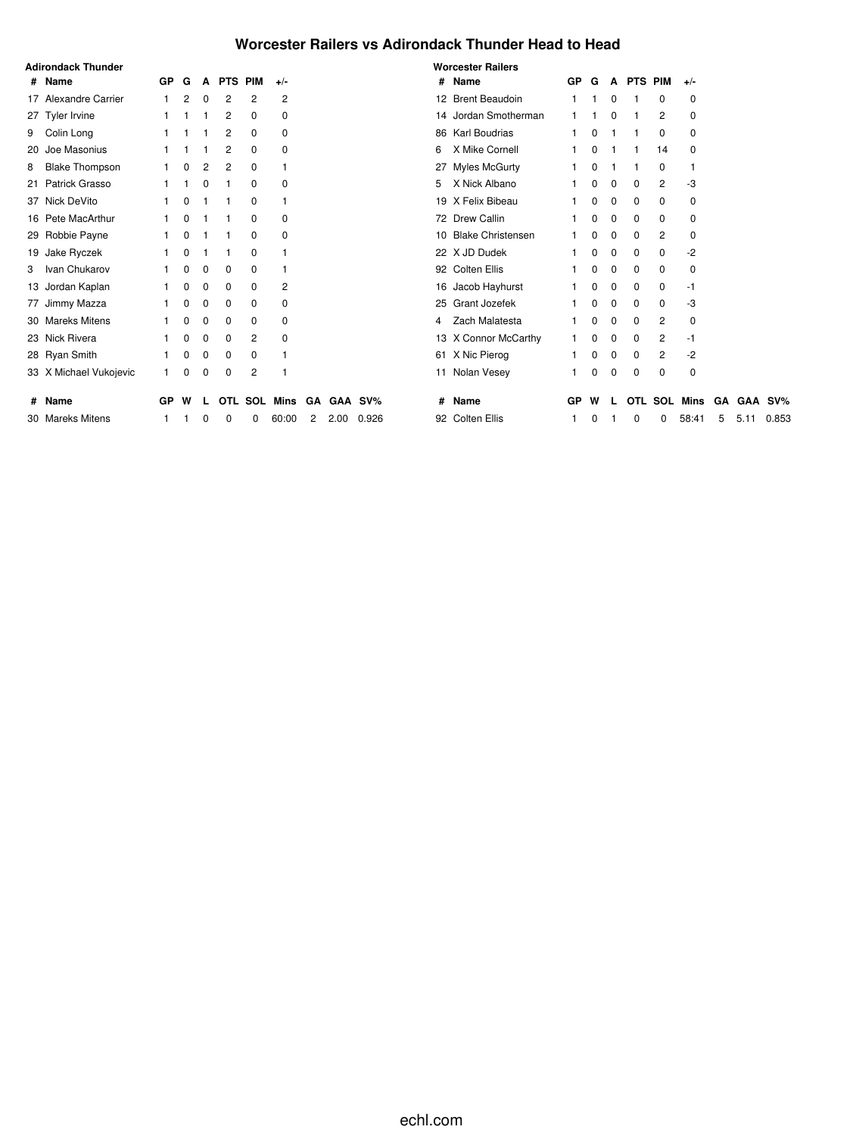### **Worcester Railers vs Adirondack Thunder Head to Head**

|   | <b>Adirondack Thunder</b> |    |   |          |                |                |              |   |      |            |   | <b>Worcester Railers</b> |           |   |          |           |     |          |    |      |         |
|---|---------------------------|----|---|----------|----------------|----------------|--------------|---|------|------------|---|--------------------------|-----------|---|----------|-----------|-----|----------|----|------|---------|
|   | # Name                    | GP | G | A        | <b>PTS PIM</b> |                | $+/-$        |   |      |            |   | # Name                   | <b>GP</b> | G |          | A PTS PIM |     | $+/-$    |    |      |         |
|   | 17 Alexandre Carrier      |    | 2 | 0        | 2              | 2              | 2            |   |      |            |   | 12 Brent Beaudoin        |           |   | 0        |           | 0   | 0        |    |      |         |
|   | 27 Tyler Irvine           |    |   |          | 2              | 0              | 0            |   |      |            |   | 14 Jordan Smotherman     |           |   | $\Omega$ |           | 2   | 0        |    |      |         |
|   | 9 Colin Long              |    |   |          | 2              | 0              | 0            |   |      |            |   | 86 Karl Boudrias         |           |   |          |           | 0   | 0        |    |      |         |
|   | 20 Joe Masonius           |    |   |          | 2              | 0              | 0            |   |      |            | 6 | X Mike Cornell           |           | ŋ |          |           | 14  | 0        |    |      |         |
| 8 | <b>Blake Thompson</b>     |    |   | 2        | 2              | 0              |              |   |      |            |   | 27 Myles McGurty         |           |   |          |           | 0   |          |    |      |         |
|   | 21 Patrick Grasso         |    |   | 0        |                | 0              | $\Omega$     |   |      |            | 5 | X Nick Albano            |           | 0 | 0        | 0         | 2   | -3       |    |      |         |
|   | 37 Nick DeVito            |    |   |          |                | 0              |              |   |      |            |   | 19 X Felix Bibeau        |           | 0 | 0        | 0         | 0   | 0        |    |      |         |
|   | 16 Pete MacArthur         |    |   |          |                | 0              | 0            |   |      |            |   | 72 Drew Callin           |           | 0 | 0        | 0         | 0   | 0        |    |      |         |
|   | 29 Robbie Payne           |    |   |          |                | 0              | $\Omega$     |   |      |            |   | 10 Blake Christensen     |           | 0 | 0        | 0         | 2   | $\Omega$ |    |      |         |
|   | 19 Jake Ryczek            |    |   |          |                | $\mathbf 0$    |              |   |      |            |   | 22 X JD Dudek            |           | 0 | 0        | 0         | 0   | $-2$     |    |      |         |
|   | 3 Ivan Chukarov           |    | 0 | 0        | 0              | $\mathbf 0$    |              |   |      |            |   | 92 Colten Ellis          |           | 0 | 0        | 0         | 0   | 0        |    |      |         |
|   | 13 Jordan Kaplan          |    |   | 0        | 0              | 0              | 2            |   |      |            |   | 16 Jacob Hayhurst        |           | 0 | 0        | 0         | 0   | -1       |    |      |         |
|   | 77 Jimmy Mazza            |    |   | $\Omega$ | $\Omega$       | 0              | $\Omega$     |   |      |            |   | 25 Grant Jozefek         |           | 0 | $\Omega$ | $\Omega$  | 0   | -3       |    |      |         |
|   | 30 Mareks Mitens          |    |   | 0        | 0              | 0              | $\Omega$     |   |      |            | 4 | Zach Malatesta           |           | ŋ | 0        | 0         | 2   | 0        |    |      |         |
|   | 23 Nick Rivera            |    | 0 | 0        | 0              | 2              | 0            |   |      |            |   | 13 X Connor McCarthy     |           | 0 | 0        | 0         | 2   | -1       |    |      |         |
|   | 28 Ryan Smith             |    |   | 0        | 0              | 0              |              |   |      |            |   | 61 X Nic Pierog          |           | 0 | 0        | 0         | 2   | -2       |    |      |         |
|   | 33 X Michael Vukojevic    |    | 0 | 0        | 0              | $\overline{c}$ |              |   |      |            |   | 11 Nolan Vesey           |           | 0 | 0        | 0         | 0   | 0        |    |      |         |
|   | # Name                    | GP | W |          |                |                | OTL SOL Mins |   |      | GA GAA SV% | # | Name                     | GP        | w |          | OTL       | SOL | Mins     | GA |      | GAA SV% |
|   | 30 Mareks Mitens          |    |   |          |                |                | 60:00        | 2 | 2.00 | 0.926      |   | 92 Colten Ellis          |           |   |          | 0         | 0   | 58:41    | 5  | 5.11 | 0.853   |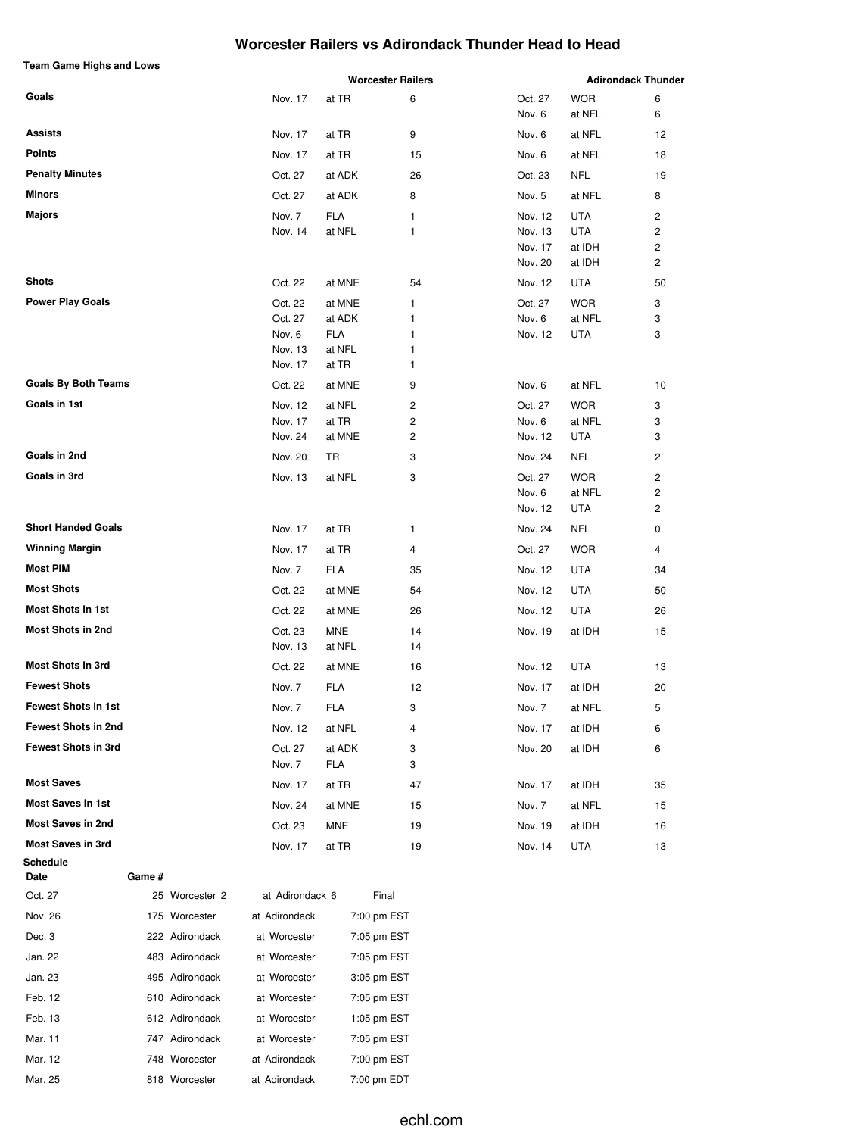### **Worcester Railers vs Adirondack Thunder Head to Head**

| <b>Team Game Highs and Lows</b> |                    |                  |                          |                    |                      |                           |
|---------------------------------|--------------------|------------------|--------------------------|--------------------|----------------------|---------------------------|
|                                 |                    |                  | <b>Worcester Railers</b> |                    |                      | <b>Adirondack Thunder</b> |
| Goals                           | Nov. 17            | at TR            | 6                        | Oct. 27            | <b>WOR</b><br>at NFL | 6<br>6                    |
|                                 |                    |                  |                          | Nov. 6             |                      |                           |
| <b>Assists</b>                  | Nov. 17            | at TR            | 9                        | Nov. 6             | at NFL               | 12                        |
| <b>Points</b>                   | Nov. 17            | at TR            | 15                       | Nov. 6             | at NFL               | 18                        |
| <b>Penalty Minutes</b>          | Oct. 27            | at ADK           | 26                       | Oct. 23            | <b>NFL</b>           | 19                        |
| <b>Minors</b>                   | Oct. 27            | at ADK           | 8                        | Nov. 5             | at NFL               | 8                         |
| <b>Majors</b>                   | Nov. 7             | <b>FLA</b>       | 1                        | Nov. 12            | <b>UTA</b>           | 2                         |
|                                 | Nov. 14            | at NFL           | 1                        | Nov. 13            | <b>UTA</b>           | 2                         |
|                                 |                    |                  |                          | Nov. 17<br>Nov. 20 | at IDH<br>at IDH     | $\overline{c}$<br>2       |
| <b>Shots</b>                    | Oct. 22            | at MNE           | 54                       | Nov. 12            | <b>UTA</b>           | 50                        |
| <b>Power Play Goals</b>         |                    |                  |                          |                    |                      |                           |
|                                 | Oct. 22<br>Oct. 27 | at MNE<br>at ADK | 1<br>1                   | Oct. 27<br>Nov. 6  | <b>WOR</b><br>at NFL | 3<br>3                    |
|                                 | Nov. 6             | <b>FLA</b>       | 1                        | Nov. 12            | UTA                  | 3                         |
|                                 | Nov. 13            | at NFL           | 1                        |                    |                      |                           |
|                                 | Nov. 17            | at TR            | 1                        |                    |                      |                           |
| <b>Goals By Both Teams</b>      | Oct. 22            | at MNE           | 9                        | Nov. 6             | at NFL               | 10                        |
| Goals in 1st                    | Nov. 12            | at NFL           | 2                        | Oct. 27            | <b>WOR</b>           | 3                         |
|                                 | Nov. 17            | at TR            | 2                        | Nov. 6             | at NFL               | 3                         |
|                                 | Nov. 24            | at MNE           | 2                        | Nov. 12            | <b>UTA</b>           | 3                         |
| Goals in 2nd                    | Nov. 20            | TR               | 3                        | Nov. 24            | <b>NFL</b>           | 2                         |
| Goals in 3rd                    | Nov. 13            | at NFL           | 3                        | Oct. 27            | <b>WOR</b>           | $\overline{\mathbf{c}}$   |
|                                 |                    |                  |                          | Nov. 6             | at NFL               | 2                         |
|                                 |                    |                  |                          | Nov. 12            | UTA                  | 2                         |
| <b>Short Handed Goals</b>       | Nov. 17            | at TR            | 1                        | Nov. 24            | <b>NFL</b>           | 0                         |
| <b>Winning Margin</b>           | Nov. 17            | at TR            | 4                        | Oct. 27            | <b>WOR</b>           | 4                         |
| <b>Most PIM</b>                 | Nov. 7             | <b>FLA</b>       | 35                       | Nov. 12            | <b>UTA</b>           | 34                        |
| <b>Most Shots</b>               | Oct. 22            | at MNE           | 54                       | Nov. 12            | <b>UTA</b>           | 50                        |
| <b>Most Shots in 1st</b>        | Oct. 22            | at MNE           | 26                       | Nov. 12            | <b>UTA</b>           | 26                        |
| <b>Most Shots in 2nd</b>        | Oct. 23            | <b>MNE</b>       | 14                       | Nov. 19            | at IDH               | 15                        |
|                                 | Nov. 13            | at NFL           | 14                       |                    |                      |                           |
| <b>Most Shots in 3rd</b>        | Oct. 22            | at MNE           | 16                       | Nov. 12            | <b>UTA</b>           | 13                        |
| <b>Fewest Shots</b>             | Nov. 7             | <b>FLA</b>       | 12                       | Nov. 17            | at IDH               | 20                        |
| <b>Fewest Shots in 1st</b>      | Nov. 7             | FLA              | 3                        | Nov. 7             | at NFL               | 5                         |
| <b>Fewest Shots in 2nd</b>      | Nov. 12            | at NFL           | 4                        | Nov. 17            | at IDH               | 6                         |
| <b>Fewest Shots in 3rd</b>      | Oct. 27            | at ADK           | 3                        | Nov. 20            | at IDH               | 6                         |
|                                 | Nov. 7             | FLA              | 3                        |                    |                      |                           |
| <b>Most Saves</b>               | Nov. 17            | at TR            | 47                       | Nov. 17            | at IDH               | 35                        |
| <b>Most Saves in 1st</b>        | Nov. 24            | at MNE           | 15                       | Nov. 7             | at NFL               | 15                        |
| <b>Most Saves in 2nd</b>        | Oct. 23            | MNE              | 19                       | Nov. 19            | at IDH               | 16                        |
| <b>Most Saves in 3rd</b>        | Nov. 17            | at TR            | 19                       | Nov. 14            | UTA                  | 13                        |
| Schedule<br>Game #<br>Date      |                    |                  |                          |                    |                      |                           |
| $25$ Warocator $2$<br>$00 + 00$ | at Adirandaak      |                  | Einel                    |                    |                      |                           |

| Oct. 27 | 25 Worcester 2 | at Adirondack 6 | Final       |  |
|---------|----------------|-----------------|-------------|--|
| Nov. 26 | 175 Worcester  | at Adirondack   | 7:00 pm EST |  |
| Dec. 3  | 222 Adirondack | at Worcester    | 7:05 pm EST |  |
| Jan. 22 | 483 Adirondack | at Worcester    | 7:05 pm EST |  |
| Jan. 23 | 495 Adirondack | at Worcester    | 3:05 pm EST |  |
| Feb. 12 | 610 Adirondack | at Worcester    | 7:05 pm EST |  |
| Feb. 13 | 612 Adirondack | at Worcester    | 1:05 pm EST |  |
| Mar. 11 | 747 Adirondack | at Worcester    | 7:05 pm EST |  |
| Mar. 12 | 748 Worcester  | at Adirondack   | 7:00 pm EST |  |
| Mar. 25 | 818 Worcester  | at Adirondack   | 7:00 pm EDT |  |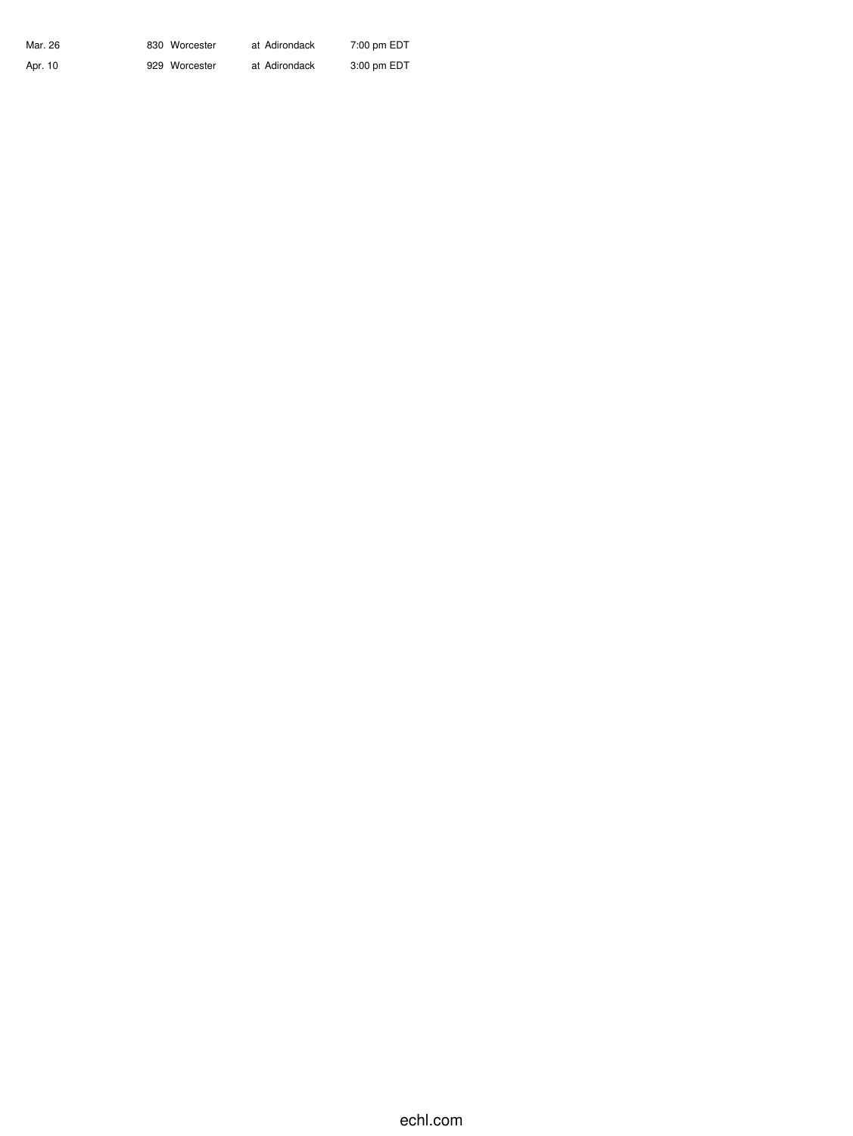| Mar. 26 | 830 Worcester | at Adirondack | 7:00 pm EDT |
|---------|---------------|---------------|-------------|
| Apr. 10 | 929 Worcester | at Adirondack | 3:00 pm EDT |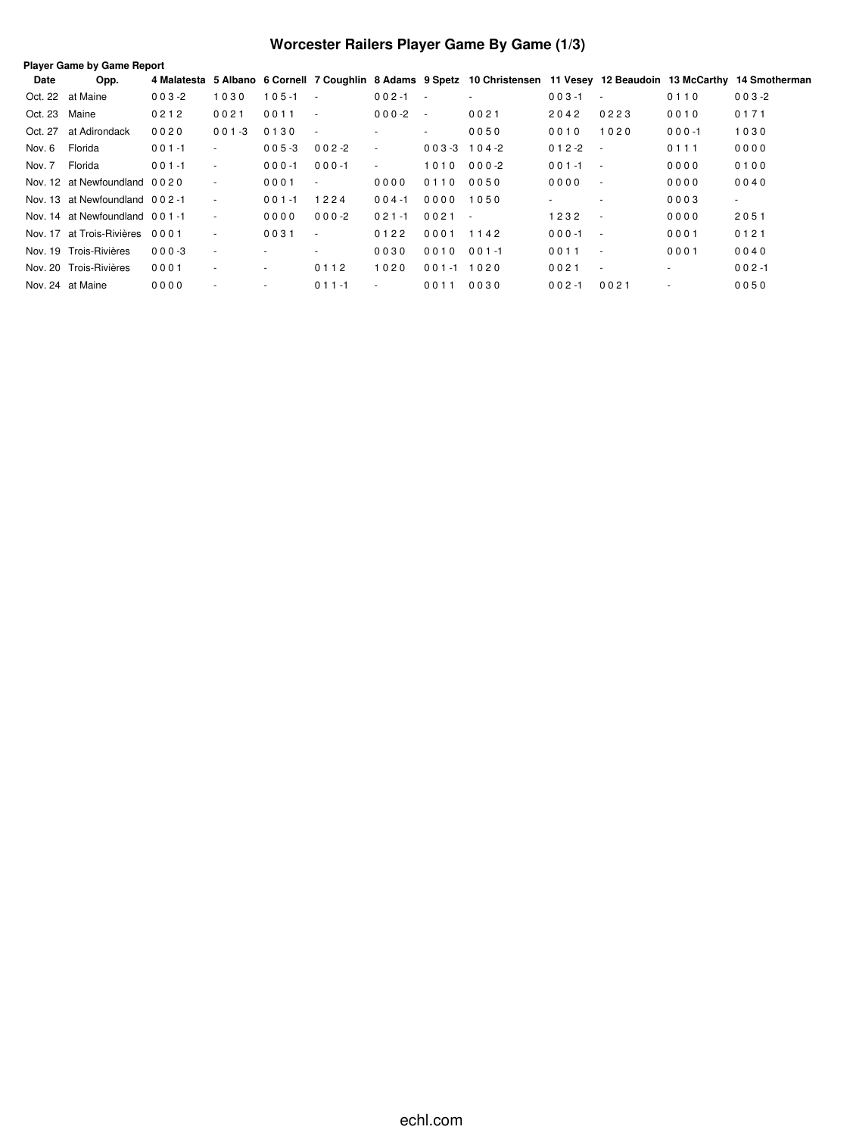# **Worcester Railers Player Game By Game (1/3)**

| Date          | Opp.                           |           |                          |           |                          |                         |                |                          |                              |        |           | 4 Malatesta 5 Albano 6 Cornell 7 Coughlin 8 Adams 9 Spetz 10 Christensen 11 Vesey 12 Beaudoin 13 McCarthy 14 Smotherman |
|---------------|--------------------------------|-----------|--------------------------|-----------|--------------------------|-------------------------|----------------|--------------------------|------------------------------|--------|-----------|-------------------------------------------------------------------------------------------------------------------------|
|               | Oct. 22 at Maine               | $003 - 2$ | 1030                     | $105 - 1$ | $\sim$                   | $002 - 1$<br>$\sim 100$ |                | $\overline{\phantom{a}}$ | $003 - 1$                    | $\sim$ | 0110      | $003 - 2$                                                                                                               |
| Oct. 23 Maine |                                | 0212      | 0021                     | 0011      | $\sim$                   | $000 - 2$               | $\sim$         | 0021                     | 2042                         | 0223   | 0010      | 0171                                                                                                                    |
|               | Oct. 27 at Adirondack          | 0020      | $001 - 3$                | 0130      | $\overline{\phantom{a}}$ | ٠                       | $\sim$         | 0050                     | 0010                         | 1020   | $000 - 1$ | 1030                                                                                                                    |
| Nov. 6        | Florida                        | $001 - 1$ | $\sim$                   | $005 - 3$ | $002 - 2$                | $\sim$                  | $003-3$ 104-2  |                          | $012 - 2$<br>$\sim$ $-$      |        | 0111      | 0000                                                                                                                    |
| Nov. 7        | Florida                        | $001 - 1$ | ٠                        | $000 - 1$ | $000 - 1$                | $\sim$                  | 1010 000-2     |                          | $001 - 1$<br>$\sim$ 10 $\pm$ |        | 0000      | 0100                                                                                                                    |
|               | Nov. 12 at Newfoundland 0020   |           | ٠                        | 0001      | $\overline{\phantom{a}}$ | 0000                    | 0110           | 0050                     | 0000                         | $\sim$ | 0000      | 0040                                                                                                                    |
|               | Nov. 13 at Newfoundland 002-1  |           | $\sim$                   | $001 - 1$ | 1224                     | $004 - 1$               | 0000           | 1050                     |                              |        | 0003      | $\sim$                                                                                                                  |
|               | Nov. 14 at Newfoundland 001-1  |           | $\sim$                   | 0000      | $000-2$                  | $021 - 1$               | $0021 -$       |                          | 1232                         | $\sim$ | 0000      | 2051                                                                                                                    |
|               | Nov. 17 at Trois-Rivières 0001 |           | $\overline{\phantom{a}}$ | 0031      | $\overline{\phantom{a}}$ | 0122                    | 0001           | 1142                     | $000 - 1$<br>$\sim$ $\sim$   |        | 0001      | 0121                                                                                                                    |
|               | Nov. 19 Trois-Rivières         | $000 - 3$ | $\sim$                   |           |                          | 0030                    | 0010           | $001 - 1$                | 0011                         | $\sim$ | 0001      | 0040                                                                                                                    |
|               | Nov. 20 Trois-Rivières         | 0001      | ٠                        | $\sim$    | 0112                     | 1020                    | $001 - 1$ 1020 |                          | 0021                         | $\sim$ | ٠         | $002 - 1$                                                                                                               |
|               | Nov. 24 at Maine               | 0000      | ٠                        | ۰         | $011 - 1$                | $\sim$                  | 0011           | 0030                     | $002 - 1$                    | 0021   |           | 0050                                                                                                                    |
|               |                                |           |                          |           |                          |                         |                |                          |                              |        |           |                                                                                                                         |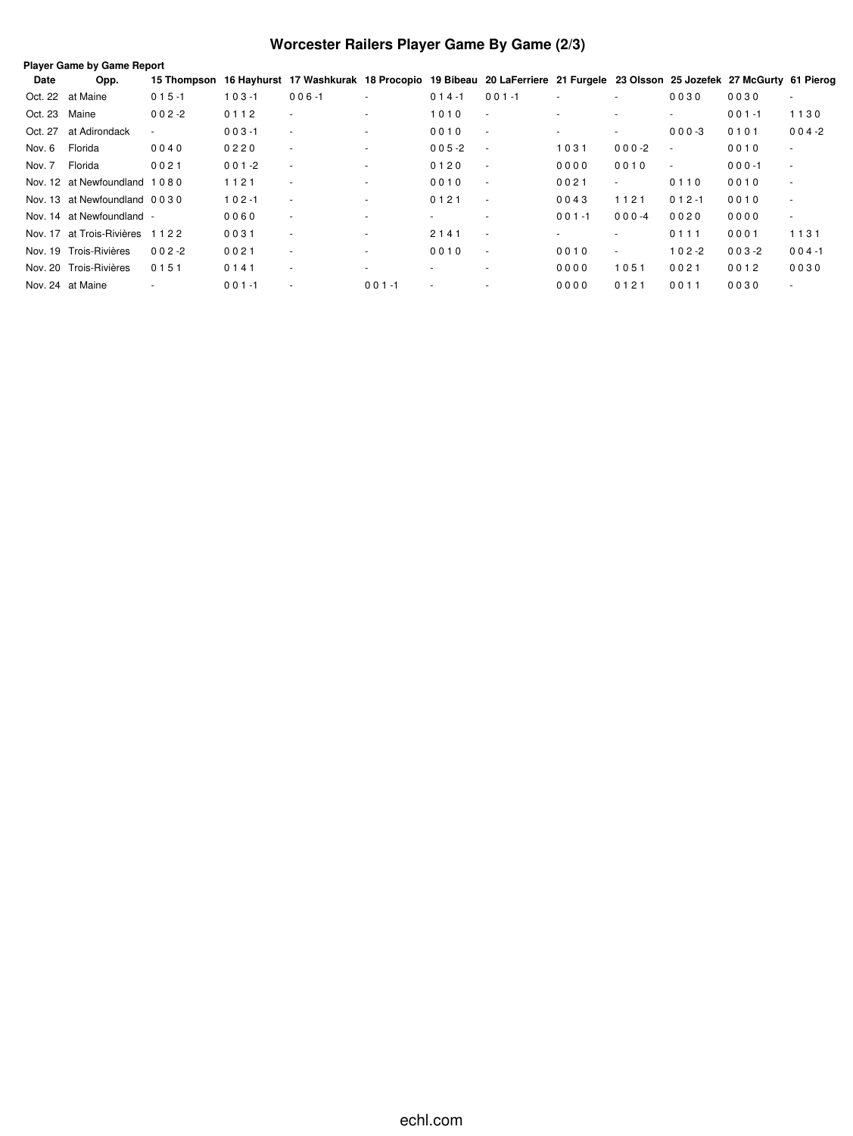# **Worcester Railers Player Game By Game (2/3)**

|         | <b>Player Game by Game Report</b> |             |           |                                                                                                                   |                          |                          |                          |                          |                          |                          |           |                          |  |
|---------|-----------------------------------|-------------|-----------|-------------------------------------------------------------------------------------------------------------------|--------------------------|--------------------------|--------------------------|--------------------------|--------------------------|--------------------------|-----------|--------------------------|--|
| Date    | Opp.                              | 15 Thompson |           | 16 Hayhurst 17 Washkurak 18 Procopio 19 Bibeau 20 LaFerriere 21 Furgele 23 Olsson 25 Jozefek 27 McGurty 61 Pierog |                          |                          |                          |                          |                          |                          |           |                          |  |
| Oct. 22 | at Maine                          | $015 - 1$   | $103 - 1$ | $006 - 1$                                                                                                         |                          | $014 - 1$                | $001 - 1$                |                          | $\overline{\phantom{a}}$ | 0030                     | 0030      |                          |  |
| Oct. 23 | Maine                             | $002 - 2$   | 0112      | $\sim$                                                                                                            |                          | 1010                     | $\sim$                   | $\overline{\phantom{a}}$ | $\overline{\phantom{a}}$ | $\overline{\phantom{a}}$ | $001 - 1$ | 1130                     |  |
| Oct. 27 | at Adirondack                     | $\sim$      | $003 - 1$ | $\sim$                                                                                                            |                          | 0010                     | $\sim$                   | $\sim$                   | ٠                        | $000-3$                  | 0101      | $004 - 2$                |  |
| Nov. 6  | Florida                           | 0040        | 0220      | $\sim$                                                                                                            | $\overline{\phantom{a}}$ | $005 - 2$                | $\sim$                   | 1031                     | $000-2$                  | $\sim$                   | 0010      | $\sim$                   |  |
| Nov. 7  | Florida                           | 0021        | $001 - 2$ | $\overline{\phantom{a}}$                                                                                          |                          | 0120                     | $\overline{\phantom{a}}$ | 0000                     | 0010                     | $\overline{\phantom{a}}$ | $000 - 1$ | $\overline{\phantom{a}}$ |  |
|         | Nov. 12 at Newfoundland 1080      |             | 1121      | $\sim$                                                                                                            |                          | 0010                     | $\sim$                   | 0021                     | ٠                        | 0110                     | 0010      | $\overline{\phantom{a}}$ |  |
|         | Nov. 13 at Newfoundland 0030      |             | $102 - 1$ | $\sim$                                                                                                            | $\overline{a}$           | 0121                     | $\sim$                   | 0043                     | 1121                     | $012 - 1$                | 0010      | $\overline{\phantom{a}}$ |  |
|         | Nov. 14 at Newfoundland -         |             | 0060      | $\sim$                                                                                                            |                          | $\overline{\phantom{a}}$ | $\overline{\phantom{a}}$ | $001 - 1$                | $000 - 4$                | 0020                     | 0000      | $\sim$                   |  |
|         | Nov. 17 at Trois-Rivières         | 1122        | 0031      | $\sim$                                                                                                            |                          | 2141                     | $\sim$                   | $\sim$                   | ۰                        | 0111                     | 0001      | 1131                     |  |
|         | Nov. 19 Trois-Rivières            | $002 - 2$   | 0021      | $\sim$                                                                                                            |                          | 0010                     | $\sim$                   | 0010                     | ٠                        | $102 - 2$                | $003 - 2$ | $004 - 1$                |  |
|         | Nov. 20 Trois-Rivières            | 0151        | 0141      | $\sim$                                                                                                            | $\overline{a}$           | $\overline{a}$           | $\overline{\phantom{a}}$ | 0000                     | 1051                     | 0021                     | 0012      | 0030                     |  |
|         | Nov. 24 at Maine                  |             | $001 - 1$ | ٠.                                                                                                                | $001 - 1$                |                          |                          | 0000                     | 0121                     | 0011                     | 0030      |                          |  |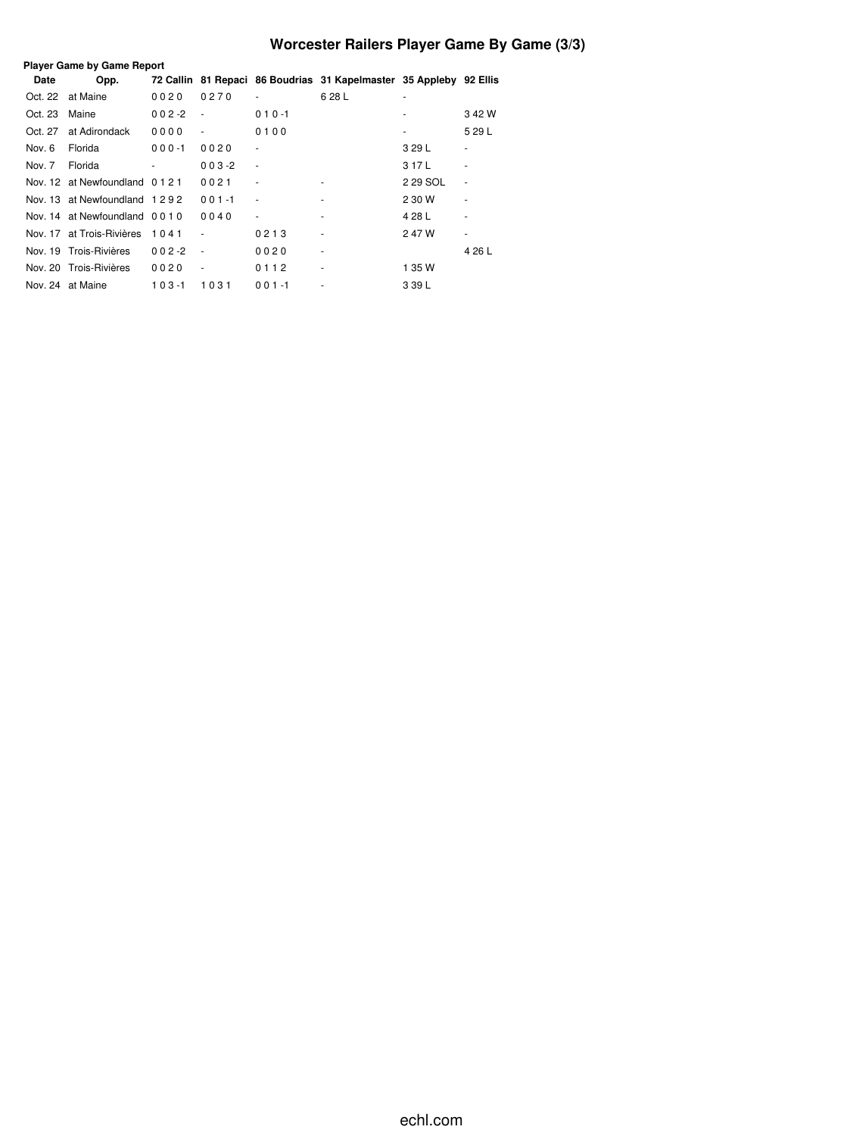# **Worcester Railers Player Game By Game (3/3)**

| <b>Player Game by Game Report</b> |                              |            |                     |                              |                                                                    |          |        |  |  |  |  |
|-----------------------------------|------------------------------|------------|---------------------|------------------------------|--------------------------------------------------------------------|----------|--------|--|--|--|--|
| Date                              | Opp.                         |            |                     |                              | 72 Callin 81 Repaci 86 Boudrias 31 Kapelmaster 35 Appleby 92 Ellis |          |        |  |  |  |  |
| Oct. 22                           | at Maine                     | 0020       | 0270                | $\bar{\phantom{a}}$          | 628L                                                               | ۰        |        |  |  |  |  |
| Oct. 23                           | Maine                        | $0.02 - 2$ | $\sim$              | $010 - 1$                    |                                                                    | ٠        | 342W   |  |  |  |  |
| Oct. 27                           | at Adirondack                | 0000       | $\bar{\phantom{a}}$ | 0100                         |                                                                    | ٠        | 5 29 L |  |  |  |  |
| Nov. 6                            | Florida                      | $000 - 1$  | 0020                | $\qquad \qquad \blacksquare$ |                                                                    | 3 29 L   | ٠      |  |  |  |  |
| Nov. 7                            | Florida                      |            | $003 - 2$           | $\bar{\phantom{a}}$          |                                                                    | 3 17 L   |        |  |  |  |  |
|                                   | Nov. 12 at Newfoundland 0121 |            | 0021                | $\qquad \qquad \blacksquare$ |                                                                    | 2 29 SOL | ٠      |  |  |  |  |
|                                   | Nov. 13 at Newfoundland 1292 |            | $001 - 1$           | ٠                            | $\overline{\phantom{a}}$                                           | 2 30 W   | ٠      |  |  |  |  |
|                                   | Nov. 14 at Newfoundland 0010 |            | 0040                | $\overline{\phantom{a}}$     | ٠                                                                  | 4 28 L   |        |  |  |  |  |
|                                   | Nov. 17 at Trois-Rivières    | 1041       | ٠                   | 0213                         | $\overline{\phantom{a}}$                                           | 247W     | ۰      |  |  |  |  |
|                                   | Nov. 19 Trois-Rivières       | $002 - 2$  | $\sim$              | 0020                         | $\overline{\phantom{a}}$                                           |          | 4 26 L |  |  |  |  |
|                                   | Nov. 20 Trois-Rivières       | 0020       | ٠                   | 0112                         | $\overline{\phantom{a}}$                                           | 1 35 W   |        |  |  |  |  |
|                                   | Nov. 24 at Maine             | $103 - 1$  | 1031                | $001 - 1$                    | $\overline{\phantom{a}}$                                           | 3 39 L   |        |  |  |  |  |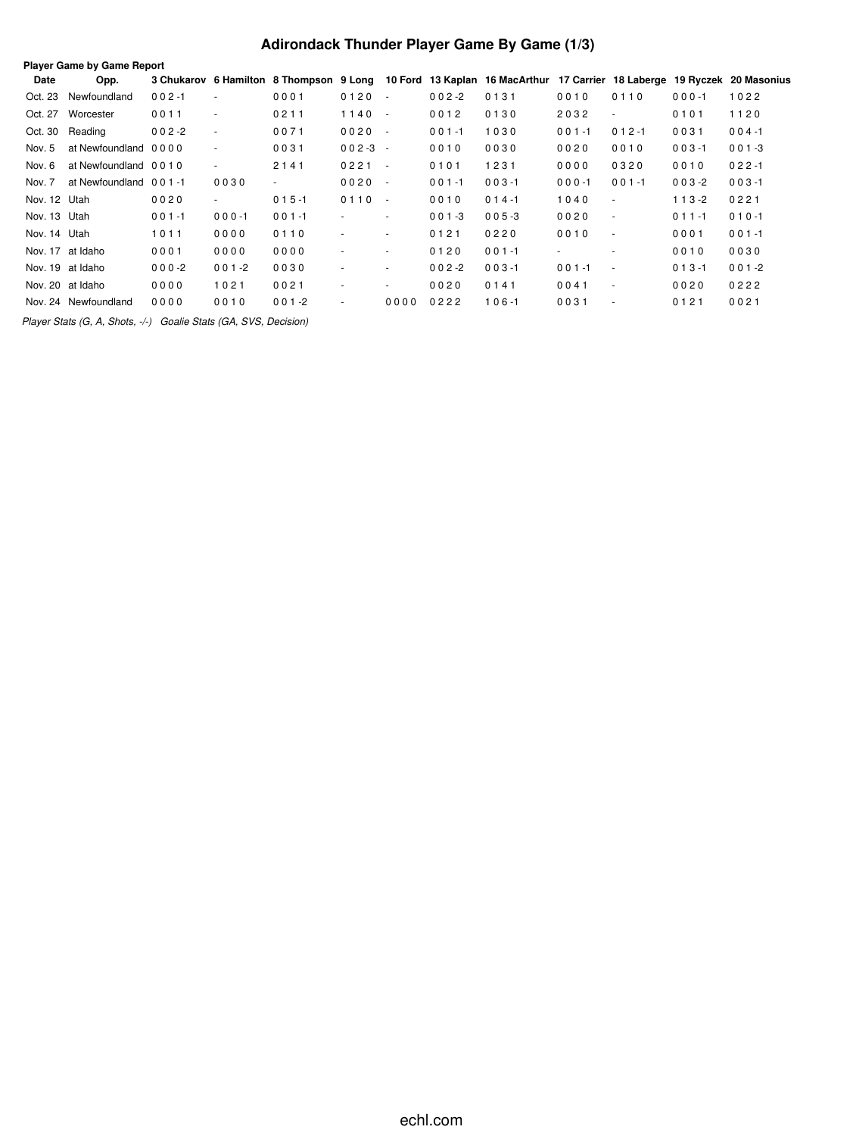# **Adirondack Thunder Player Game By Game (1/3)**

| <b>Player Game by Game Report</b> |                       |           |                          |                                         |                          |        |           |                                                                            |           |                          |           |           |
|-----------------------------------|-----------------------|-----------|--------------------------|-----------------------------------------|--------------------------|--------|-----------|----------------------------------------------------------------------------|-----------|--------------------------|-----------|-----------|
| Date                              | Opp.                  |           |                          | 3 Chukarov 6 Hamilton 8 Thompson 9 Long |                          |        |           | 10 Ford 13 Kaplan 16 MacArthur 17 Carrier 18 Laberge 19 Ryczek 20 Masonius |           |                          |           |           |
| Oct. 23                           | Newfoundland          | $002 - 1$ | $\sim$                   | 0001                                    | 0120                     | $\sim$ | $002 - 2$ | 0131                                                                       | 0010      | 0110                     | $000 - 1$ | 1022      |
| Oct. 27                           | Worcester             | 0011      | $\sim$                   | 0211                                    | 1140                     | $\sim$ | 0012      | 0130                                                                       | 2032      | $\sim$                   | 0101      | 1120      |
| Oct. 30                           | Reading               | $002 - 2$ | $\overline{\phantom{a}}$ | 0071                                    | 0020                     | $\sim$ | $001 - 1$ | 1030                                                                       | $001 - 1$ | $012 - 1$                | 0031      | $004 - 1$ |
| Nov. 5                            | at Newfoundland 0000  |           | $\overline{\phantom{a}}$ | 0031                                    | $002 - 3 -$              |        | 0010      | 0030                                                                       | 0020      | 0010                     | $003 - 1$ | $001 - 3$ |
| Nov. 6                            | at Newfoundland 0010  |           | $\sim$                   | 2141                                    | 0221                     | $\sim$ | 0101      | 1231                                                                       | 0000      | 0320                     | 0010      | $022 - 1$ |
| Nov. 7                            | at Newfoundland 001-1 |           | 0030                     | $\overline{\phantom{a}}$                | 0020                     | $\sim$ | $001 - 1$ | $003 - 1$                                                                  | $000 - 1$ | $001 - 1$                | $003 - 2$ | $003 - 1$ |
| Nov. 12 Utah                      |                       | 0020      | $\sim$                   | $015 - 1$                               | 0110                     | $\sim$ | 0010      | $014 - 1$                                                                  | 1040      | $\sim$                   | $113-2$   | 0221      |
| Nov. 13 Utah                      |                       | $001 - 1$ | $000 - 1$                | $001 - 1$                               |                          | $\sim$ | $001 - 3$ | $005 - 3$                                                                  | 0020      | $\overline{\phantom{a}}$ | $011 - 1$ | $010 - 1$ |
| Nov. 14 Utah                      |                       | 1011      | 0000                     | 0110                                    | $\overline{\phantom{a}}$ | $\sim$ | 0121      | 0220                                                                       | 0010      | $\overline{\phantom{a}}$ | 0001      | $001 - 1$ |
|                                   | Nov. 17 at Idaho      | 0001      | 0000                     | 0000                                    | $\overline{\phantom{a}}$ | $\sim$ | 0120      | $001 - 1$                                                                  | $\sim$    | ٠                        | 0010      | 0030      |
|                                   | Nov. 19 at Idaho      | $000-2$   | $001 - 2$                | 0030                                    | $\overline{\phantom{a}}$ | $\sim$ | $002 - 2$ | $003 - 1$                                                                  | $001 - 1$ | $\overline{\phantom{a}}$ | $013 - 1$ | $001 - 2$ |
|                                   | Nov. 20 at Idaho      | 0000      | 1021                     | 0021                                    | ٠                        | $\sim$ | 0020      | 0141                                                                       | 0041      | $\sim$                   | 0020      | 0222      |
|                                   | Nov. 24 Newfoundland  | 0000      | 0010                     | $001 - 2$                               | $\sim$                   | 0000   | 0222      | $106 - 1$                                                                  | 0031      | $\overline{\phantom{a}}$ | 0121      | 0021      |
|                                   |                       |           |                          |                                         |                          |        |           |                                                                            |           |                          |           |           |

*Player Stats (G, A, Shots, -/-) Goalie Stats (GA, SVS, Decision)*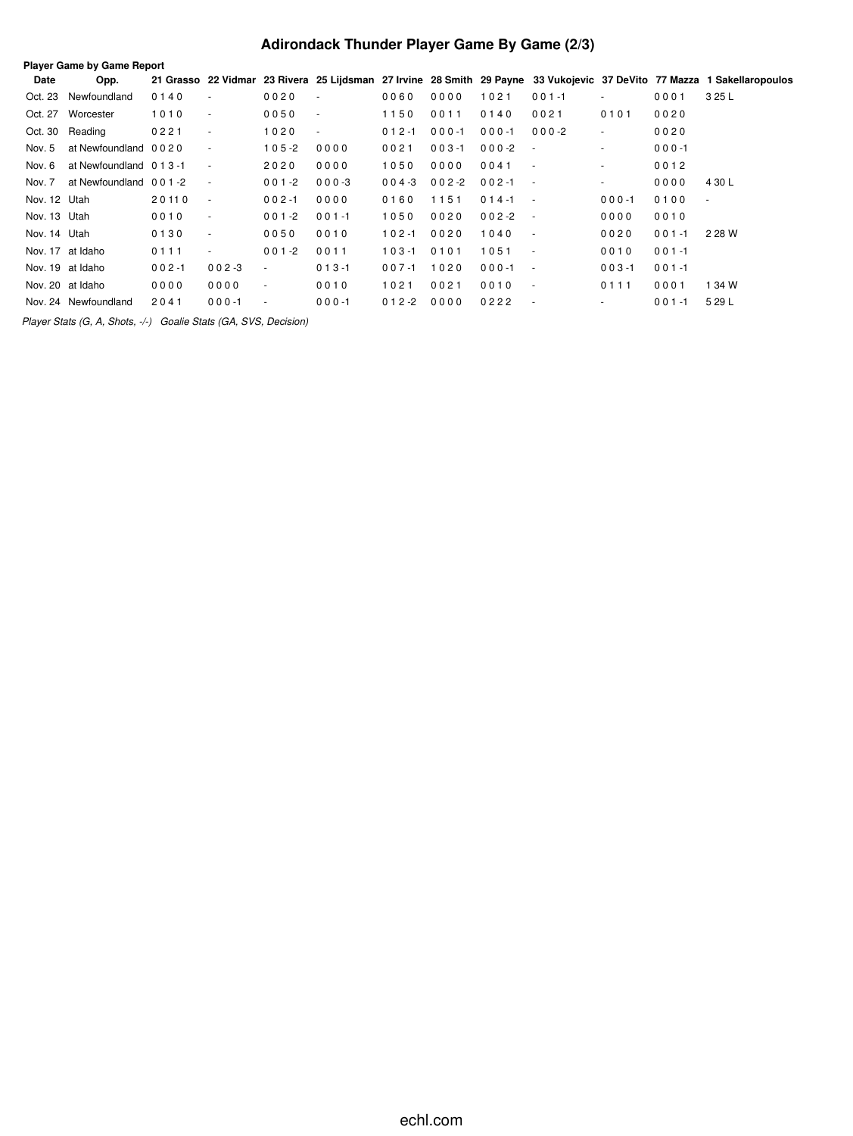# **Adirondack Thunder Player Game By Game (2/3)**

| <b>Player Game by Game Report</b> |                          |           |                          |                          |                          |           |           |           |                          |           |           |                                                                                                                         |
|-----------------------------------|--------------------------|-----------|--------------------------|--------------------------|--------------------------|-----------|-----------|-----------|--------------------------|-----------|-----------|-------------------------------------------------------------------------------------------------------------------------|
| Date                              | Opp.                     |           |                          |                          |                          |           |           |           |                          |           |           | 21 Grasso 22 Vidmar 23 Rivera 25 Lijdsman 27 Irvine 28 Smith 29 Payne 33 Vukojevic 37 DeVito 77 Mazza 1 Sakellaropoulos |
| Oct. 23                           | Newfoundland             | 0140      | $\sim$                   | 0020                     | $\overline{\phantom{a}}$ | 0060      | 0000      | 1021      | $001 - 1$                | ٠         | 0001      | 3 25 L                                                                                                                  |
| Oct. 27                           | Worcester                | 1010      | $\blacksquare$           | 0050                     | $\sim$                   | 1150      | 0011      | 0140      | 0021                     | 0101      | 0020      |                                                                                                                         |
| Oct. 30                           | Reading                  | 0221      | $\overline{\phantom{a}}$ | 1020                     | $\sim$                   | $012 - 1$ | $000 - 1$ | $000 - 1$ | $000 - 2$                | $\sim$    | 0020      |                                                                                                                         |
| Nov. 5                            | at Newfoundland 0020     |           | $\blacksquare$           | $105 - 2$                | 0000                     | 0021      | $003 - 1$ | $000 - 2$ | $\sim$                   | $\sim$    | $000 - 1$ |                                                                                                                         |
| Nov. 6                            | at Newfoundland 0 1 3 -1 |           | $\overline{\phantom{a}}$ | 2020                     | 0000                     | 1050      | 0000      | 0041      | $\blacksquare$           | ٠         | 0012      |                                                                                                                         |
| Nov. 7                            | at Newfoundland 001-2    |           | $\sim$                   | $001 - 2$                | $000 - 3$                | $004 - 3$ | $002 - 2$ | $002 - 1$ | $\sim$                   | $\sim$    | 0000      | 4 30 L                                                                                                                  |
| Nov. 12 Utah                      |                          | 20110     | $\overline{\phantom{a}}$ | $002 - 1$                | 0000                     | 0160      | 1151      | $014 - 1$ | $\sim$                   | $000 - 1$ | 0100      | $\overline{\phantom{a}}$                                                                                                |
| Nov. 13 Utah                      |                          | 0010      | $\overline{\phantom{a}}$ | $001 - 2$                | $001 - 1$                | 1050      | 0020      | $002 - 2$ | $\sim$                   | 0000      | 0010      |                                                                                                                         |
| Nov. 14 Utah                      |                          | 0130      | $\overline{\phantom{a}}$ | 0050                     | 0010                     | $102 - 1$ | 0020      | 1040      | $\sim$                   | 0020      | $001 - 1$ | 2 28 W                                                                                                                  |
|                                   | Nov. 17 at Idaho         | 0111      | $\blacksquare$           | $001 - 2$                | 0011                     | $103 - 1$ | 0101      | 1051      | $\sim$                   | 0010      | $001 - 1$ |                                                                                                                         |
|                                   | Nov. 19 at Idaho         | $002 - 1$ | $002 - 3$                | $\sim$                   | $013 - 1$                | $007 - 1$ | 1020      | $000 - 1$ | $\sim$                   | $003 - 1$ | $001 - 1$ |                                                                                                                         |
|                                   | Nov. 20 at Idaho         | 0000      | 0000                     | $\sim$                   | 0010                     | 1021      | 0021      | 0010      | $\sim$                   | 0111      | 0001      | 1 34 W                                                                                                                  |
|                                   | Nov. 24 Newfoundland     | 2041      | $000 - 1$                | $\overline{\phantom{a}}$ | $000 - 1$                | $012 - 2$ | 0000      | 0222      | $\overline{\phantom{a}}$ | ٠         | $001 - 1$ | 5 29 L                                                                                                                  |
|                                   |                          |           |                          |                          |                          |           |           |           |                          |           |           |                                                                                                                         |

*Player Stats (G, A, Shots, -/-) Goalie Stats (GA, SVS, Decision)*